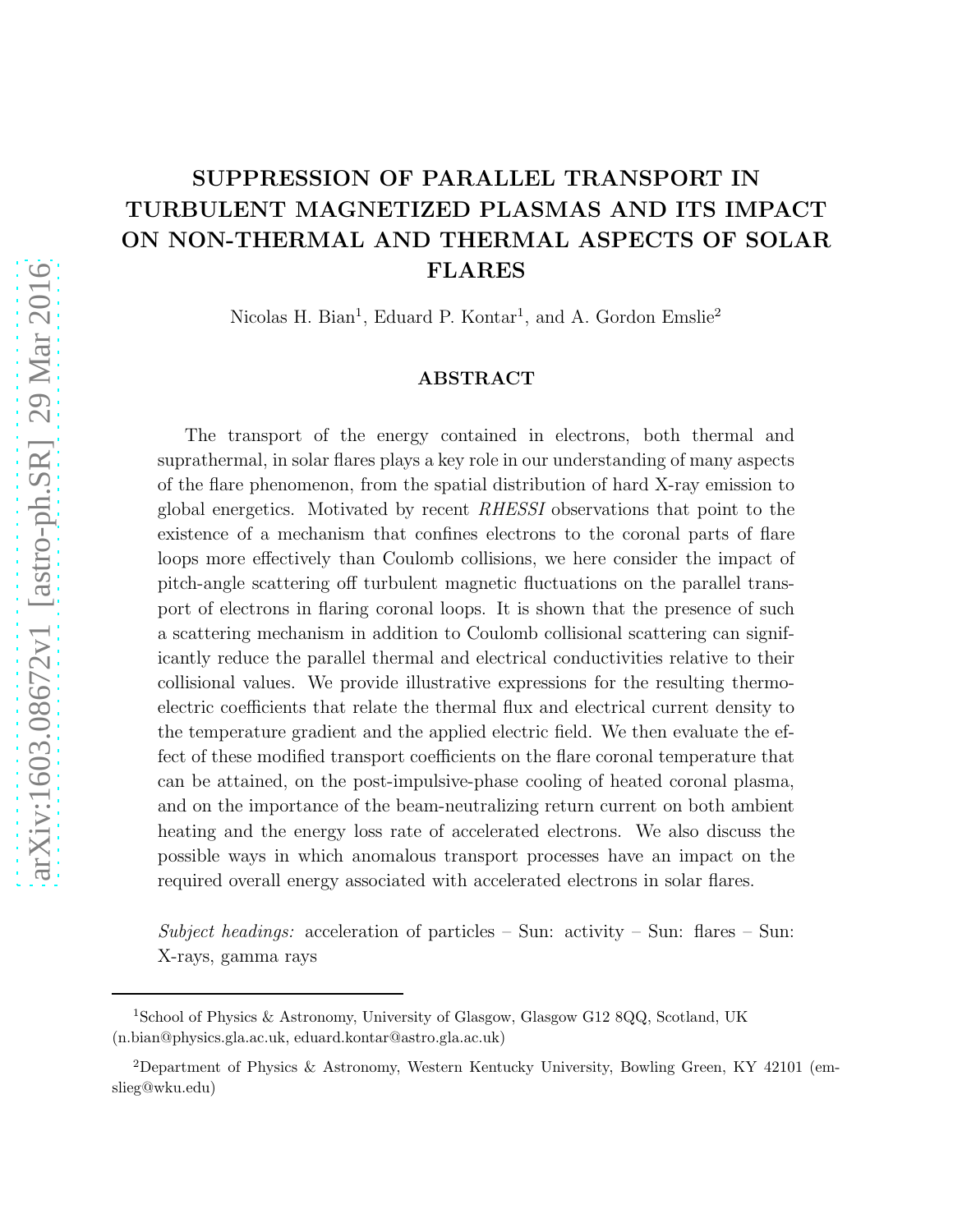# SUPPRESSION OF PARALLEL TRANSPORT IN TURBULENT MAGNETIZED PLASMAS AND ITS IMPACT ON NON-THERMAL AND THERMAL ASPECTS OF SOLAR FLARES

Nicolas H. Bian<sup>1</sup>, Eduard P. Kontar<sup>1</sup>, and A. Gordon Emslie<sup>2</sup>

# ABSTRACT

The transport of the energy contained in electrons, both thermal and suprathermal, in solar flares plays a key role in our understanding of many aspects of the flare phenomenon, from the spatial distribution of hard X-ray emission to global energetics. Motivated by recent RHESSI observations that point to the existence of a mechanism that confines electrons to the coronal parts of flare loops more effectively than Coulomb collisions, we here consider the impact of pitch-angle scattering off turbulent magnetic fluctuations on the parallel transport of electrons in flaring coronal loops. It is shown that the presence of such a scattering mechanism in addition to Coulomb collisional scattering can significantly reduce the parallel thermal and electrical conductivities relative to their collisional values. We provide illustrative expressions for the resulting thermoelectric coefficients that relate the thermal flux and electrical current density to the temperature gradient and the applied electric field. We then evaluate the effect of these modified transport coefficients on the flare coronal temperature that can be attained, on the post-impulsive-phase cooling of heated coronal plasma, and on the importance of the beam-neutralizing return current on both ambient heating and the energy loss rate of accelerated electrons. We also discuss the possible ways in which anomalous transport processes have an impact on the required overall energy associated with accelerated electrons in solar flares.

Subject headings: acceleration of particles – Sun: activity – Sun: flares – Sun: X-rays, gamma rays

<sup>1</sup>School of Physics & Astronomy, University of Glasgow, Glasgow G12 8QQ, Scotland, UK (n.bian@physics.gla.ac.uk, eduard.kontar@astro.gla.ac.uk)

<sup>2</sup>Department of Physics & Astronomy, Western Kentucky University, Bowling Green, KY 42101 (emslieg@wku.edu)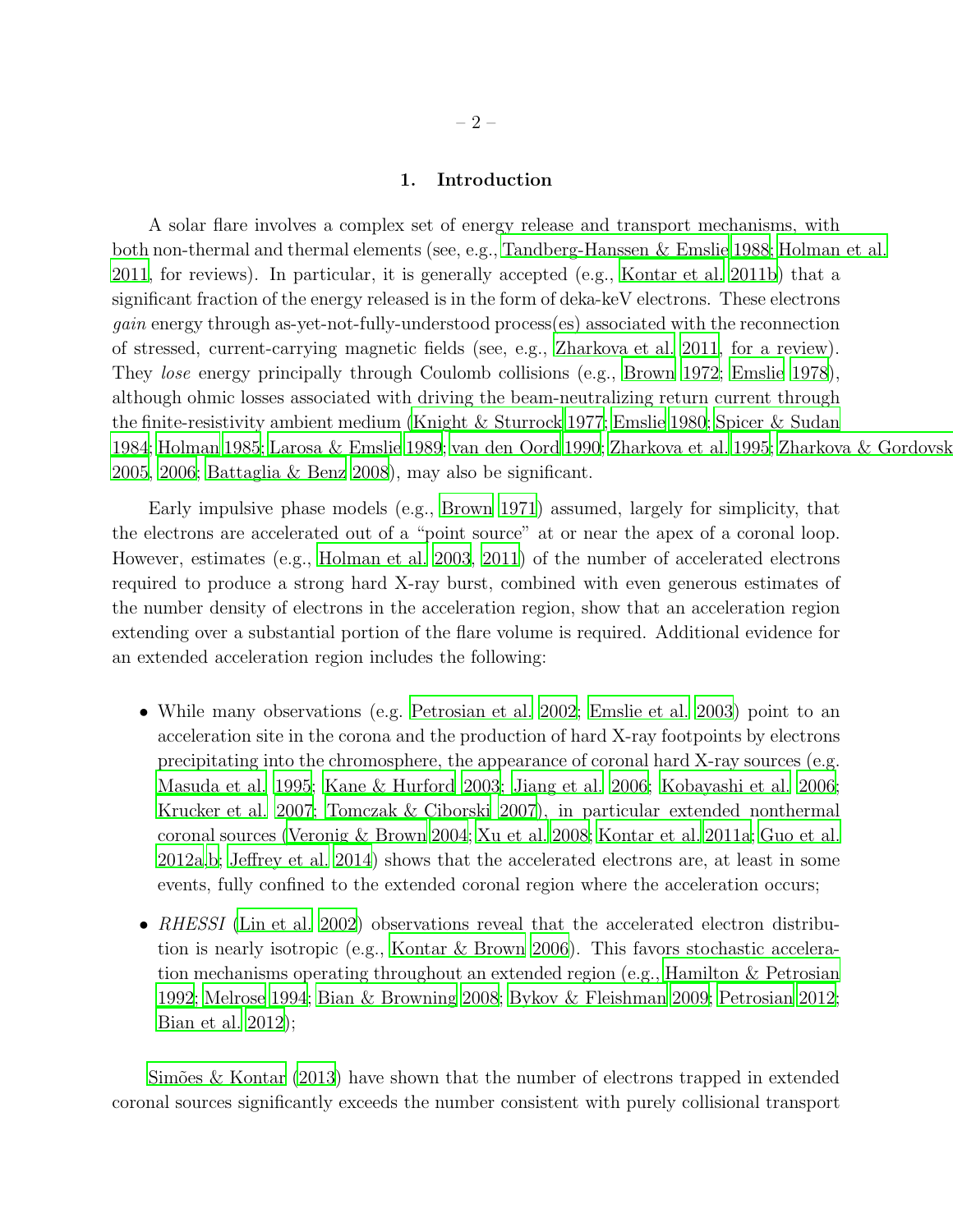# 1. Introduction

A solar flare involves a complex set of energy release and transport mechanisms, with both non-thermal and thermal elements (see, e.g., [Tandberg-Hanssen & Emslie 1988;](#page-36-0) [Holman et al.](#page-34-0) [2011,](#page-34-0) for reviews). In particular, it is generally accepted (e.g., [Kontar et al. 2011b](#page-35-0)) that a significant fraction of the energy released is in the form of deka-keV electrons. These electrons gain energy through as-yet-not-fully-understood process(es) associated with the reconnection of stressed, current-carrying magnetic fields (see, e.g., [Zharkova et al. 2011,](#page-36-1) for a review). They *lose* energy principally through Coulomb collisions (e.g., [Brown 1972](#page-32-0); [Emslie 1978](#page-33-0)), although ohmic losses associated with driving the beam-neutralizing return current through the finite-resistivity ambient medium [\(Knight & Sturrock 1977;](#page-34-1) [Emslie](#page-33-1) [1980](#page-33-1); [Spicer & Sudan](#page-36-2) [1984;](#page-36-2) [Holman 1985](#page-34-2); [Larosa & Emslie 1989](#page-35-1); [van den Oord 1990;](#page-36-3) [Zharkova et al. 1995;](#page-36-4) [Zharkova & Gordovskyy](#page-36-5) [2005,](#page-36-5) [2006;](#page-36-6) [Battaglia & Benz 2008\)](#page-32-1), may also be significant.

Early impulsive phase models (e.g., [Brown 1971\)](#page-32-2) assumed, largely for simplicity, that the electrons are accelerated out of a "point source" at or near the apex of a coronal loop. However, estimates (e.g., [Holman et al. 2003,](#page-34-3) [2011\)](#page-34-0) of the number of accelerated electrons required to produce a strong hard X-ray burst, combined with even generous estimates of the number density of electrons in the acceleration region, show that an acceleration region extending over a substantial portion of the flare volume is required. Additional evidence for an extended acceleration region includes the following:

- While many observations (e.g. [Petrosian et al. 2002;](#page-35-2) [Emslie et al. 2003](#page-33-2)) point to an acceleration site in the corona and the production of hard X-ray footpoints by electrons precipitating into the chromosphere, the appearance of coronal hard X-ray sources (e.g. [Masuda et al. 1995](#page-35-3); [Kane & Hurford 2003](#page-34-4); [Jiang et al. 2006](#page-34-5); [Kobayashi et al. 2006;](#page-34-6) [Krucker et al. 2007;](#page-35-4) [Tomczak & Ciborski 2007\)](#page-36-7), in particular extended nonthermal coronal sources [\(Veronig & Brown 2004;](#page-36-8) [Xu et al. 2008](#page-36-9); [Kontar et](#page-34-7) al. [2011a;](#page-34-7) [Guo et al.](#page-34-8) [2012a](#page-34-8)[,b](#page-34-9); [Jeffrey et al. 2014\)](#page-34-10) shows that the accelerated electrons are, at least in some events, fully confined to the extended coronal region where the acceleration occurs;
- RHESSI [\(Lin et al. 2002](#page-35-5)) observations reveal that the accelerated electron distribution is nearly isotropic (e.g., [Kontar & Brown 2006\)](#page-34-11). This favors stochastic acceleration mechanisms operating throughout an extended region (e.g., [Hamilton & Petrosian](#page-34-12) [1992;](#page-34-12) [Melrose 1994;](#page-35-6) [Bian & Browning 2008;](#page-32-3) [Bykov & Fleishman 2009;](#page-33-3) [Petrosian 2012;](#page-35-7) [Bian et al. 2012\)](#page-32-4);

Simões  $\&$  Kontar (2013) have shown that the number of electrons trapped in extended coronal sources significantly exceeds the number consistent with purely collisional transport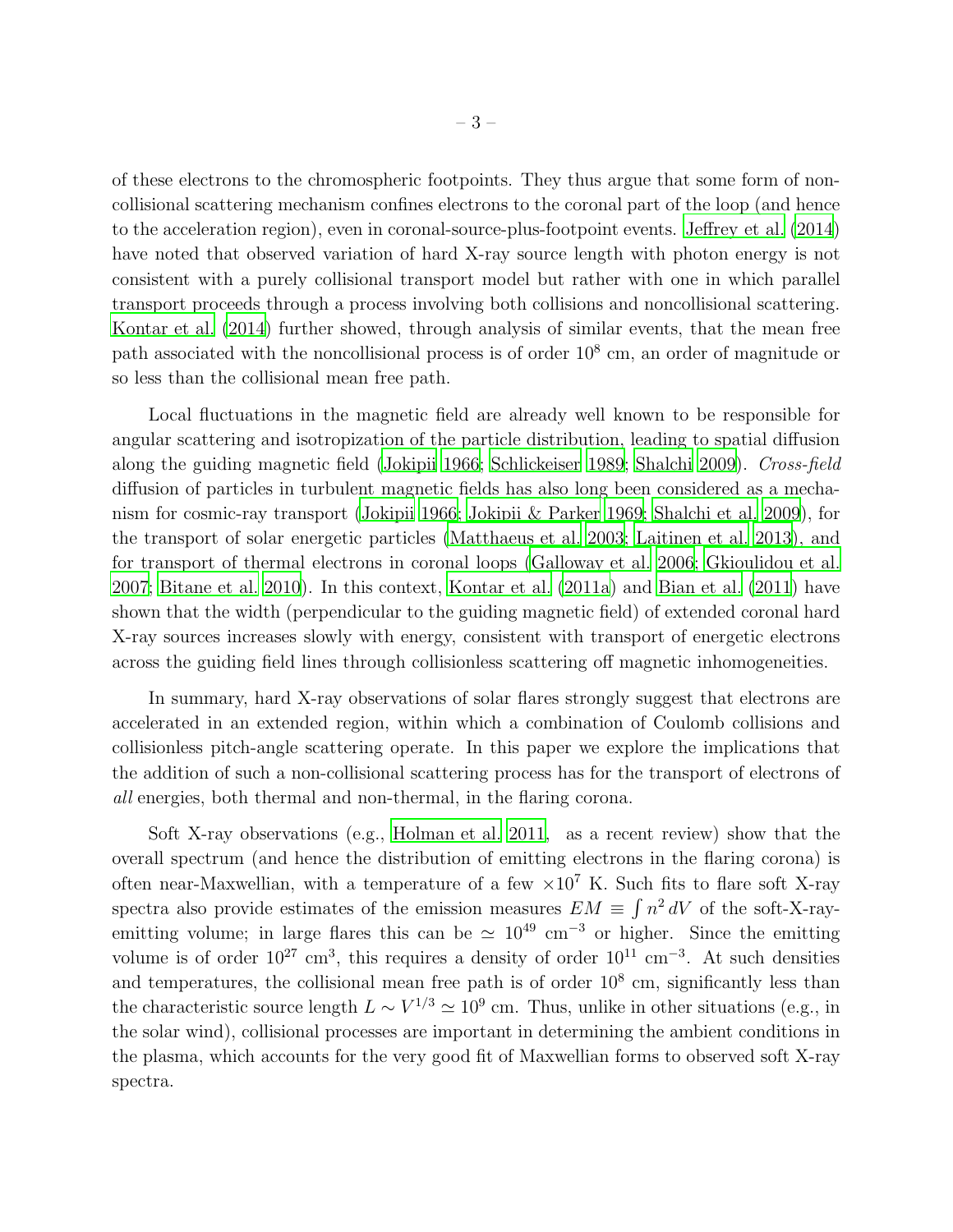of these electrons to the chromospheric footpoints. They thus argue that some form of noncollisional scattering mechanism confines electrons to the coronal part of the loop (and hence to the acceleration region), even in coronal-source-plus-footpoint events. [Jeffrey et al. \(2014\)](#page-34-10) have noted that observed variation of hard X-ray source length with photon energy is not consistent with a purely collisional transport model but rather with one in which parallel transport proceeds through a process involving both collisions and noncollisional scattering. [Kontar et al. \(2014](#page-34-13)) further showed, through analysis of similar events, that the mean free path associated with the noncollisional process is of order  $10^8$  cm, an order of magnitude or so less than the collisional mean free path.

Local fluctuations in the magnetic field are already well known to be responsible for angular scattering and isotropization of the particle distribution, leading to spatial diffusion along the guiding magnetic field [\(Jokipii 1966](#page-34-14); [Schlickeiser 1989](#page-36-11); [Shalchi 2009\)](#page-36-12). Cross-field diffusion of particles in turbulent magnetic fields has also long been considered as a mechanism for cosmic-ray transport [\(Jokipii 1966;](#page-34-14) [Jokipii & Parker 1969](#page-34-15); [Shalchi et al. 2009](#page-36-13)), for the transport of solar energetic particles [\(Matthaeus et al. 2003](#page-35-8); [Laitinen et al. 2013\)](#page-35-9), and for transport of thermal electrons in coronal loops [\(Galloway et al. 2006](#page-34-16); [Gkioulidou et al.](#page-34-17) [2007;](#page-34-17) [Bitane et al. 2010](#page-32-5)). In this context, [Kontar et al. \(2011a\)](#page-34-7) and [Bian et al. \(2011\)](#page-32-6) have shown that the width (perpendicular to the guiding magnetic field) of extended coronal hard X-ray sources increases slowly with energy, consistent with transport of energetic electrons across the guiding field lines through collisionless scattering off magnetic inhomogeneities.

In summary, hard X-ray observations of solar flares strongly suggest that electrons are accelerated in an extended region, within which a combination of Coulomb collisions and collisionless pitch-angle scattering operate. In this paper we explore the implications that the addition of such a non-collisional scattering process has for the transport of electrons of all energies, both thermal and non-thermal, in the flaring corona.

Soft X-ray observations (e.g., [Holman et al. 2011,](#page-34-0) as a recent review) show that the overall spectrum (and hence the distribution of emitting electrons in the flaring corona) is often near-Maxwellian, with a temperature of a few  $\times 10^7$  K. Such fits to flare soft X-ray spectra also provide estimates of the emission measures  $EM \equiv \int n^2 dV$  of the soft-X-rayemitting volume; in large flares this can be  $\simeq 10^{49}$  cm<sup>-3</sup> or higher. Since the emitting volume is of order  $10^{27}$  cm<sup>3</sup>, this requires a density of order  $10^{11}$  cm<sup>-3</sup>. At such densities and temperatures, the collisional mean free path is of order  $10<sup>8</sup>$  cm, significantly less than the characteristic source length  $L \sim V^{1/3} \simeq 10^9$  cm. Thus, unlike in other situations (e.g., in the solar wind), collisional processes are important in determining the ambient conditions in the plasma, which accounts for the very good fit of Maxwellian forms to observed soft X-ray spectra.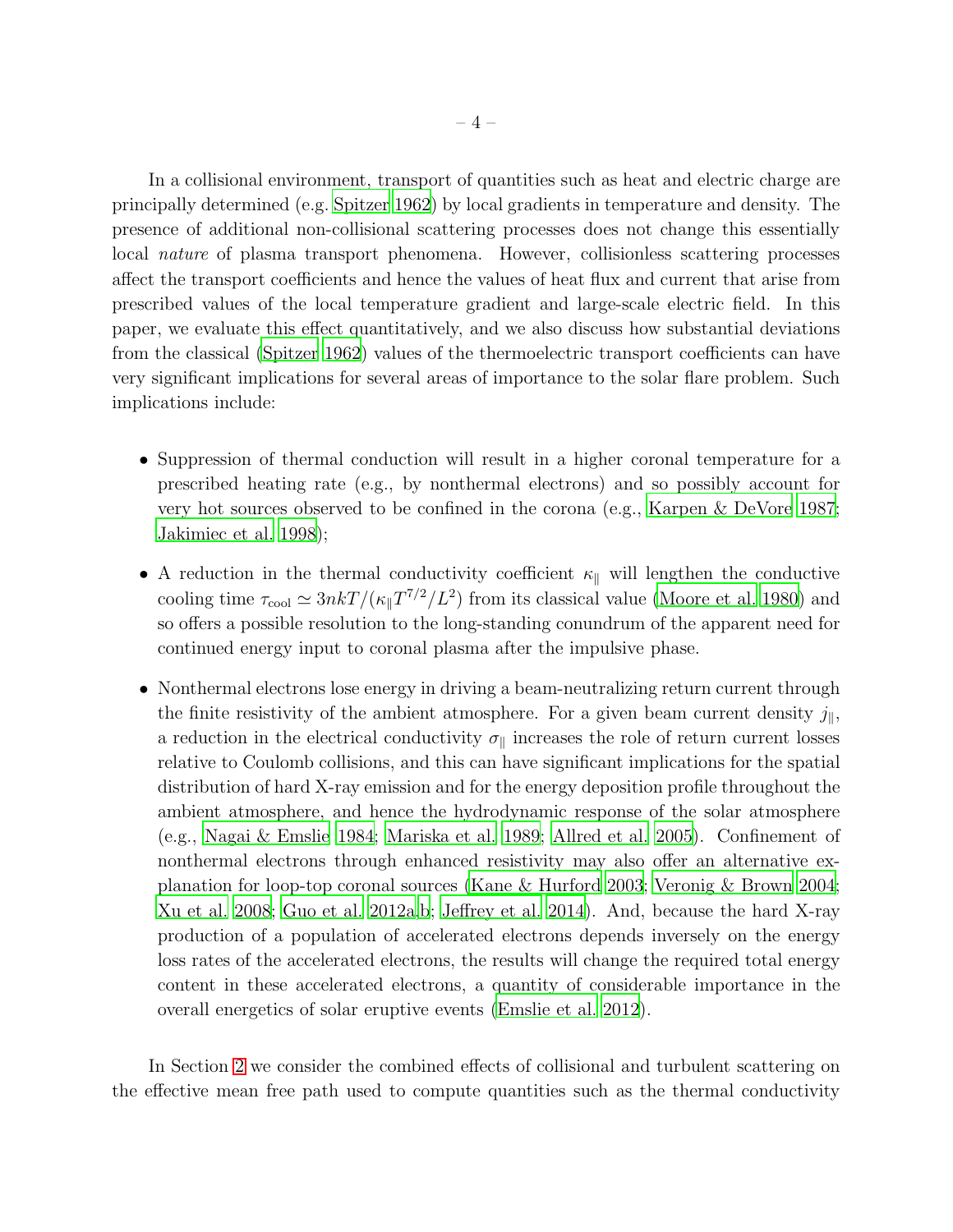In a collisional environment, transport of quantities such as heat and electric charge are principally determined (e.g. [Spitzer 1962\)](#page-36-14) by local gradients in temperature and density. The presence of additional non-collisional scattering processes does not change this essentially local *nature* of plasma transport phenomena. However, collisionless scattering processes affect the transport coefficients and hence the values of heat flux and current that arise from prescribed values of the local temperature gradient and large-scale electric field. In this paper, we evaluate this effect quantitatively, and we also discuss how substantial deviations from the classical [\(Spitzer 1962\)](#page-36-14) values of the thermoelectric transport coefficients can have very significant implications for several areas of importance to the solar flare problem. Such implications include:

- Suppression of thermal conduction will result in a higher coronal temperature for a prescribed heating rate (e.g., by nonthermal electrons) and so possibly account for very hot sources observed to be confined in the corona (e.g., [Karpen & DeVore 1987;](#page-34-18) [Jakimiec et al. 1998](#page-34-19));
- A reduction in the thermal conductivity coefficient  $\kappa_{\parallel}$  will lengthen the conductive cooling time  $\tau_{\text{cool}} \simeq 3nkT/(\kappa_{\parallel}T^{7/2}/L^2)$  from its classical value [\(Moore et al. 1980\)](#page-35-10) and so offers a possible resolution to the long-standing conundrum of the apparent need for continued energy input to coronal plasma after the impulsive phase.
- Nonthermal electrons lose energy in driving a beam-neutralizing return current through the finite resistivity of the ambient atmosphere. For a given beam current density  $j_{\parallel}$ , a reduction in the electrical conductivity  $\sigma_{\parallel}$  increases the role of return current losses relative to Coulomb collisions, and this can have significant implications for the spatial distribution of hard X-ray emission and for the energy deposition profile throughout the ambient atmosphere, and hence the hydrodynamic response of the solar atmosphere (e.g., [Nagai & Emslie 1984](#page-35-11); [Mariska et al. 1989](#page-35-12); [Allred et al. 2005\)](#page-32-7). Confinement of nonthermal electrons through enhanced resistivity may also offer an alternative explanation for loop-top coronal sources [\(Kane & Hurford 2003;](#page-34-4) [Veronig & Brown 2004;](#page-36-8) [Xu et al. 2008](#page-36-9); [Guo et al. 2012a](#page-34-8)[,b](#page-34-9); [Jeffrey et al. 2014\)](#page-34-10). And, because the hard X-ray production of a population of accelerated electrons depends inversely on the energy loss rates of the accelerated electrons, the results will change the required total energy content in these accelerated electrons, a quantity of considerable importance in the overall energetics of solar eruptive events [\(Emslie et al. 2012\)](#page-33-4).

In Section [2](#page-4-0) we consider the combined effects of collisional and turbulent scattering on the effective mean free path used to compute quantities such as the thermal conductivity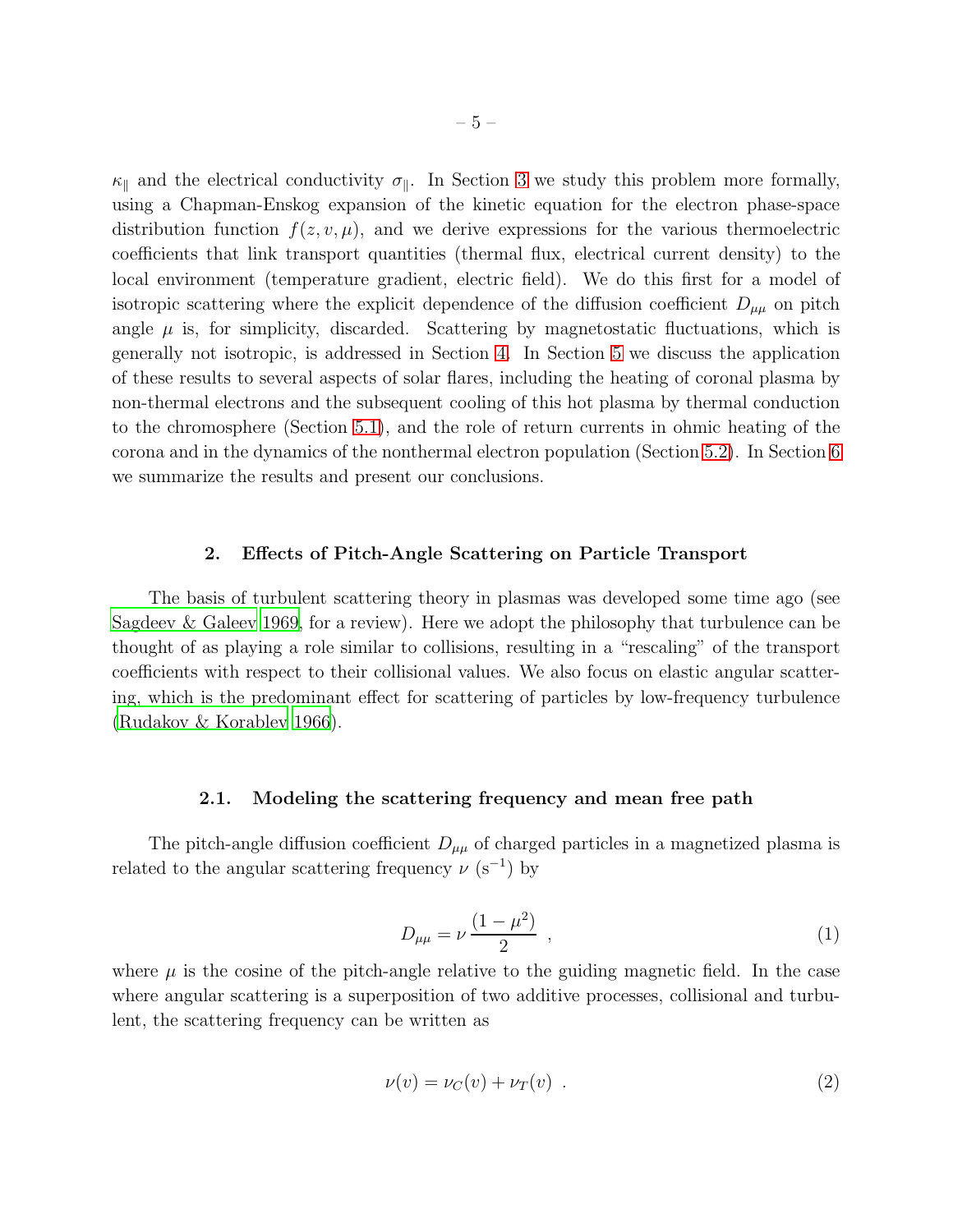$\kappa_{\parallel}$  and the electrical conductivity  $\sigma_{\parallel}$ . In Section [3](#page-9-0) we study this problem more formally, using a Chapman-Enskog expansion of the kinetic equation for the electron phase-space distribution function  $f(z, v, \mu)$ , and we derive expressions for the various thermoelectric coefficients that link transport quantities (thermal flux, electrical current density) to the local environment (temperature gradient, electric field). We do this first for a model of isotropic scattering where the explicit dependence of the diffusion coefficient  $D_{\mu\mu}$  on pitch angle  $\mu$  is, for simplicity, discarded. Scattering by magnetostatic fluctuations, which is generally not isotropic, is addressed in Section [4.](#page-18-0) In Section [5](#page-25-0) we discuss the application of these results to several aspects of solar flares, including the heating of coronal plasma by non-thermal electrons and the subsequent cooling of this hot plasma by thermal conduction to the chromosphere (Section [5.1\)](#page-25-1), and the role of return currents in ohmic heating of the corona and in the dynamics of the nonthermal electron population (Section [5.2\)](#page-29-0). In Section [6](#page-31-0) we summarize the results and present our conclusions.

### 2. Effects of Pitch-Angle Scattering on Particle Transport

<span id="page-4-0"></span>The basis of turbulent scattering theory in plasmas was developed some time ago (see [Sagdeev & Galeev 1969,](#page-36-15) for a review). Here we adopt the philosophy that turbulence can be thought of as playing a role similar to collisions, resulting in a "rescaling" of the transport coefficients with respect to their collisional values. We also focus on elastic angular scattering, which is the predominant effect for scattering of particles by low-frequency turbulence [\(Rudakov & Korablev 1966](#page-36-16)).

# 2.1. Modeling the scattering frequency and mean free path

<span id="page-4-2"></span>The pitch-angle diffusion coefficient  $D_{\mu\mu}$  of charged particles in a magnetized plasma is related to the angular scattering frequency  $\nu$  (s<sup>-1</sup>) by

<span id="page-4-1"></span>
$$
D_{\mu\mu} = \nu \, \frac{(1 - \mu^2)}{2} \quad , \tag{1}
$$

where  $\mu$  is the cosine of the pitch-angle relative to the guiding magnetic field. In the case where angular scattering is a superposition of two additive processes, collisional and turbulent, the scattering frequency can be written as

$$
\nu(v) = \nu_C(v) + \nu_T(v) \tag{2}
$$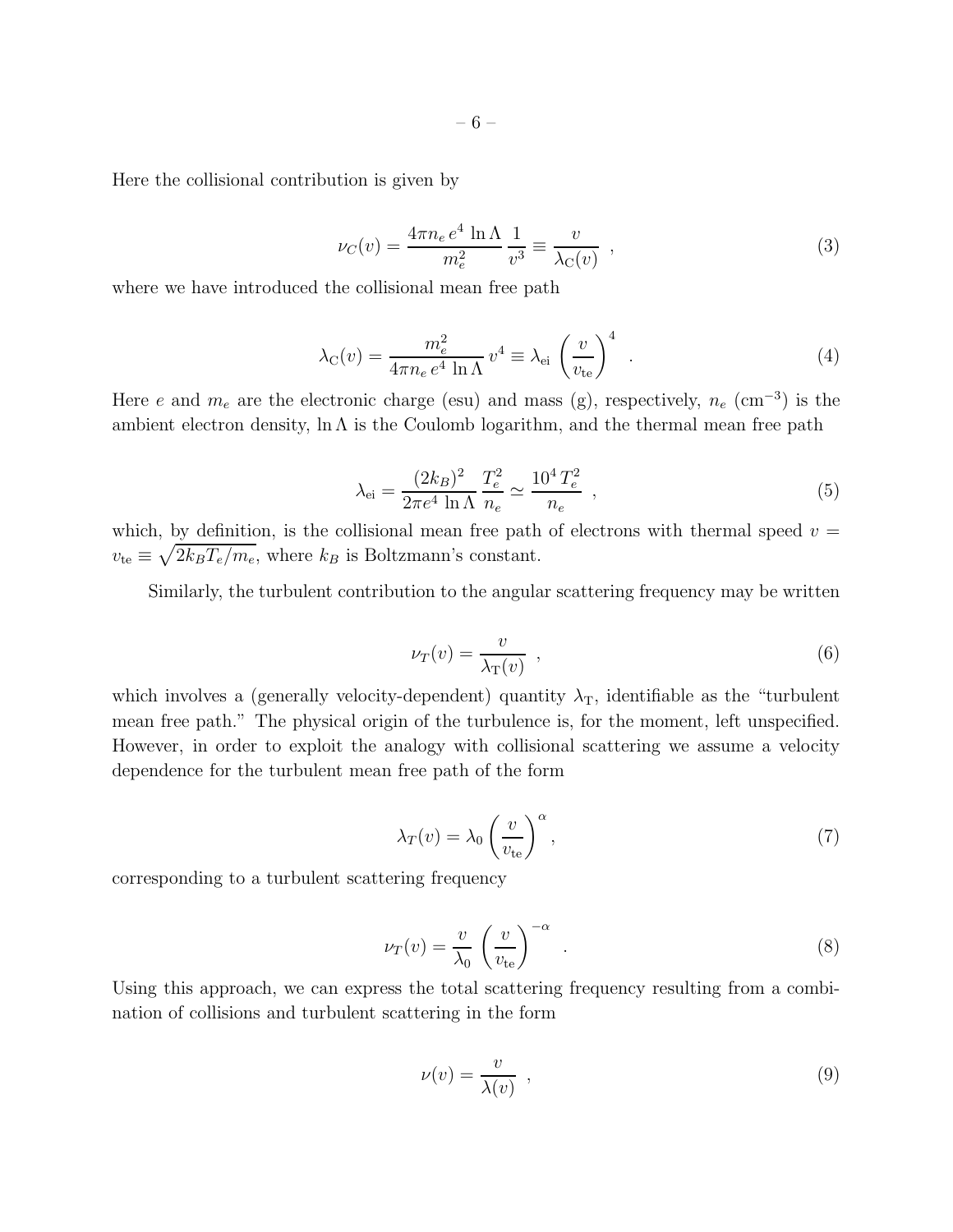Here the collisional contribution is given by

<span id="page-5-0"></span>
$$
\nu_C(v) = \frac{4\pi n_e e^4 \ln \Lambda}{m_e^2} \frac{1}{v^3} \equiv \frac{v}{\lambda_C(v)} \quad , \tag{3}
$$

where we have introduced the collisional mean free path

<span id="page-5-1"></span>
$$
\lambda_{\rm C}(v) = \frac{m_e^2}{4\pi n_e e^4 \ln \Lambda} v^4 \equiv \lambda_{\rm ei} \left(\frac{v}{v_{\rm te}}\right)^4 \quad . \tag{4}
$$

Here e and  $m_e$  are the electronic charge (esu) and mass (g), respectively,  $n_e$  (cm<sup>-3</sup>) is the ambient electron density,  $\ln \Lambda$  is the Coulomb logarithm, and the thermal mean free path

<span id="page-5-4"></span>
$$
\lambda_{\rm ei} = \frac{(2k_B)^2}{2\pi e^4 \ln \Lambda} \frac{T_e^2}{n_e} \simeq \frac{10^4 T_e^2}{n_e} \,,\tag{5}
$$

which, by definition, is the collisional mean free path of electrons with thermal speed  $v =$  $v_{\text{te}} \equiv \sqrt{2k_B T_e/m_e}$ , where  $k_B$  is Boltzmann's constant.

Similarly, the turbulent contribution to the angular scattering frequency may be written

$$
\nu_T(v) = \frac{v}{\lambda_T(v)} \quad , \tag{6}
$$

which involves a (generally velocity-dependent) quantity  $\lambda_T$ , identifiable as the "turbulent" mean free path." The physical origin of the turbulence is, for the moment, left unspecified. However, in order to exploit the analogy with collisional scattering we assume a velocity dependence for the turbulent mean free path of the form

<span id="page-5-3"></span>
$$
\lambda_T(v) = \lambda_0 \left(\frac{v}{v_{\text{te}}}\right)^{\alpha},\tag{7}
$$

corresponding to a turbulent scattering frequency

<span id="page-5-2"></span>
$$
\nu_T(v) = \frac{v}{\lambda_0} \left(\frac{v}{v_{\text{te}}}\right)^{-\alpha} \tag{8}
$$

Using this approach, we can express the total scattering frequency resulting from a combination of collisions and turbulent scattering in the form

$$
\nu(v) = \frac{v}{\lambda(v)} \tag{9}
$$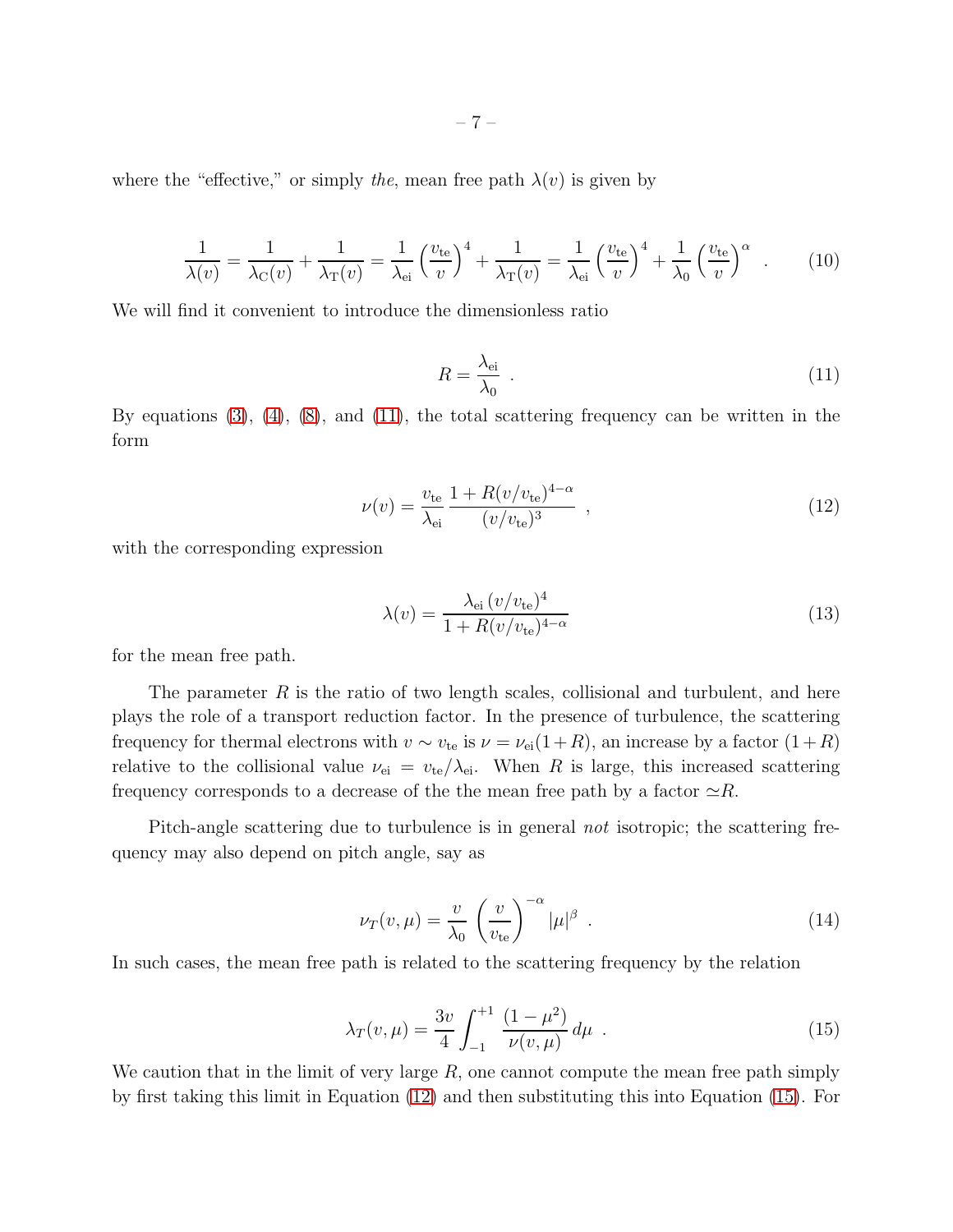where the "effective," or simply the, mean free path  $\lambda(v)$  is given by

<span id="page-6-5"></span>
$$
\frac{1}{\lambda(v)} = \frac{1}{\lambda_{\rm C}(v)} + \frac{1}{\lambda_{\rm T}(v)} = \frac{1}{\lambda_{\rm ei}} \left(\frac{v_{\rm te}}{v}\right)^4 + \frac{1}{\lambda_{\rm T}(v)} = \frac{1}{\lambda_{\rm ei}} \left(\frac{v_{\rm te}}{v}\right)^4 + \frac{1}{\lambda_0} \left(\frac{v_{\rm te}}{v}\right)^\alpha \tag{10}
$$

We will find it convenient to introduce the dimensionless ratio

<span id="page-6-0"></span>
$$
R = \frac{\lambda_{\text{ei}}}{\lambda_0} \tag{11}
$$

By equations  $(3)$ ,  $(4)$ ,  $(8)$ , and  $(11)$ , the total scattering frequency can be written in the form

<span id="page-6-1"></span>
$$
\nu(v) = \frac{v_{\rm te}}{\lambda_{\rm ei}} \frac{1 + R(v/v_{\rm te})^{4-\alpha}}{(v/v_{\rm te})^3} \tag{12}
$$

with the corresponding expression

<span id="page-6-3"></span>
$$
\lambda(v) = \frac{\lambda_{\text{ei}} \left( v/v_{\text{te}} \right)^4}{1 + R(v/v_{\text{te}})^{4-\alpha}} \tag{13}
$$

for the mean free path.

The parameter  $R$  is the ratio of two length scales, collisional and turbulent, and here plays the role of a transport reduction factor. In the presence of turbulence, the scattering frequency for thermal electrons with  $v \sim v_{te}$  is  $\nu = \nu_{ei}(1+R)$ , an increase by a factor  $(1+R)$ relative to the collisional value  $\nu_{ei} = v_{te}/\lambda_{ei}$ . When R is large, this increased scattering frequency corresponds to a decrease of the the mean free path by a factor  $\simeq R$ .

Pitch-angle scattering due to turbulence is in general not isotropic; the scattering frequency may also depend on pitch angle, say as

<span id="page-6-4"></span>
$$
\nu_T(v,\mu) = \frac{v}{\lambda_0} \left(\frac{v}{v_{\text{te}}}\right)^{-\alpha} |\mu|^{\beta} . \tag{14}
$$

In such cases, the mean free path is related to the scattering frequency by the relation

<span id="page-6-2"></span>
$$
\lambda_T(v,\mu) = \frac{3v}{4} \int_{-1}^{+1} \frac{(1-\mu^2)}{\nu(v,\mu)} d\mu \quad . \tag{15}
$$

We caution that in the limit of very large  $R$ , one cannot compute the mean free path simply by first taking this limit in Equation [\(12\)](#page-6-1) and then substituting this into Equation [\(15\)](#page-6-2). For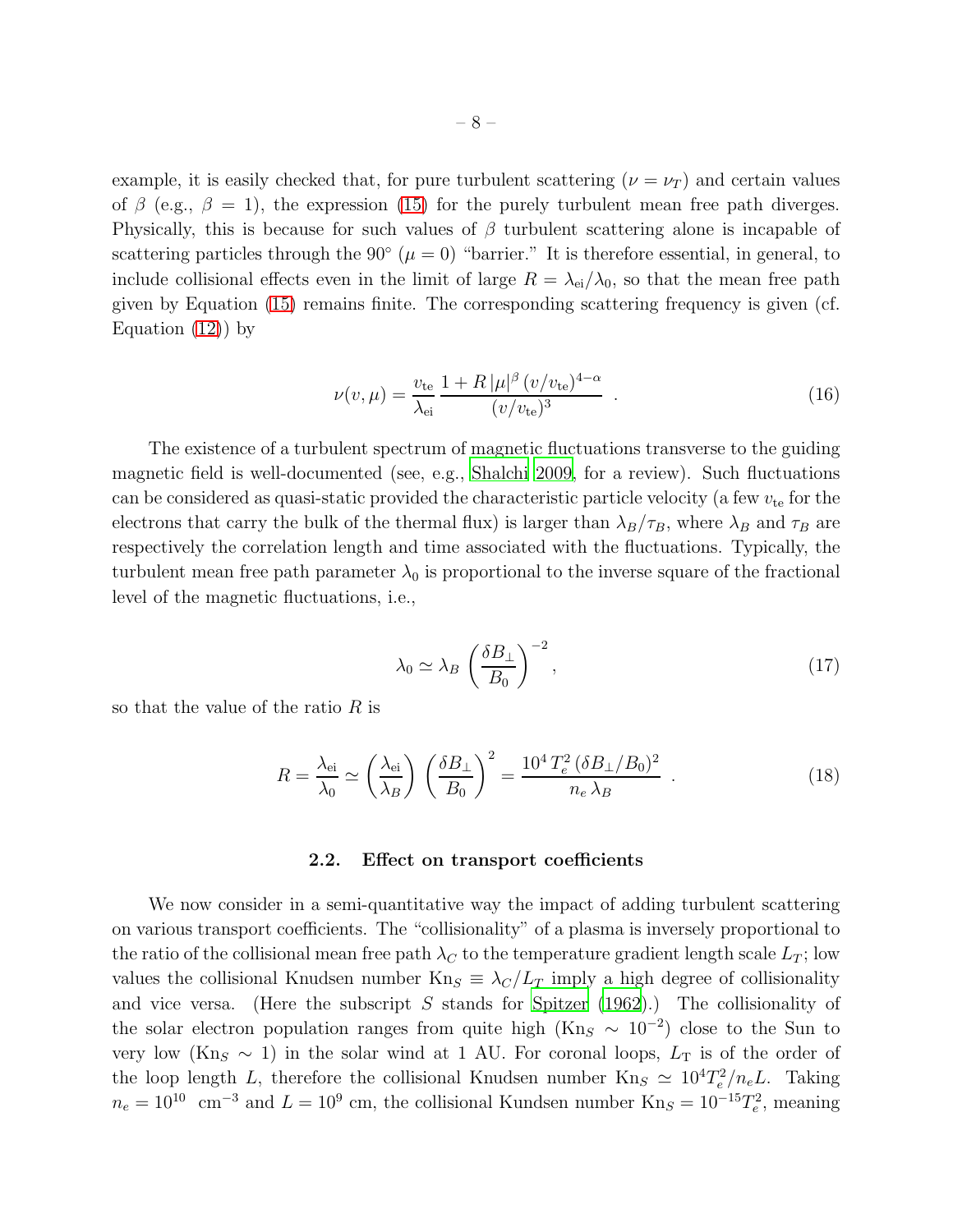example, it is easily checked that, for pure turbulent scattering  $(\nu = \nu_T)$  and certain values of  $\beta$  (e.g.,  $\beta = 1$ ), the expression [\(15\)](#page-6-2) for the purely turbulent mean free path diverges. Physically, this is because for such values of  $\beta$  turbulent scattering alone is incapable of scattering particles through the  $90° (\mu = 0)$  "barrier." It is therefore essential, in general, to include collisional effects even in the limit of large  $R = \lambda_{ei}/\lambda_0$ , so that the mean free path given by Equation [\(15\)](#page-6-2) remains finite. The corresponding scattering frequency is given (cf. Equation  $(12)$  by

$$
\nu(v,\mu) = \frac{v_{\rm te}}{\lambda_{\rm ei}} \frac{1 + R \, |\mu|^{\beta} \, (v/v_{\rm te})^{4-\alpha}}{(v/v_{\rm te})^3} \tag{16}
$$

The existence of a turbulent spectrum of magnetic fluctuations transverse to the guiding magnetic field is well-documented (see, e.g., [Shalchi 2009,](#page-36-12) for a review). Such fluctuations can be considered as quasi-static provided the characteristic particle velocity (a few  $v_{te}$  for the electrons that carry the bulk of the thermal flux) is larger than  $\lambda_B/\tau_B$ , where  $\lambda_B$  and  $\tau_B$  are respectively the correlation length and time associated with the fluctuations. Typically, the turbulent mean free path parameter  $\lambda_0$  is proportional to the inverse square of the fractional level of the magnetic fluctuations, i.e.,

$$
\lambda_0 \simeq \lambda_B \left(\frac{\delta B_\perp}{B_0}\right)^{-2},\tag{17}
$$

so that the value of the ratio  $R$  is

$$
R = \frac{\lambda_{\text{ei}}}{\lambda_0} \simeq \left(\frac{\lambda_{\text{ei}}}{\lambda_B}\right) \left(\frac{\delta B_\perp}{B_0}\right)^2 = \frac{10^4 T_e^2 (\delta B_\perp/B_0)^2}{n_e \lambda_B} \tag{18}
$$

### 2.2. Effect on transport coefficients

We now consider in a semi-quantitative way the impact of adding turbulent scattering on various transport coefficients. The "collisionality" of a plasma is inversely proportional to the ratio of the collisional mean free path  $\lambda_C$  to the temperature gradient length scale  $L_T$ ; low values the collisional Knudsen number  $Kn_S \equiv \lambda_C/L_T$  imply a high degree of collisionality and vice versa. (Here the subscript S stands for Spitzer  $(1962)$ .) The collisionality of the solar electron population ranges from quite high (Kn<sub>S</sub>  $\sim 10^{-2}$ ) close to the Sun to very low (Kn<sub>S</sub>  $\sim$  1) in the solar wind at 1 AU. For coronal loops,  $L_T$  is of the order of the loop length L, therefore the collisional Knudsen number  $Kn_S \simeq 10^4 T_e^2/n_e L$ . Taking  $n_e = 10^{10}$  cm<sup>-3</sup> and  $L = 10^9$  cm, the collisional Kundsen number Kn<sub>S</sub> =  $10^{-15}T_e^2$ , meaning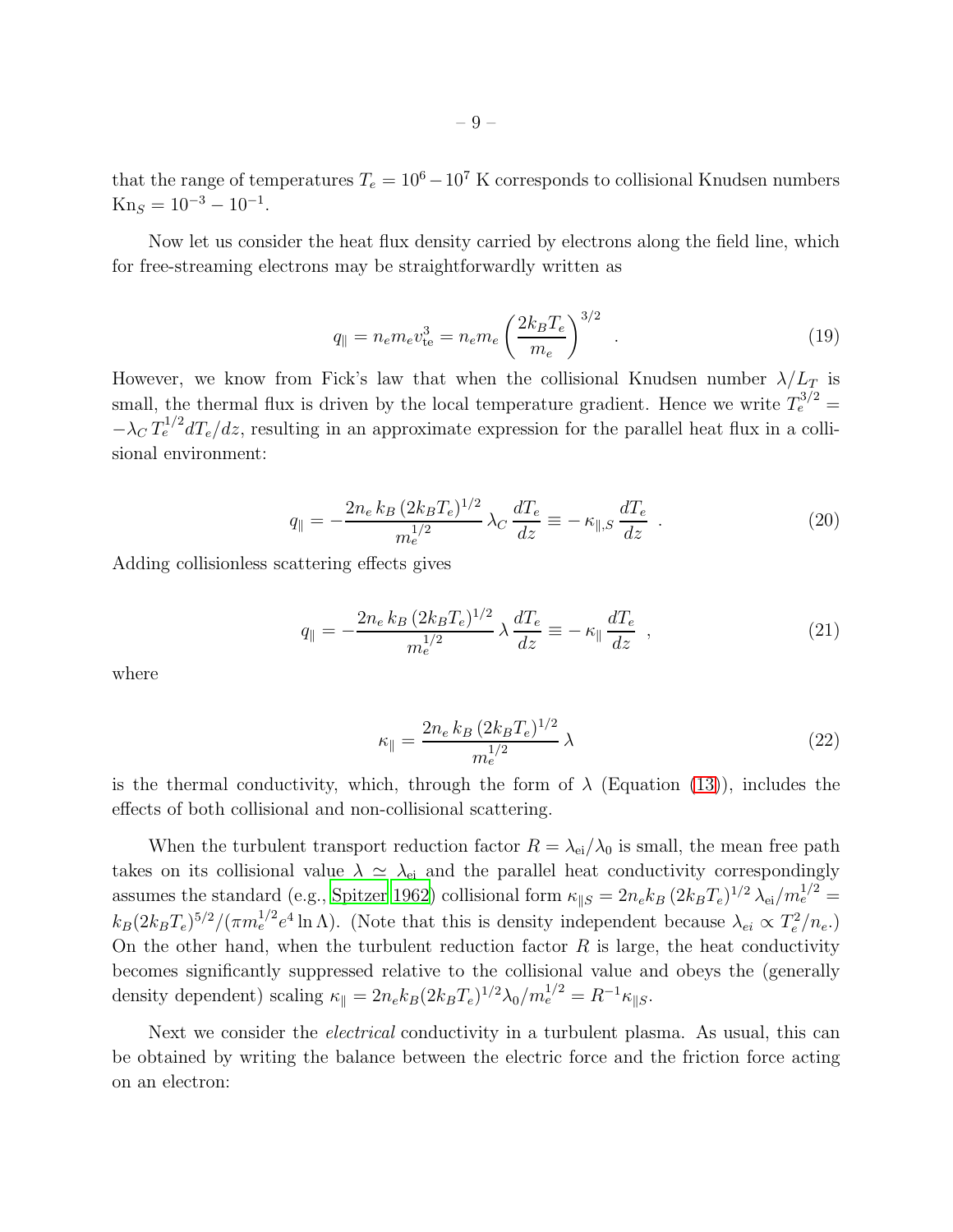Now let us consider the heat flux density carried by electrons along the field line, which for free-streaming electrons may be straightforwardly written as

<span id="page-8-0"></span>
$$
q_{\parallel} = n_e m_e v_{\text{te}}^3 = n_e m_e \left(\frac{2k_B T_e}{m_e}\right)^{3/2} \tag{19}
$$

However, we know from Fick's law that when the collisional Knudsen number  $\lambda/L_T$  is small, the thermal flux is driven by the local temperature gradient. Hence we write  $T_e^{3/2} =$  $-\lambda_C T_e^{1/2} dT_e/dz$ , resulting in an approximate expression for the parallel heat flux in a collisional environment:

$$
q_{\parallel} = -\frac{2n_e k_B (2k_B T_e)^{1/2}}{m_e^{1/2}} \lambda_C \frac{dT_e}{dz} \equiv -\kappa_{\parallel,S} \frac{dT_e}{dz} . \qquad (20)
$$

Adding collisionless scattering effects gives

$$
q_{\parallel} = -\frac{2n_e k_B (2k_B T_e)^{1/2}}{m_e^{1/2}} \lambda \frac{dT_e}{dz} \equiv -\kappa_{\parallel} \frac{dT_e}{dz} , \qquad (21)
$$

where

 $\text{Kn}_S = 10^{-3} - 10^{-1}.$ 

$$
\kappa_{\parallel} = \frac{2n_e k_B (2k_B T_e)^{1/2}}{m_e^{1/2}} \lambda \tag{22}
$$

is the thermal conductivity, which, through the form of  $\lambda$  (Equation [\(13\)](#page-6-3)), includes the effects of both collisional and non-collisional scattering.

When the turbulent transport reduction factor  $R = \lambda_{\rm ei}/\lambda_0$  is small, the mean free path takes on its collisional value  $\lambda \simeq \lambda_{\rm ei}$  and the parallel heat conductivity correspondingly assumes the standard (e.g., [Spitzer 1962\)](#page-36-14) collisional form  $\kappa_{\parallel S} = 2n_e k_B (2k_B T_e)^{1/2} \lambda_{ei} / m_e^{1/2} =$  $k_B(2k_B T_e)^{5/2}/(\pi m_e^{1/2} e^4 \ln \Lambda)$ . (Note that this is density independent because  $\lambda_{ei} \propto T_e^2/n_e$ .) On the other hand, when the turbulent reduction factor  $R$  is large, the heat conductivity becomes significantly suppressed relative to the collisional value and obeys the (generally density dependent) scaling  $\kappa_{\parallel} = 2n_e k_B (2k_B T_e)^{1/2} \lambda_0 / m_e^{1/2} = R^{-1} \kappa_{\parallel S}$ .

Next we consider the *electrical* conductivity in a turbulent plasma. As usual, this can be obtained by writing the balance between the electric force and the friction force acting on an electron: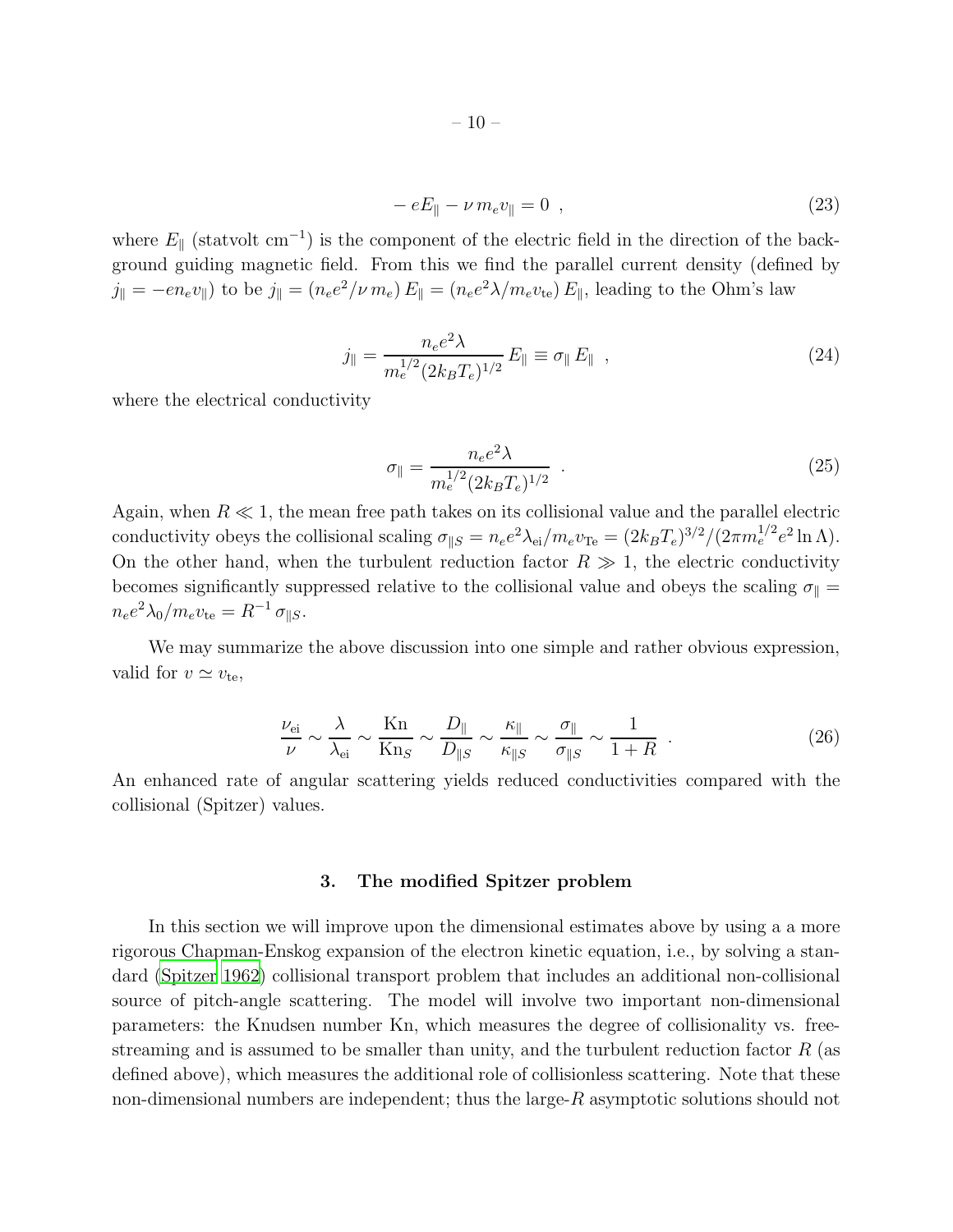$$
- eE_{\parallel} - \nu m_{e} v_{\parallel} = 0 \quad , \tag{23}
$$

where  $E_{\parallel}$  (statvolt cm<sup>-1</sup>) is the component of the electric field in the direction of the background guiding magnetic field. From this we find the parallel current density (defined by  $j_{\parallel} = -en_e v_{\parallel}$ ) to be  $j_{\parallel} = (n_e e^2/\nu m_e) E_{\parallel} = (n_e e^2 \lambda/m_e v_{\text{te}}) E_{\parallel}$ , leading to the Ohm's law

$$
j_{\parallel} = \frac{n_e e^2 \lambda}{m_e^{1/2} (2k_B T_e)^{1/2}} E_{\parallel} \equiv \sigma_{\parallel} E_{\parallel} \quad , \tag{24}
$$

where the electrical conductivity

$$
\sigma_{\parallel} = \frac{n_e e^2 \lambda}{m_e^{1/2} (2k_B T_e)^{1/2}} \tag{25}
$$

Again, when  $R \ll 1$ , the mean free path takes on its collisional value and the parallel electric conductivity obeys the collisional scaling  $\sigma_{\parallel S} = n_e e^2 \lambda_{\rm ei} / m_e v_{\rm Te} = (2k_B T_e)^{3/2} / (2\pi m_e^{1/2} e^2 \ln \Lambda)$ . On the other hand, when the turbulent reduction factor  $R \gg 1$ , the electric conductivity becomes significantly suppressed relative to the collisional value and obeys the scaling  $\sigma_{\parallel} =$  $n_e e^2 \lambda_0 / m_e v_{\text{te}} = R^{-1} \sigma_{\parallel S}$ .

We may summarize the above discussion into one simple and rather obvious expression, valid for  $v \simeq v_{\text{te}}$ ,

$$
\frac{\nu_{\rm ei}}{\nu} \sim \frac{\lambda}{\lambda_{\rm ei}} \sim \frac{\text{Kn}}{\text{Kn}_S} \sim \frac{D_{\parallel}}{D_{\parallel S}} \sim \frac{\kappa_{\parallel}}{\kappa_{\parallel S}} \sim \frac{\sigma_{\parallel}}{\sigma_{\parallel S}} \sim \frac{1}{1+R} \quad . \tag{26}
$$

<span id="page-9-0"></span>An enhanced rate of angular scattering yields reduced conductivities compared with the collisional (Spitzer) values.

# 3. The modified Spitzer problem

In this section we will improve upon the dimensional estimates above by using a a more rigorous Chapman-Enskog expansion of the electron kinetic equation, i.e., by solving a standard [\(Spitzer 1962\)](#page-36-14) collisional transport problem that includes an additional non-collisional source of pitch-angle scattering. The model will involve two important non-dimensional parameters: the Knudsen number Kn, which measures the degree of collisionality vs. freestreaming and is assumed to be smaller than unity, and the turbulent reduction factor  $R$  (as defined above), which measures the additional role of collisionless scattering. Note that these non-dimensional numbers are independent; thus the large- $R$  asymptotic solutions should not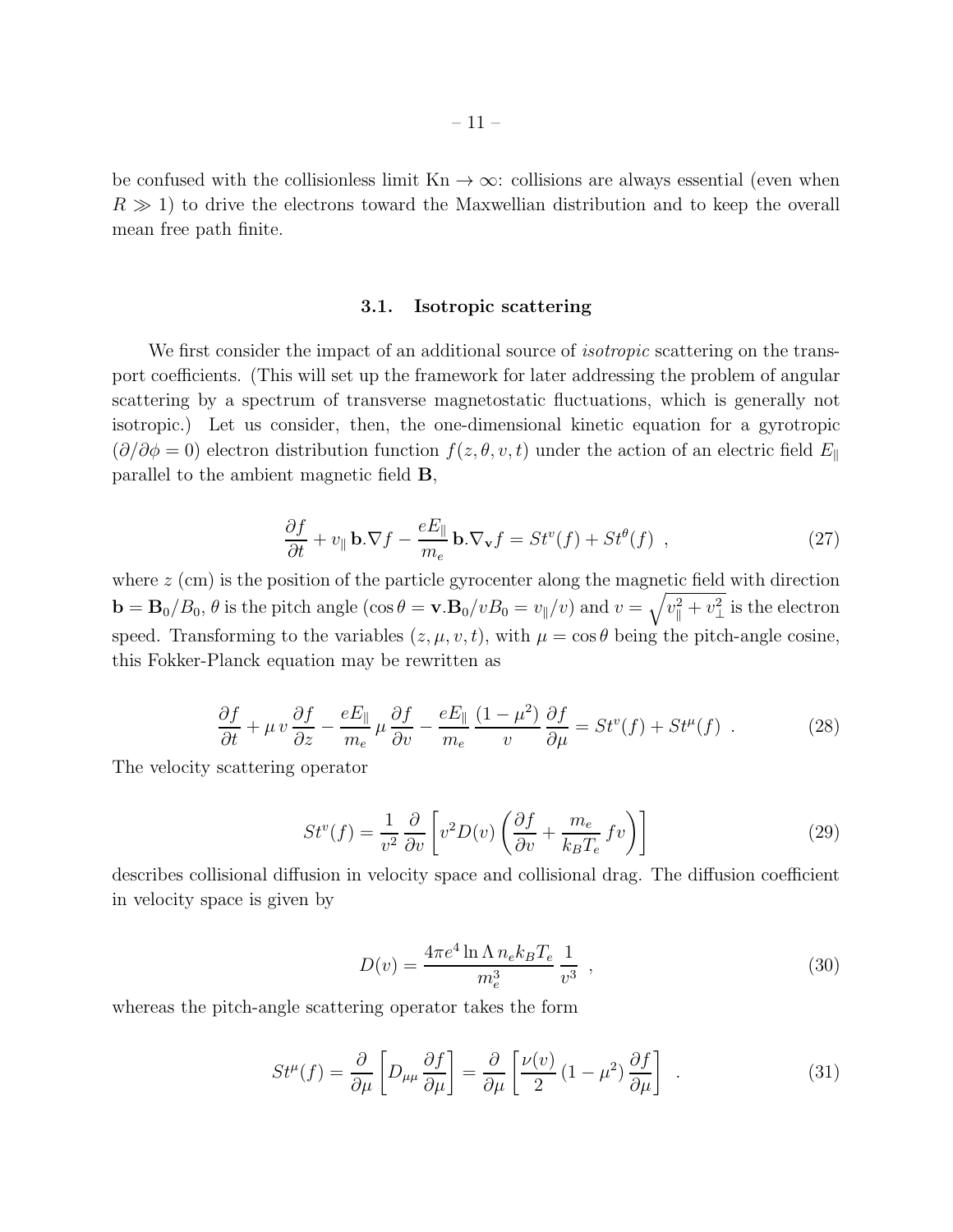be confused with the collisionless limit  $Kn \to \infty$ : collisions are always essential (even when  $R \gg 1$ ) to drive the electrons toward the Maxwellian distribution and to keep the overall mean free path finite.

### 3.1. Isotropic scattering

We first consider the impact of an additional source of *isotropic* scattering on the transport coefficients. (This will set up the framework for later addressing the problem of angular scattering by a spectrum of transverse magnetostatic fluctuations, which is generally not isotropic.) Let us consider, then, the one-dimensional kinetic equation for a gyrotropic  $(\partial/\partial \phi = 0)$  electron distribution function  $f(z, \theta, v, t)$  under the action of an electric field  $E_{\parallel}$ parallel to the ambient magnetic field B,

$$
\frac{\partial f}{\partial t} + v_{\parallel} \mathbf{b} \cdot \nabla f - \frac{eE_{\parallel}}{m_e} \mathbf{b} \cdot \nabla_{\mathbf{v}} f = St^v(f) + St^{\theta}(f) \quad , \tag{27}
$$

where  $z$  (cm) is the position of the particle gyrocenter along the magnetic field with direction  $\mathbf{b} = \mathbf{B}_0/B_0$ ,  $\theta$  is the pitch angle  $(\cos \theta = \mathbf{v} \cdot \mathbf{B}_0/vB_0 = v_{\parallel}/v)$  and  $v = \sqrt{v_{\parallel}^2 + v_{\perp}^2}$  is the electron speed. Transforming to the variables  $(z, \mu, v, t)$ , with  $\mu = \cos \theta$  being the pitch-angle cosine, this Fokker-Planck equation may be rewritten as

<span id="page-10-2"></span>
$$
\frac{\partial f}{\partial t} + \mu v \frac{\partial f}{\partial z} - \frac{eE_{\parallel}}{m_e} \mu \frac{\partial f}{\partial v} - \frac{eE_{\parallel}}{m_e} \frac{(1 - \mu^2)}{v} \frac{\partial f}{\partial \mu} = St^v(f) + St^\mu(f) \tag{28}
$$

The velocity scattering operator

<span id="page-10-0"></span>
$$
St^{v}(f) = \frac{1}{v^{2}} \frac{\partial}{\partial v} \left[ v^{2} D(v) \left( \frac{\partial f}{\partial v} + \frac{m_{e}}{k_{B} T_{e}} f v \right) \right]
$$
(29)

describes collisional diffusion in velocity space and collisional drag. The diffusion coefficient in velocity space is given by

$$
D(v) = \frac{4\pi e^4 \ln \Lambda n_e k_B T_e}{m_e^3} \frac{1}{v^3} \tag{30}
$$

whereas the pitch-angle scattering operator takes the form

<span id="page-10-1"></span>
$$
St^{\mu}(f) = \frac{\partial}{\partial \mu} \left[ D_{\mu\mu} \frac{\partial f}{\partial \mu} \right] = \frac{\partial}{\partial \mu} \left[ \frac{\nu(v)}{2} (1 - \mu^2) \frac{\partial f}{\partial \mu} \right] \tag{31}
$$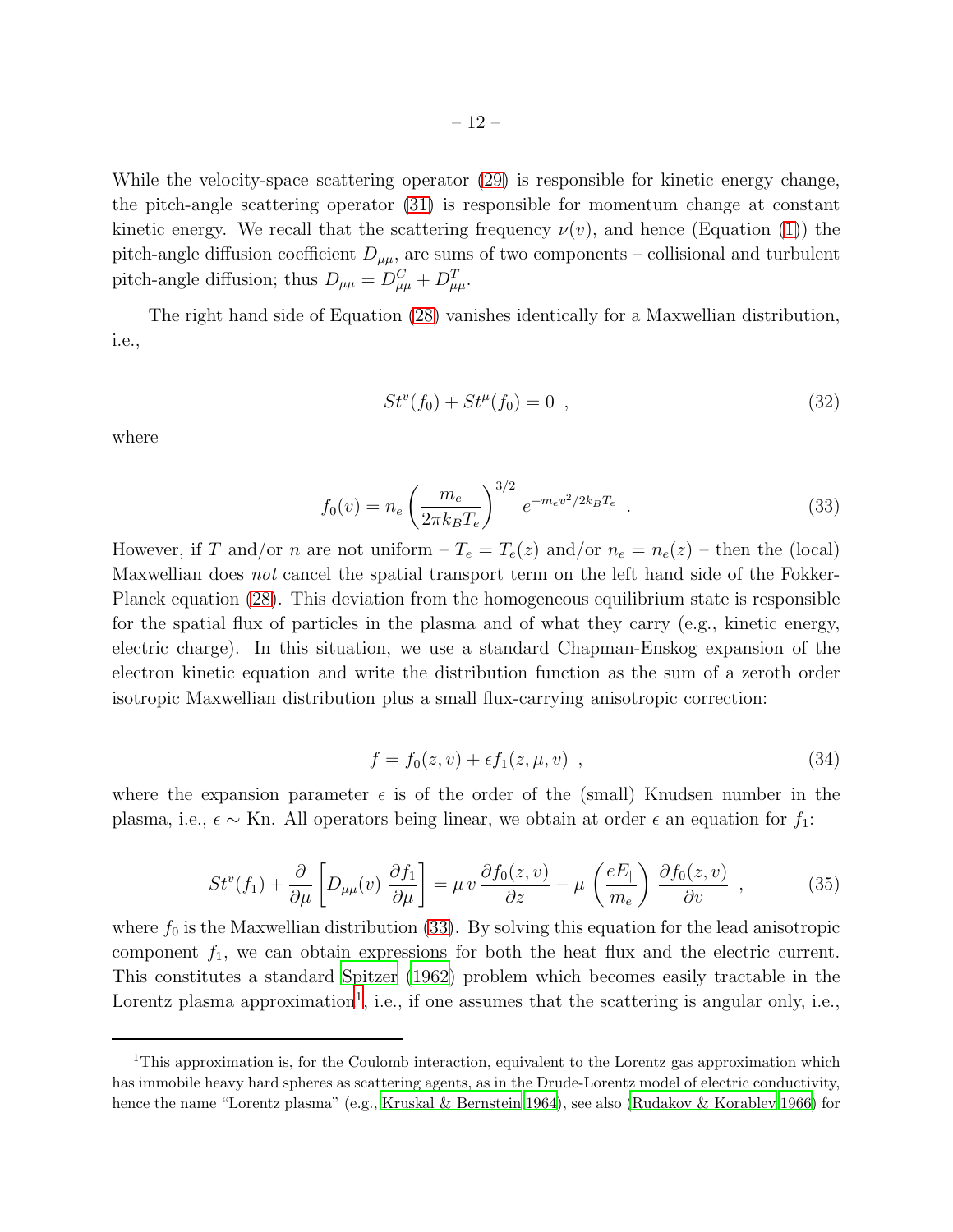While the velocity-space scattering operator [\(29\)](#page-10-0) is responsible for kinetic energy change, the pitch-angle scattering operator [\(31\)](#page-10-1) is responsible for momentum change at constant kinetic energy. We recall that the scattering frequency  $\nu(v)$ , and hence (Equation [\(1\)](#page-4-1)) the pitch-angle diffusion coefficient  $D_{\mu\mu}$ , are sums of two components – collisional and turbulent pitch-angle diffusion; thus  $D_{\mu\mu} = D_{\mu\mu}^C + D_{\mu\mu}^T$ .

The right hand side of Equation [\(28\)](#page-10-2) vanishes identically for a Maxwellian distribution, i.e.,

$$
St^v(f_0) + St^\mu(f_0) = 0 \tag{32}
$$

where

<span id="page-11-0"></span>
$$
f_0(v) = n_e \left(\frac{m_e}{2\pi k_B T_e}\right)^{3/2} e^{-m_e v^2 / 2k_B T_e} \tag{33}
$$

However, if T and/or n are not uniform  $-T_e = T_e(z)$  and/or  $n_e = n_e(z)$  – then the (local) Maxwellian does not cancel the spatial transport term on the left hand side of the Fokker-Planck equation [\(28\)](#page-10-2). This deviation from the homogeneous equilibrium state is responsible for the spatial flux of particles in the plasma and of what they carry (e.g., kinetic energy, electric charge). In this situation, we use a standard Chapman-Enskog expansion of the electron kinetic equation and write the distribution function as the sum of a zeroth order isotropic Maxwellian distribution plus a small flux-carrying anisotropic correction:

$$
f = f_0(z, v) + \epsilon f_1(z, \mu, v) \tag{34}
$$

where the expansion parameter  $\epsilon$  is of the order of the (small) Knudsen number in the plasma, i.e.,  $\epsilon \sim$  Kn. All operators being linear, we obtain at order  $\epsilon$  an equation for  $f_1$ :

<span id="page-11-2"></span>
$$
St^{v}(f_1) + \frac{\partial}{\partial \mu} \left[ D_{\mu\mu}(v) \frac{\partial f_1}{\partial \mu} \right] = \mu v \frac{\partial f_0(z, v)}{\partial z} - \mu \left( \frac{eE_{\parallel}}{m_e} \right) \frac{\partial f_0(z, v)}{\partial v} , \qquad (35)
$$

where  $f_0$  is the Maxwellian distribution [\(33\)](#page-11-0). By solving this equation for the lead anisotropic component  $f_1$ , we can obtain expressions for both the heat flux and the electric current. This constitutes a standard [Spitzer \(1962\)](#page-36-14) problem which becomes easily tractable in the Lorentz plasma approximation<sup>[1](#page-11-1)</sup>, i.e., if one assumes that the scattering is angular only, i.e.,

<span id="page-11-1"></span><sup>&</sup>lt;sup>1</sup>This approximation is, for the Coulomb interaction, equivalent to the Lorentz gas approximation which has immobile heavy hard spheres as scattering agents, as in the Drude-Lorentz model of electric conductivity, hence the name "Lorentz plasma" (e.g., [Kruskal & Bernstein 1964\)](#page-35-13), see also [\(Rudakov & Korablev 1966\)](#page-36-16) for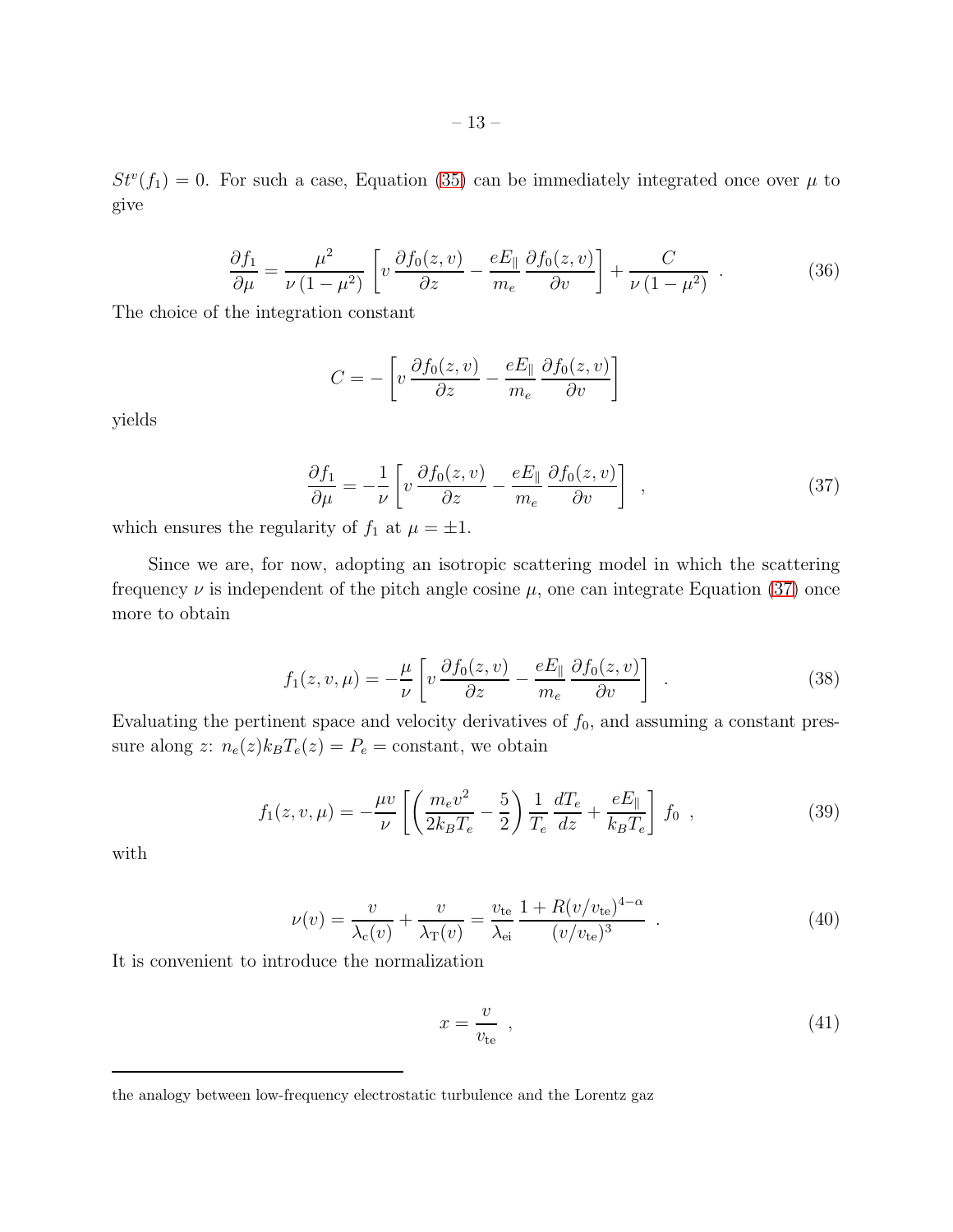$St<sup>v</sup>(f<sub>1</sub>) = 0$ . For such a case, Equation [\(35\)](#page-11-2) can be immediately integrated once over  $\mu$  to give

$$
\frac{\partial f_1}{\partial \mu} = \frac{\mu^2}{\nu (1 - \mu^2)} \left[ v \frac{\partial f_0(z, v)}{\partial z} - \frac{e E_{\parallel}}{m_e} \frac{\partial f_0(z, v)}{\partial v} \right] + \frac{C}{\nu (1 - \mu^2)} \quad . \tag{36}
$$

The choice of the integration constant

$$
C = -\left[v\frac{\partial f_0(z,v)}{\partial z} - \frac{eE_{\parallel}}{m_e} \frac{\partial f_0(z,v)}{\partial v}\right]
$$

yields

<span id="page-12-0"></span>
$$
\frac{\partial f_1}{\partial \mu} = -\frac{1}{\nu} \left[ v \frac{\partial f_0(z, v)}{\partial z} - \frac{e E_{\parallel}}{m_e} \frac{\partial f_0(z, v)}{\partial v} \right] , \qquad (37)
$$

which ensures the regularity of  $f_1$  at  $\mu = \pm 1$ .

Since we are, for now, adopting an isotropic scattering model in which the scattering frequency  $\nu$  is independent of the pitch angle cosine  $\mu$ , one can integrate Equation [\(37\)](#page-12-0) once more to obtain

<span id="page-12-3"></span>
$$
f_1(z, v, \mu) = -\frac{\mu}{\nu} \left[ v \frac{\partial f_0(z, v)}{\partial z} - \frac{e E_{\parallel}}{m_e} \frac{\partial f_0(z, v)}{\partial v} \right] . \tag{38}
$$

Evaluating the pertinent space and velocity derivatives of  $f_0$ , and assuming a constant pressure along z:  $n_e(z)k_BT_e(z) = P_e = \text{constant}$ , we obtain

<span id="page-12-2"></span>
$$
f_1(z, v, \mu) = -\frac{\mu v}{\nu} \left[ \left( \frac{m_e v^2}{2k_B T_e} - \frac{5}{2} \right) \frac{1}{T_e} \frac{dT_e}{dz} + \frac{e E_{\parallel}}{k_B T_e} \right] f_0 ,
$$
 (39)

with

<span id="page-12-1"></span>
$$
\nu(v) = \frac{v}{\lambda_{\rm c}(v)} + \frac{v}{\lambda_{\rm T}(v)} = \frac{v_{\rm te}}{\lambda_{\rm ei}} \frac{1 + R(v/v_{\rm te})^{4-\alpha}}{(v/v_{\rm te})^3} \tag{40}
$$

It is convenient to introduce the normalization

$$
x = \frac{v}{v_{\text{te}}},\tag{41}
$$

the analogy between low-frequency electrostatic turbulence and the Lorentz gaz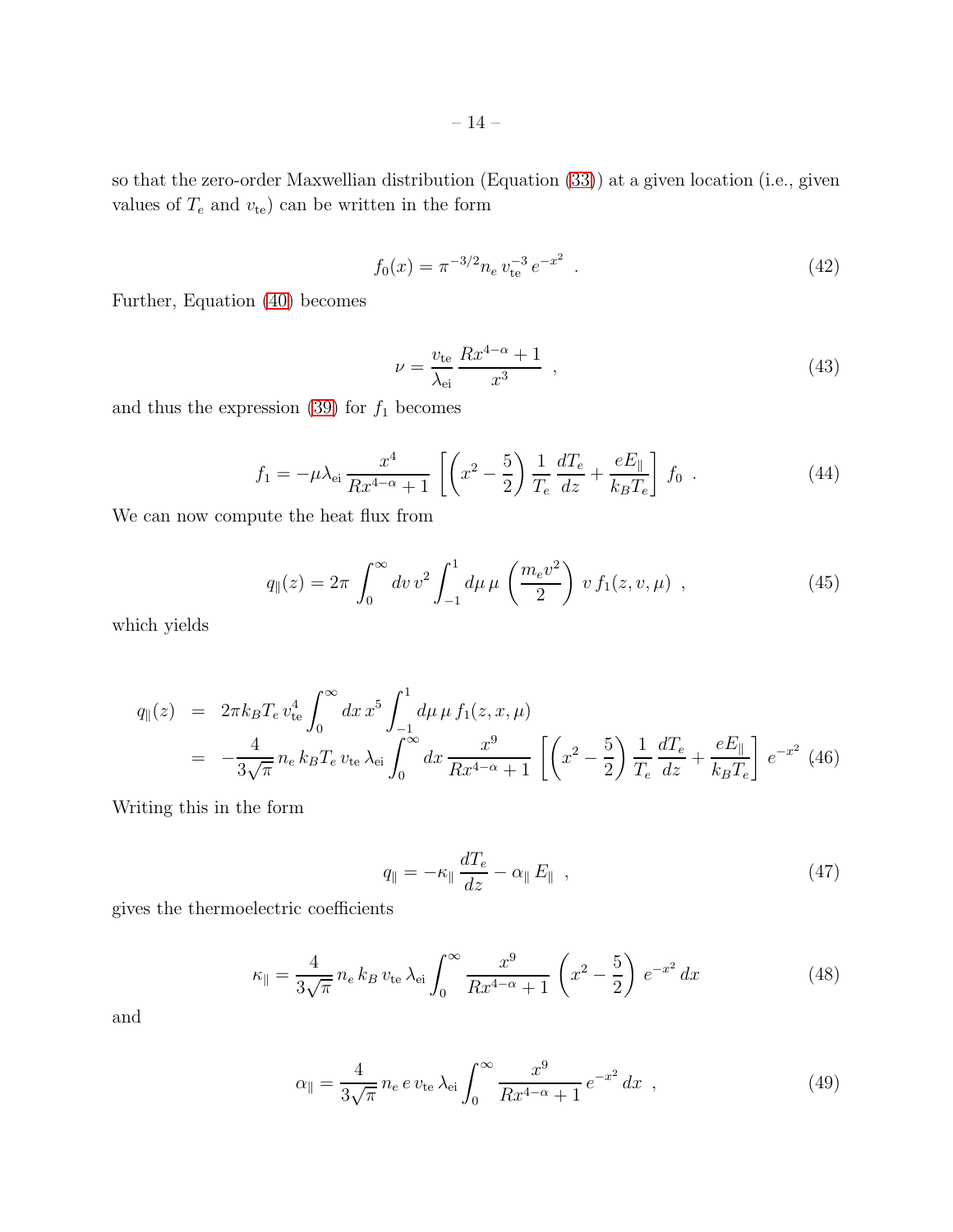so that the zero-order Maxwellian distribution (Equation [\(33\)](#page-11-0)) at a given location (i.e., given values of  $T_e$  and  $v_{te}$ ) can be written in the form

$$
f_0(x) = \pi^{-3/2} n_e v_{\text{te}}^{-3} e^{-x^2} . \tag{42}
$$

Further, Equation [\(40\)](#page-12-1) becomes

$$
\nu = \frac{v_{\text{te}}}{\lambda_{\text{ei}}} \frac{Rx^{4-\alpha} + 1}{x^3} \tag{43}
$$

and thus the expression [\(39\)](#page-12-2) for  $f_1$  becomes

<span id="page-13-3"></span>
$$
f_1 = -\mu \lambda_{\rm ei} \frac{x^4}{Rx^{4-\alpha} + 1} \left[ \left( x^2 - \frac{5}{2} \right) \frac{1}{T_e} \frac{dT_e}{dz} + \frac{eE_{\parallel}}{k_B T_e} \right] f_0 \tag{44}
$$

We can now compute the heat flux from

$$
q_{\parallel}(z) = 2\pi \int_0^{\infty} dv \, v^2 \int_{-1}^1 d\mu \, \mu \left(\frac{m_e v^2}{2}\right) \, v \, f_1(z, v, \mu) \quad , \tag{45}
$$

which yields

<span id="page-13-4"></span>
$$
q_{\parallel}(z) = 2\pi k_B T_e v_{\text{te}}^4 \int_0^{\infty} dx \, x^5 \int_{-1}^1 d\mu \, \mu \, f_1(z, x, \mu)
$$
  
=  $-\frac{4}{3\sqrt{\pi}} n_e k_B T_e v_{\text{te}} \lambda_{\text{ei}} \int_0^{\infty} dx \, \frac{x^9}{Rx^{4-\alpha}+1} \left[ \left( x^2 - \frac{5}{2} \right) \frac{1}{T_e} \frac{dT_e}{dz} + \frac{eE_{\parallel}}{k_B T_e} \right] e^{-x^2} \tag{46}$ 

Writing this in the form

<span id="page-13-0"></span>
$$
q_{\parallel} = -\kappa_{\parallel} \frac{dT_e}{dz} - \alpha_{\parallel} E_{\parallel} \quad , \tag{47}
$$

gives the thermoelectric coefficients

<span id="page-13-1"></span>
$$
\kappa_{\parallel} = \frac{4}{3\sqrt{\pi}} n_e k_B v_{\text{te}} \lambda_{\text{ei}} \int_0^{\infty} \frac{x^9}{Rx^{4-\alpha} + 1} \left(x^2 - \frac{5}{2}\right) e^{-x^2} dx \tag{48}
$$

and

<span id="page-13-2"></span>
$$
\alpha_{\parallel} = \frac{4}{3\sqrt{\pi}} n_e \, e \, v_{\text{te}} \, \lambda_{\text{ei}} \int_0^\infty \frac{x^9}{Rx^{4-\alpha} + 1} \, e^{-x^2} \, dx \quad , \tag{49}
$$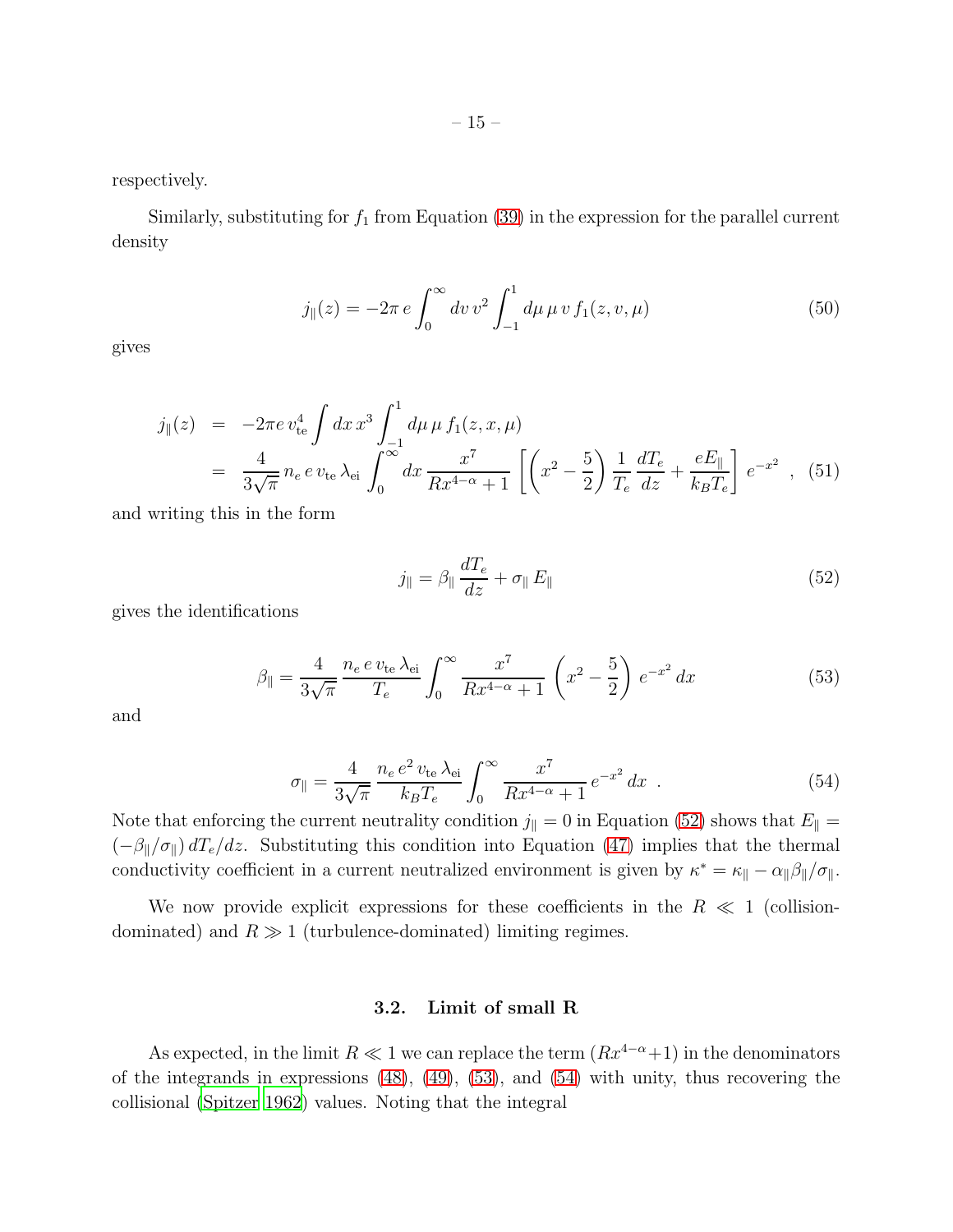respectively.

Similarly, substituting for  $f_1$  from Equation [\(39\)](#page-12-2) in the expression for the parallel current density

$$
j_{\parallel}(z) = -2\pi e \int_0^{\infty} dv \, v^2 \int_{-1}^1 d\mu \, \mu \, v \, f_1(z, v, \mu) \tag{50}
$$

gives

<span id="page-14-3"></span>
$$
j_{\parallel}(z) = -2\pi e v_{\text{te}}^4 \int dx \, x^3 \int_{-1}^1 d\mu \, \mu \, f_1(z, x, \mu)
$$
  
= 
$$
\frac{4}{3\sqrt{\pi}} n_e \, e \, v_{\text{te}} \, \lambda_{\text{ei}} \int_0^\infty dx \, \frac{x^7}{Rx^{4-\alpha}+1} \left[ \left( x^2 - \frac{5}{2} \right) \frac{1}{T_e} \frac{dT_e}{dz} + \frac{eE_{\parallel}}{k_B T_e} \right] e^{-x^2} , \tag{51}
$$

and writing this in the form

<span id="page-14-0"></span>
$$
j_{\parallel} = \beta_{\parallel} \frac{dT_e}{dz} + \sigma_{\parallel} E_{\parallel}
$$
\n(52)

gives the identifications

<span id="page-14-1"></span>
$$
\beta_{\parallel} = \frac{4}{3\sqrt{\pi}} \frac{n_e \, e \, v_{\text{te}} \, \lambda_{\text{ei}}}{T_e} \int_0^\infty \frac{x^7}{Rx^{4-\alpha} + 1} \left( x^2 - \frac{5}{2} \right) \, e^{-x^2} \, dx \tag{53}
$$

and

<span id="page-14-2"></span>
$$
\sigma_{\parallel} = \frac{4}{3\sqrt{\pi}} \frac{n_e e^2 v_{\text{te}} \lambda_{\text{ei}}}{k_B T_e} \int_0^\infty \frac{x^7}{R x^{4-\alpha} + 1} e^{-x^2} dx . \tag{54}
$$

Note that enforcing the current neutrality condition  $j_{\parallel} = 0$  in Equation [\(52\)](#page-14-0) shows that  $E_{\parallel} =$  $(-\beta_{\parallel}/\sigma_{\parallel}) dT_e/dz$ . Substituting this condition into Equation [\(47\)](#page-13-0) implies that the thermal conductivity coefficient in a current neutralized environment is given by  $\kappa^* = \kappa_{\parallel} - \alpha_{\parallel} \beta_{\parallel} / \sigma_{\parallel}$ .

We now provide explicit expressions for these coefficients in the  $R \ll 1$  (collisiondominated) and  $R \gg 1$  (turbulence-dominated) limiting regimes.

### 3.2. Limit of small R

As expected, in the limit  $R \ll 1$  we can replace the term  $(Rx^{4-\alpha}+1)$  in the denominators of the integrands in expressions [\(48\)](#page-13-1), [\(49\)](#page-13-2), [\(53\)](#page-14-1), and [\(54\)](#page-14-2) with unity, thus recovering the collisional [\(Spitzer 1962\)](#page-36-14) values. Noting that the integral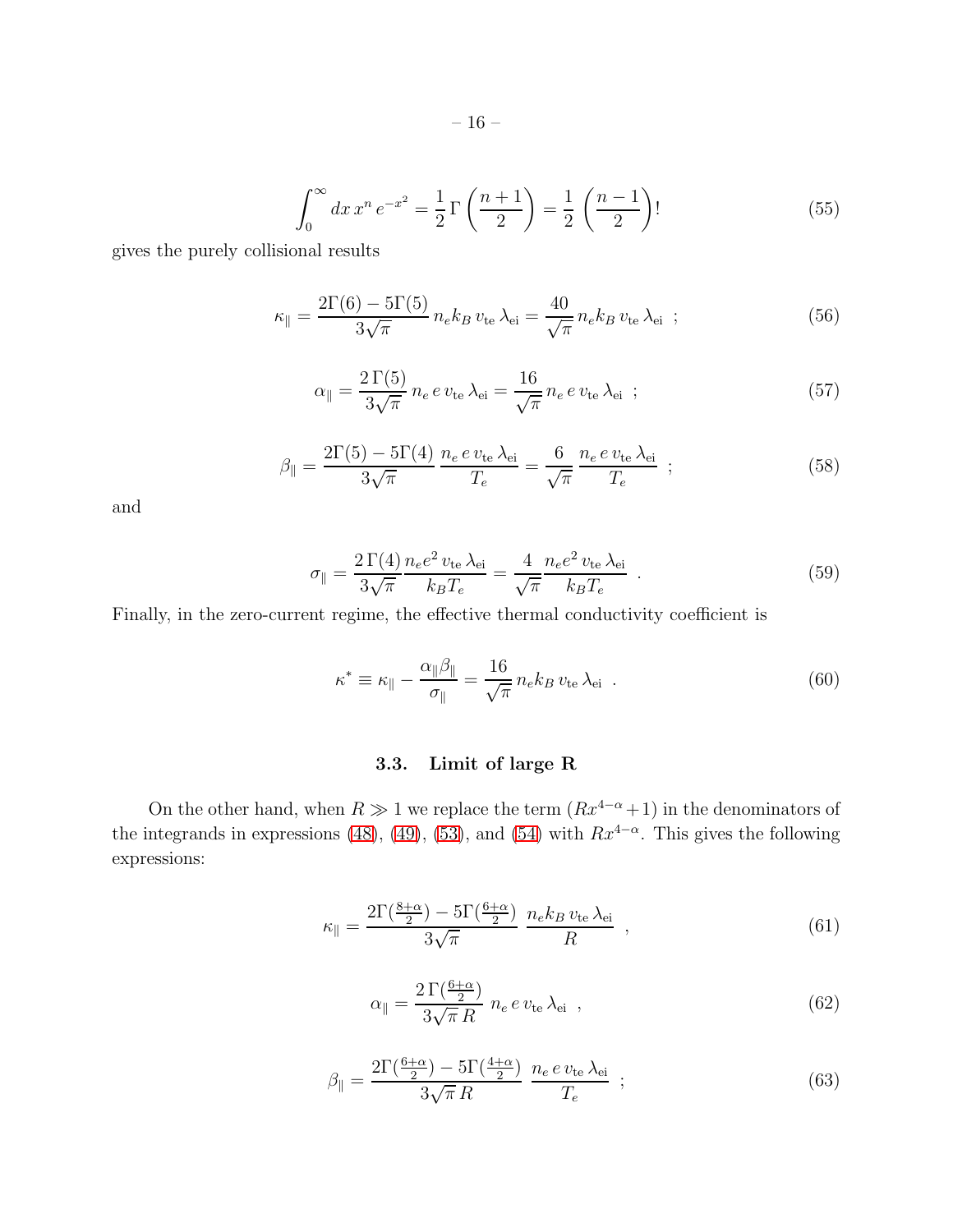$$
\int_0^\infty dx \, x^n \, e^{-x^2} = \frac{1}{2} \Gamma\left(\frac{n+1}{2}\right) = \frac{1}{2} \left(\frac{n-1}{2}\right)! \tag{55}
$$

gives the purely collisional results

$$
\kappa_{\parallel} = \frac{2\Gamma(6) - 5\Gamma(5)}{3\sqrt{\pi}} n_e k_B v_{\text{te}} \lambda_{\text{ei}} = \frac{40}{\sqrt{\pi}} n_e k_B v_{\text{te}} \lambda_{\text{ei}} \tag{56}
$$

$$
\alpha_{\parallel} = \frac{2\,\Gamma(5)}{3\sqrt{\pi}}\,n_e\,e\,v_{\text{te}}\,\lambda_{\text{ei}} = \frac{16}{\sqrt{\pi}}\,n_e\,e\,v_{\text{te}}\,\lambda_{\text{ei}}\,\,;
$$
\n(57)

<span id="page-15-0"></span>
$$
\beta_{\parallel} = \frac{2\Gamma(5) - 5\Gamma(4)}{3\sqrt{\pi}} \frac{n_e e v_{\text{te}} \lambda_{\text{ei}}}{T_e} = \frac{6}{\sqrt{\pi}} \frac{n_e e v_{\text{te}} \lambda_{\text{ei}}}{T_e} ; \qquad (58)
$$

and

$$
\sigma_{\parallel} = \frac{2\,\Gamma(4)}{3\sqrt{\pi}} \frac{n_e e^2 v_{\text{te}} \,\lambda_{\text{ei}}}{k_B T_e} = \frac{4}{\sqrt{\pi}} \frac{n_e e^2 v_{\text{te}} \,\lambda_{\text{ei}}}{k_B T_e} \tag{59}
$$

Finally, in the zero-current regime, the effective thermal conductivity coefficient is

$$
\kappa^* \equiv \kappa_{\parallel} - \frac{\alpha_{\parallel} \beta_{\parallel}}{\sigma_{\parallel}} = \frac{16}{\sqrt{\pi}} n_e k_B v_{te} \lambda_{ei} . \qquad (60)
$$

# 3.3. Limit of large R

On the other hand, when  $R \gg 1$  we replace the term  $(Rx^{4-\alpha}+1)$  in the denominators of the integrands in expressions [\(48\)](#page-13-1), [\(49\)](#page-13-2), [\(53\)](#page-14-1), and [\(54\)](#page-14-2) with  $Rx^{4-\alpha}$ . This gives the following expressions:

$$
\kappa_{\parallel} = \frac{2\Gamma(\frac{8+\alpha}{2}) - 5\Gamma(\frac{6+\alpha}{2})}{3\sqrt{\pi}} \frac{n_e k_B v_{\text{te}} \lambda_{\text{ei}}}{R} , \qquad (61)
$$

$$
\alpha_{\parallel} = \frac{2\,\Gamma(\frac{6+\alpha}{2})}{3\sqrt{\pi}\,R} \; n_e \, e \, v_{\text{te}} \, \lambda_{\text{ei}} \;, \tag{62}
$$

$$
\beta_{\parallel} = \frac{2\Gamma(\frac{6+\alpha}{2}) - 5\Gamma(\frac{4+\alpha}{2})}{3\sqrt{\pi}R} \frac{n_e e v_{\text{te}} \lambda_{\text{ei}}}{T_e} ; \qquad (63)
$$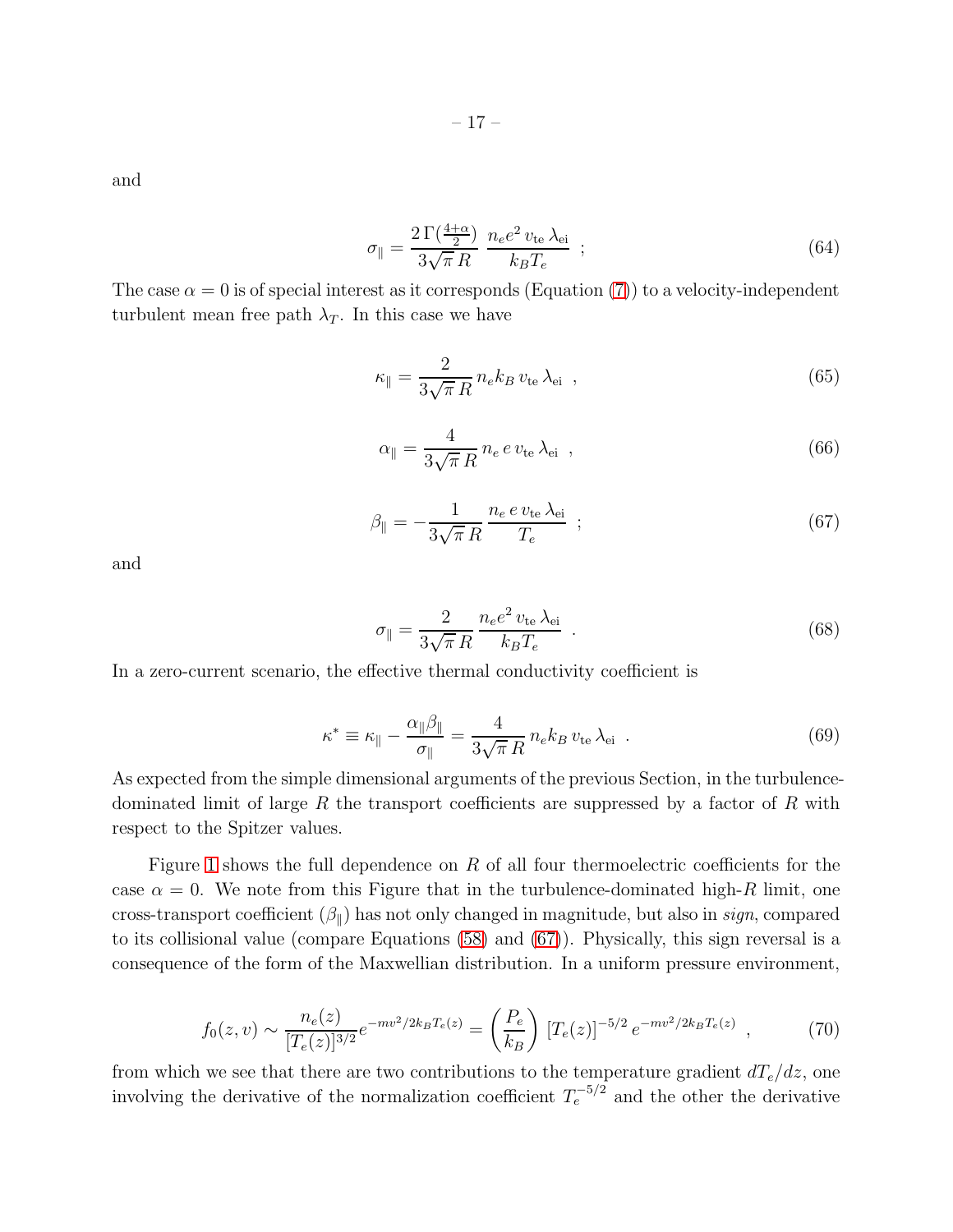and

$$
\sigma_{\parallel} = \frac{2\,\Gamma(\frac{4+\alpha}{2})}{3\sqrt{\pi}\,R} \, \frac{n_e e^2 \, v_{\text{te}} \,\lambda_{\text{ei}}}{k_B T_e} \,\, ; \tag{64}
$$

The case  $\alpha = 0$  is of special interest as it corresponds (Equation [\(7\)](#page-5-3)) to a velocity-independent turbulent mean free path  $\lambda_T$ . In this case we have

$$
\kappa_{\parallel} = \frac{2}{3\sqrt{\pi} R} n_e k_B v_{\text{te}} \lambda_{\text{ei}} \quad , \tag{65}
$$

$$
\alpha_{\parallel} = \frac{4}{3\sqrt{\pi} R} n_e e v_{\text{te}} \lambda_{\text{ei}} \quad , \tag{66}
$$

<span id="page-16-0"></span>
$$
\beta_{\parallel} = -\frac{1}{3\sqrt{\pi} R} \frac{n_e e v_{\text{te}} \lambda_{\text{ei}}}{T_e} ; \qquad (67)
$$

and

$$
\sigma_{\parallel} = \frac{2}{3\sqrt{\pi} R} \frac{n_e e^2 v_{\text{te}} \lambda_{\text{ei}}}{k_B T_e} \tag{68}
$$

In a zero-current scenario, the effective thermal conductivity coefficient is

$$
\kappa^* \equiv \kappa_{\parallel} - \frac{\alpha_{\parallel} \beta_{\parallel}}{\sigma_{\parallel}} = \frac{4}{3\sqrt{\pi} R} n_e k_B v_{te} \lambda_{ei} . \qquad (69)
$$

As expected from the simple dimensional arguments of the previous Section, in the turbulencedominated limit of large R the transport coefficients are suppressed by a factor of R with respect to the Spitzer values.

Figure [1](#page-19-0) shows the full dependence on  $R$  of all four thermoelectric coefficients for the case  $\alpha = 0$ . We note from this Figure that in the turbulence-dominated high-R limit, one cross-transport coefficient  $(\beta_{\parallel})$  has not only changed in magnitude, but also in sign, compared to its collisional value (compare Equations [\(58\)](#page-15-0) and [\(67\)](#page-16-0)). Physically, this sign reversal is a consequence of the form of the Maxwellian distribution. In a uniform pressure environment,

$$
f_0(z,v) \sim \frac{n_e(z)}{[T_e(z)]^{3/2}} e^{-mv^2/2k_B T_e(z)} = \left(\frac{P_e}{k_B}\right) [T_e(z)]^{-5/2} e^{-mv^2/2k_B T_e(z)}, \qquad (70)
$$

from which we see that there are two contributions to the temperature gradient  $dT_e/dz$ , one involving the derivative of the normalization coefficient  $T_e^{-5/2}$  and the other the derivative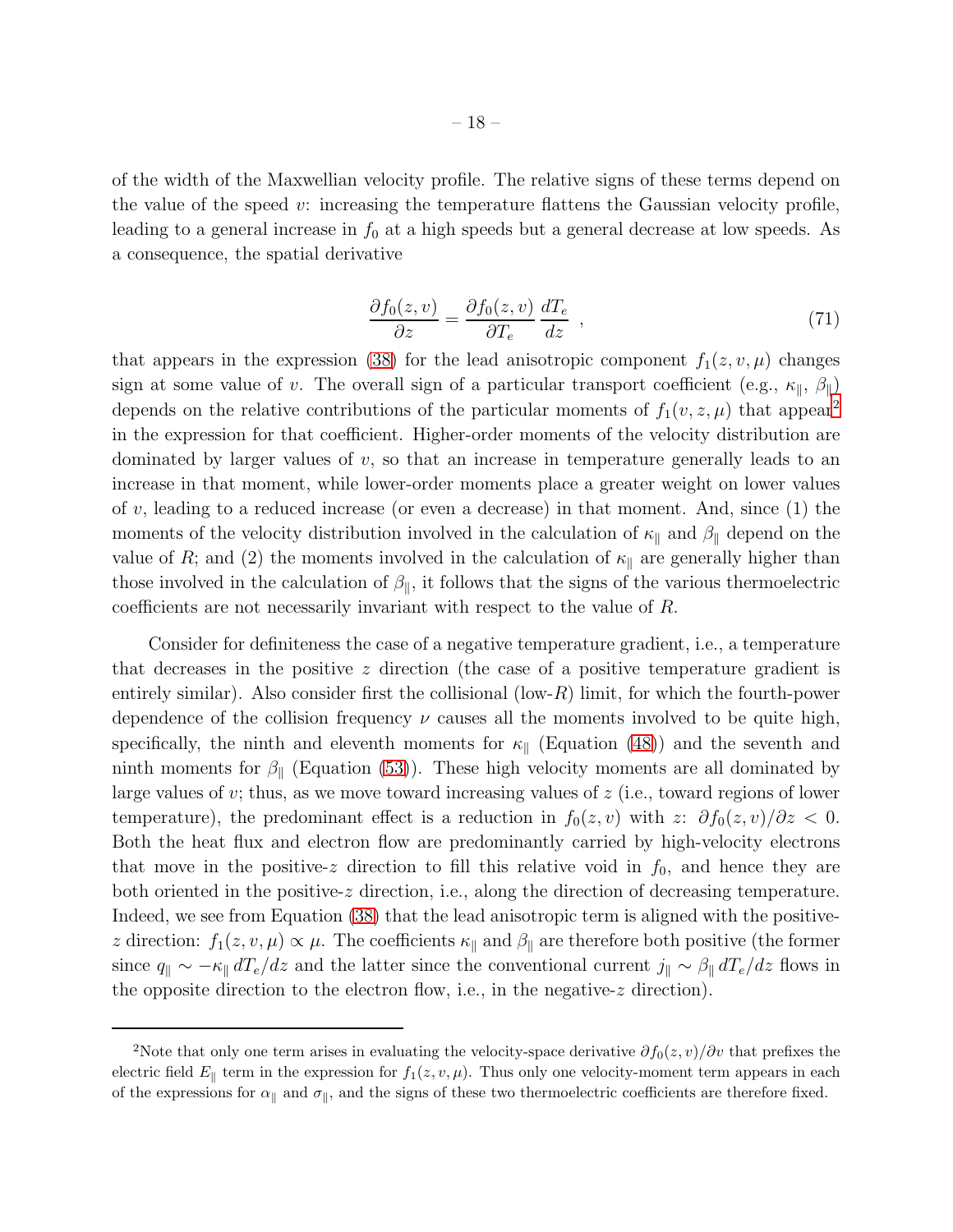of the width of the Maxwellian velocity profile. The relative signs of these terms depend on the value of the speed  $v$ : increasing the temperature flattens the Gaussian velocity profile, leading to a general increase in  $f_0$  at a high speeds but a general decrease at low speeds. As a consequence, the spatial derivative

$$
\frac{\partial f_0(z,v)}{\partial z} = \frac{\partial f_0(z,v)}{\partial T_e} \frac{dT_e}{dz} , \qquad (71)
$$

that appears in the expression [\(38\)](#page-12-3) for the lead anisotropic component  $f_1(z, v, \mu)$  changes sign at some value of v. The overall sign of a particular transport coefficient (e.g.,  $\kappa_{\parallel}$ ,  $\beta_{\parallel}$ ) depends on the relative contributions of the particular moments of  $f_1(v, z, \mu)$  that appear<sup>[2](#page-36-17)</sup> in the expression for that coefficient. Higher-order moments of the velocity distribution are dominated by larger values of  $v$ , so that an increase in temperature generally leads to an increase in that moment, while lower-order moments place a greater weight on lower values of  $v$ , leading to a reduced increase (or even a decrease) in that moment. And, since  $(1)$  the moments of the velocity distribution involved in the calculation of  $\kappa_{\parallel}$  and  $\beta_{\parallel}$  depend on the value of R; and (2) the moments involved in the calculation of  $\kappa_{\parallel}$  are generally higher than those involved in the calculation of  $\beta_{\parallel}$ , it follows that the signs of the various thermoelectric coefficients are not necessarily invariant with respect to the value of R.

Consider for definiteness the case of a negative temperature gradient, i.e., a temperature that decreases in the positive z direction (the case of a positive temperature gradient is entirely similar). Also consider first the collisional  $(\text{low-}R)$  limit, for which the fourth-power dependence of the collision frequency  $\nu$  causes all the moments involved to be quite high, specifically, the ninth and eleventh moments for  $\kappa_{\parallel}$  (Equation [\(48\)](#page-13-1)) and the seventh and ninth moments for  $\beta_{\parallel}$  (Equation [\(53\)](#page-14-1)). These high velocity moments are all dominated by large values of  $v$ ; thus, as we move toward increasing values of  $z$  (i.e., toward regions of lower temperature), the predominant effect is a reduction in  $f_0(z, v)$  with  $z: \partial f_0(z, v)/\partial z < 0$ . Both the heat flux and electron flow are predominantly carried by high-velocity electrons that move in the positive-z direction to fill this relative void in  $f_0$ , and hence they are both oriented in the positive-z direction, i.e., along the direction of decreasing temperature. Indeed, we see from Equation [\(38\)](#page-12-3) that the lead anisotropic term is aligned with the positivez direction:  $f_1(z, v, \mu) \propto \mu$ . The coefficients  $\kappa_{\parallel}$  and  $\beta_{\parallel}$  are therefore both positive (the former since  $q_{\parallel} \sim -\kappa_{\parallel} dT_e/dz$  and the latter since the conventional current  $j_{\parallel} \sim \beta_{\parallel} dT_e/dz$  flows in the opposite direction to the electron flow, i.e., in the negative-z direction).

<sup>&</sup>lt;sup>2</sup>Note that only one term arises in evaluating the velocity-space derivative  $\partial f_0(z, v)/\partial v$  that prefixes the electric field  $E_{\parallel}$  term in the expression for  $f_1(z, v, \mu)$ . Thus only one velocity-moment term appears in each of the expressions for  $\alpha_{\parallel}$  and  $\sigma_{\parallel}$ , and the signs of these two thermoelectric coefficients are therefore fixed.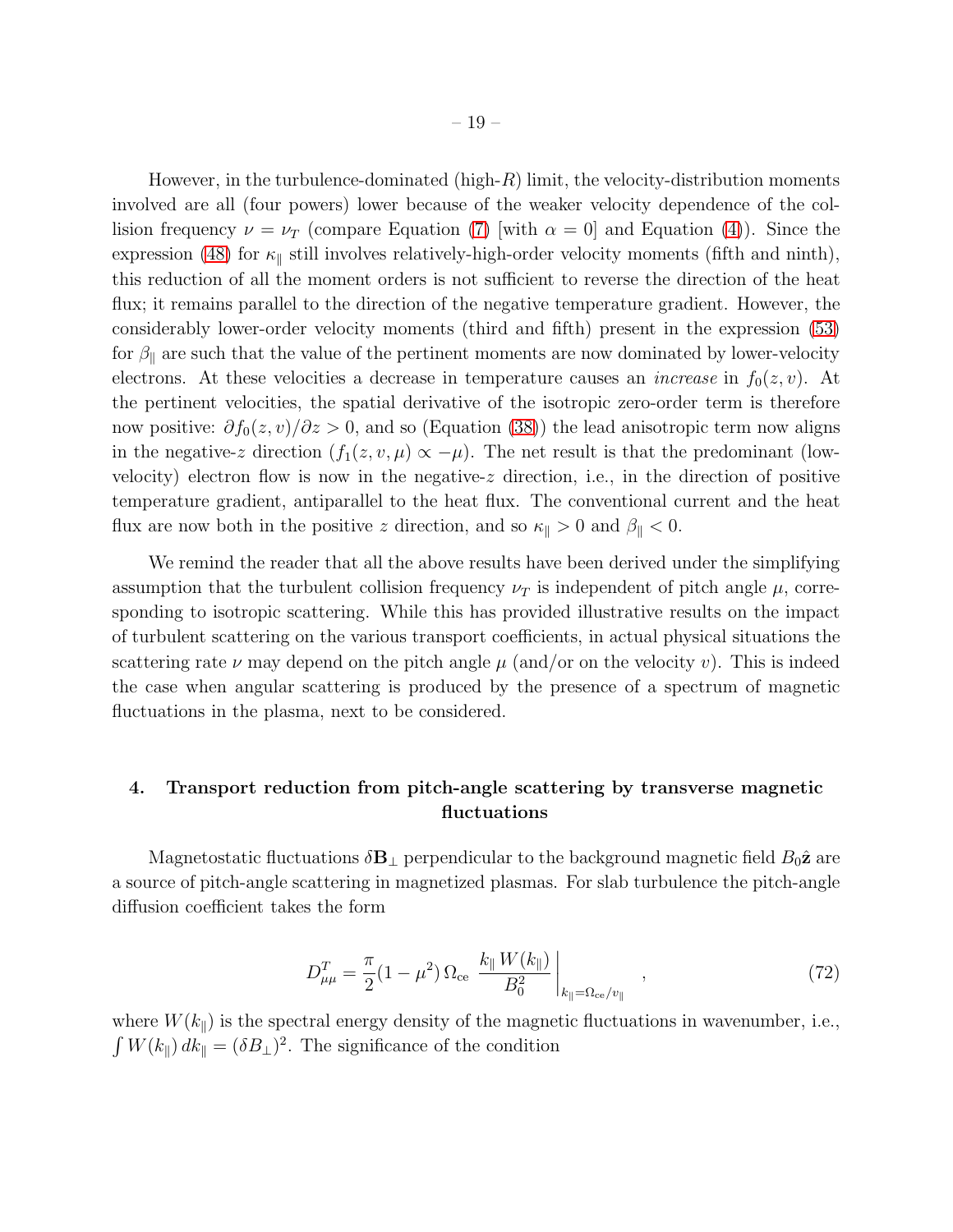However, in the turbulence-dominated (high- $R$ ) limit, the velocity-distribution moments involved are all (four powers) lower because of the weaker velocity dependence of the collision frequency  $\nu = \nu_T$  (compare Equation [\(7\)](#page-5-3) [with  $\alpha = 0$ ] and Equation [\(4\)](#page-5-1)). Since the expression [\(48\)](#page-13-1) for  $\kappa_{\parallel}$  still involves relatively-high-order velocity moments (fifth and ninth), this reduction of all the moment orders is not sufficient to reverse the direction of the heat flux; it remains parallel to the direction of the negative temperature gradient. However, the considerably lower-order velocity moments (third and fifth) present in the expression [\(53\)](#page-14-1) for  $\beta_{\parallel}$  are such that the value of the pertinent moments are now dominated by lower-velocity electrons. At these velocities a decrease in temperature causes an *increase* in  $f_0(z, v)$ . At the pertinent velocities, the spatial derivative of the isotropic zero-order term is therefore now positive:  $\partial f_0(z, v)/\partial z > 0$ , and so (Equation [\(38\)](#page-12-3)) the lead anisotropic term now aligns in the negative-z direction  $(f_1(z, v, \mu) \propto -\mu)$ . The net result is that the predominant (lowvelocity) electron flow is now in the negative- $z$  direction, i.e., in the direction of positive temperature gradient, antiparallel to the heat flux. The conventional current and the heat flux are now both in the positive z direction, and so  $\kappa_{\parallel} > 0$  and  $\beta_{\parallel} < 0$ .

We remind the reader that all the above results have been derived under the simplifying assumption that the turbulent collision frequency  $\nu_T$  is independent of pitch angle  $\mu$ , corresponding to isotropic scattering. While this has provided illustrative results on the impact of turbulent scattering on the various transport coefficients, in actual physical situations the scattering rate  $\nu$  may depend on the pitch angle  $\mu$  (and/or on the velocity v). This is indeed the case when angular scattering is produced by the presence of a spectrum of magnetic fluctuations in the plasma, next to be considered.

# <span id="page-18-0"></span>4. Transport reduction from pitch-angle scattering by transverse magnetic fluctuations

Magnetostatic fluctuations  $\delta \mathbf{B}_{\perp}$  perpendicular to the background magnetic field  $B_0\hat{\mathbf{z}}$  are a source of pitch-angle scattering in magnetized plasmas. For slab turbulence the pitch-angle diffusion coefficient takes the form

<span id="page-18-1"></span>
$$
D_{\mu\mu}^{T} = \frac{\pi}{2} (1 - \mu^2) \Omega_{\text{ce}} \left. \frac{k_{\parallel} W(k_{\parallel})}{B_0^2} \right|_{k_{\parallel} = \Omega_{\text{ce}}/v_{\parallel}}, \qquad (72)
$$

where  $W(k_{\parallel})$  is the spectral energy density of the magnetic fluctuations in wavenumber, i.e.,  $\int W(k_{\parallel}) \, dk_{\parallel} = (\delta B_{\perp})^2$ . The significance of the condition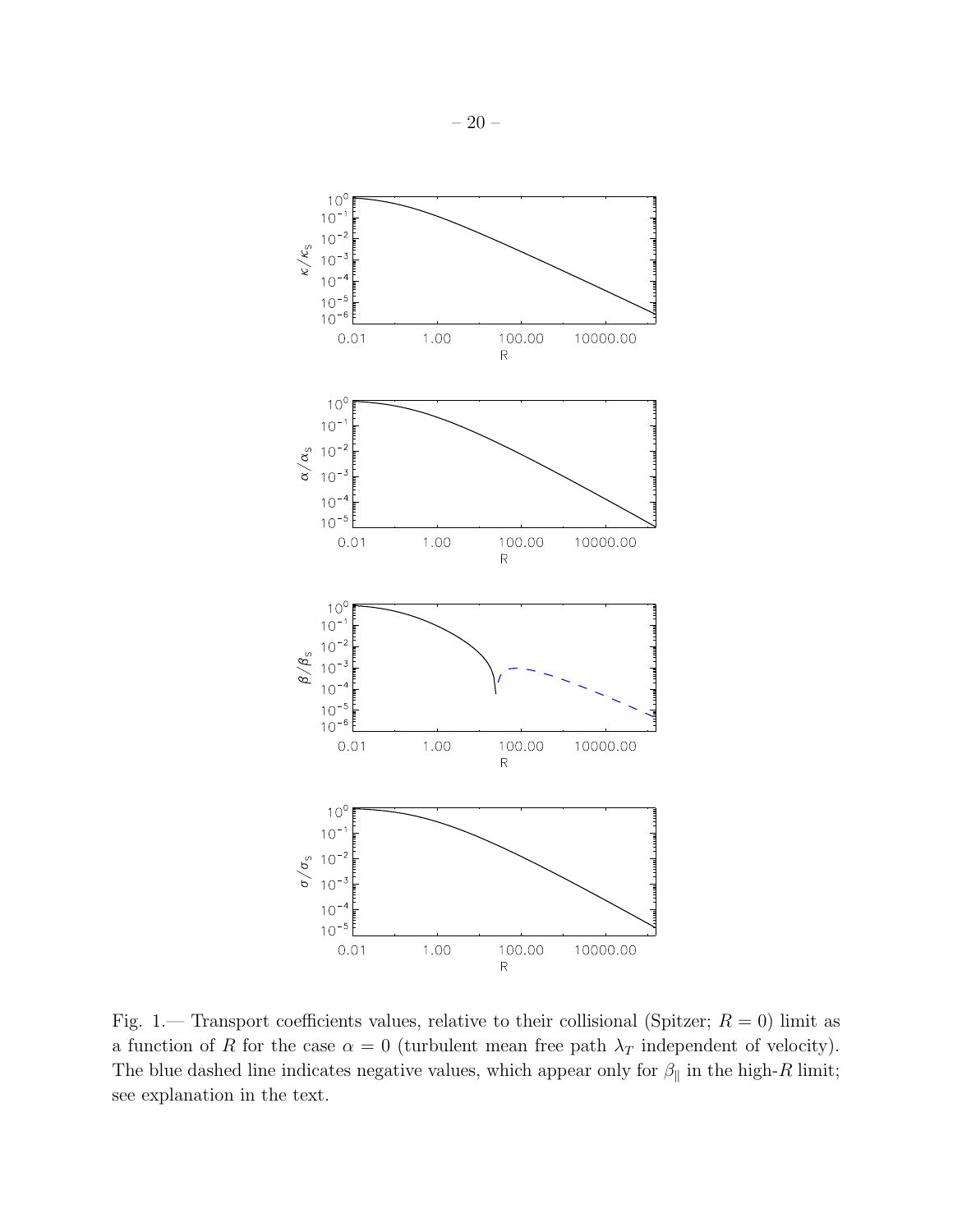

<span id="page-19-0"></span>Fig. 1.— Transport coefficients values, relative to their collisional (Spitzer;  $R = 0$ ) limit as a function of R for the case  $\alpha = 0$  (turbulent mean free path  $\lambda_T$  independent of velocity). The blue dashed line indicates negative values, which appear only for  $\beta_{\parallel}$  in the high-R limit; see explanation in the text.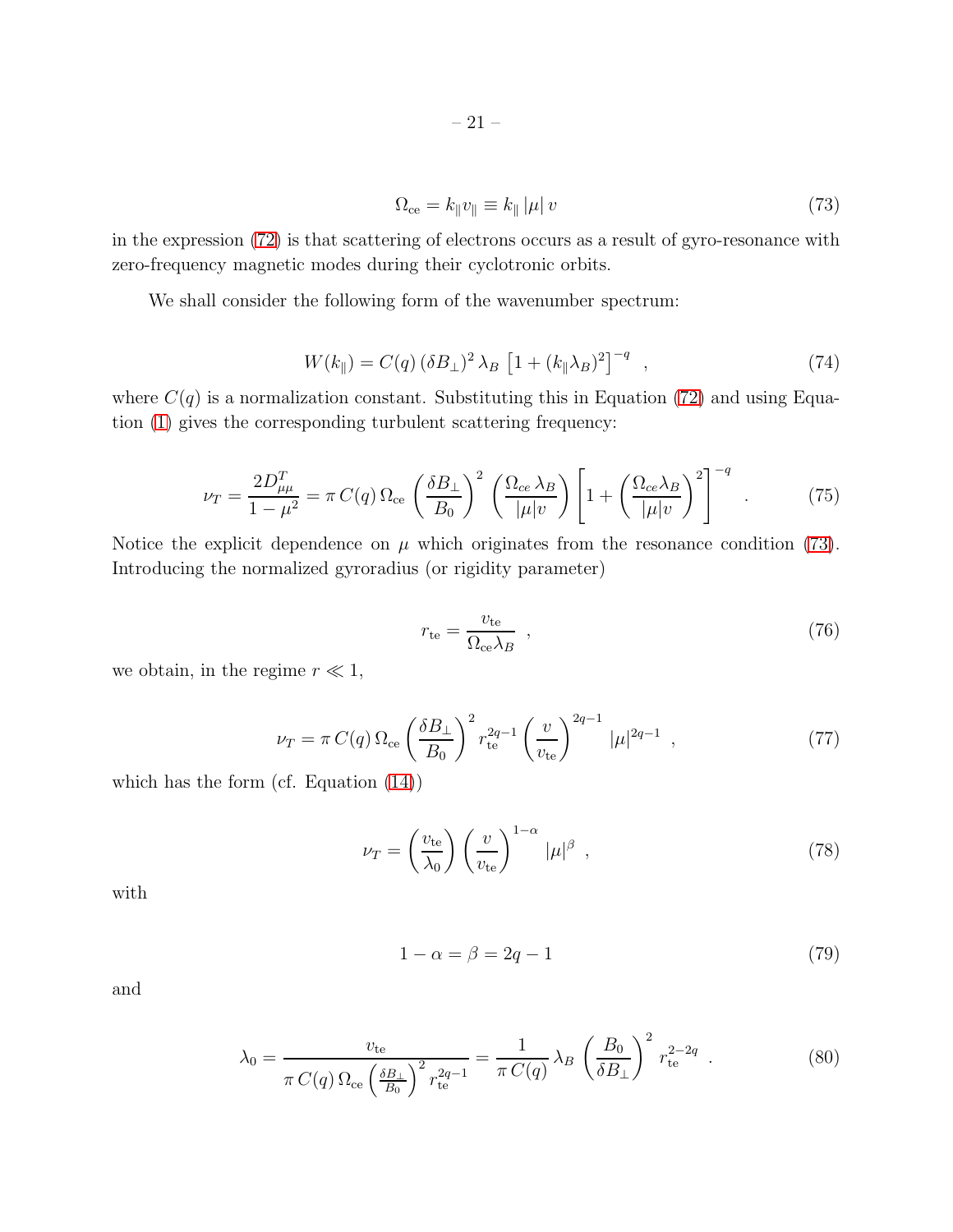<span id="page-20-0"></span>
$$
\Omega_{\rm ce} = k_{\parallel} v_{\parallel} \equiv k_{\parallel} |\mu| v \tag{73}
$$

in the expression [\(72\)](#page-18-1) is that scattering of electrons occurs as a result of gyro-resonance with zero-frequency magnetic modes during their cyclotronic orbits.

We shall consider the following form of the wavenumber spectrum:

$$
W(k_{\parallel}) = C(q) (\delta B_{\perp})^2 \lambda_B \left[ 1 + (k_{\parallel} \lambda_B)^2 \right]^{-q} , \qquad (74)
$$

where  $C(q)$  is a normalization constant. Substituting this in Equation [\(72\)](#page-18-1) and using Equation [\(1\)](#page-4-1) gives the corresponding turbulent scattering frequency:

$$
\nu_T = \frac{2D_{\mu\mu}^T}{1 - \mu^2} = \pi C(q) \,\Omega_{\text{ce}} \left(\frac{\delta B_\perp}{B_0}\right)^2 \left(\frac{\Omega_{ce} \lambda_B}{|\mu|v}\right) \left[1 + \left(\frac{\Omega_{ce} \lambda_B}{|\mu|v}\right)^2\right]^{-q} \quad . \tag{75}
$$

Notice the explicit dependence on  $\mu$  which originates from the resonance condition [\(73\)](#page-20-0). Introducing the normalized gyroradius (or rigidity parameter)

$$
r_{\rm te} = \frac{v_{\rm te}}{\Omega_{\rm ce}\lambda_B} \quad , \tag{76}
$$

we obtain, in the regime  $r \ll 1$ ,

$$
\nu_T = \pi C(q) \, \Omega_{\text{ce}} \left(\frac{\delta B_\perp}{B_0}\right)^2 r_{\text{te}}^{2q-1} \left(\frac{v}{v_{\text{te}}}\right)^{2q-1} |\mu|^{2q-1} \tag{77}
$$

which has the form (cf. Equation [\(14\)](#page-6-4))

<span id="page-20-1"></span>
$$
\nu_T = \left(\frac{v_{\rm te}}{\lambda_0}\right) \left(\frac{v}{v_{\rm te}}\right)^{1-\alpha} |\mu|^{\beta} , \qquad (78)
$$

with

<span id="page-20-2"></span>
$$
1 - \alpha = \beta = 2q - 1\tag{79}
$$

and

$$
\lambda_0 = \frac{v_{\text{te}}}{\pi C(q) \Omega_{\text{ce}} \left(\frac{\delta B_\perp}{B_0}\right)^2 r_{\text{te}}^{2q-1}} = \frac{1}{\pi C(q)} \lambda_B \left(\frac{B_0}{\delta B_\perp}\right)^2 r_{\text{te}}^{2-2q} . \tag{80}
$$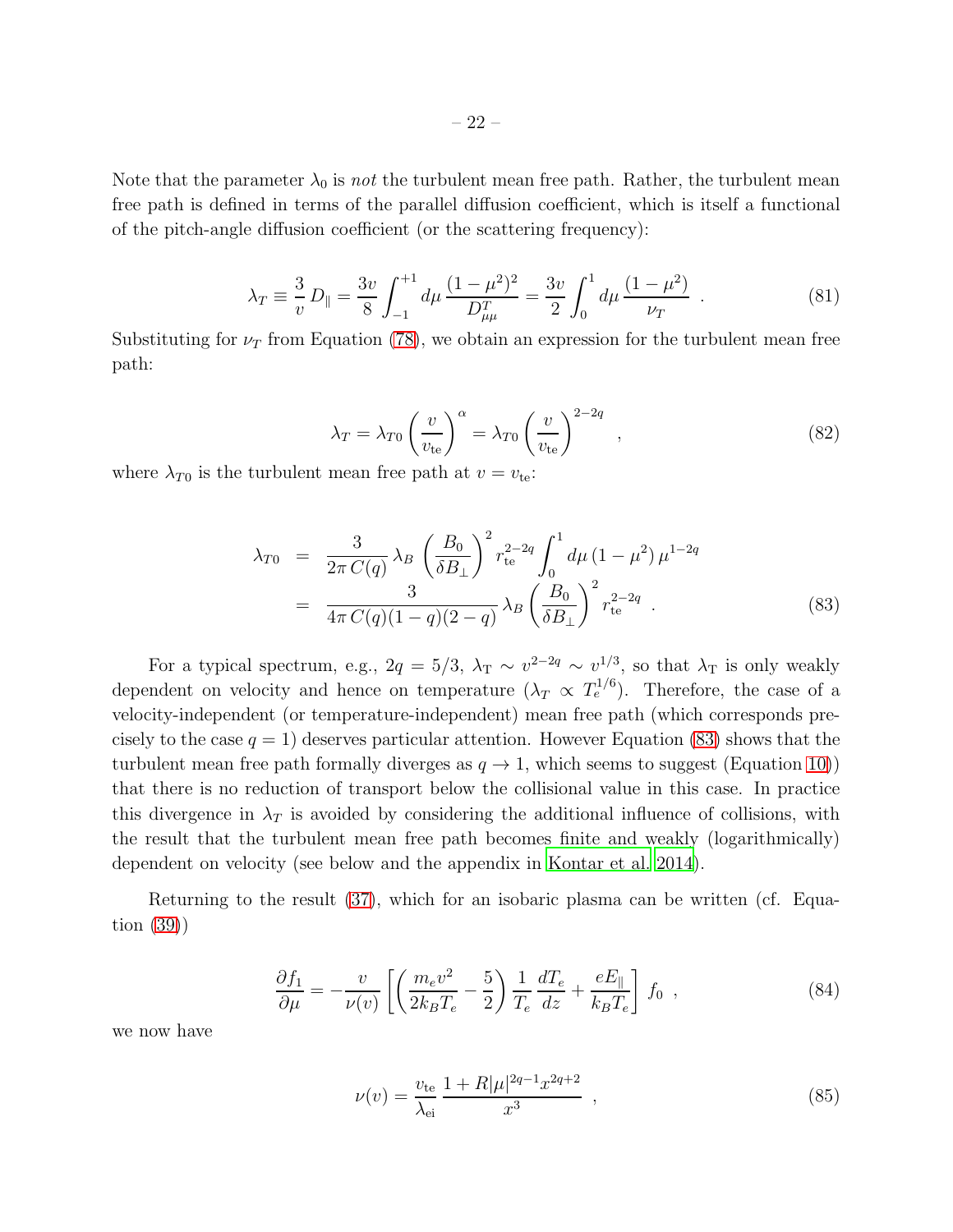Note that the parameter  $\lambda_0$  is not the turbulent mean free path. Rather, the turbulent mean free path is defined in terms of the parallel diffusion coefficient, which is itself a functional of the pitch-angle diffusion coefficient (or the scattering frequency):

$$
\lambda_T \equiv \frac{3}{v} D_{\parallel} = \frac{3v}{8} \int_{-1}^{+1} d\mu \, \frac{(1 - \mu^2)^2}{D_{\mu\mu}^T} = \frac{3v}{2} \int_0^1 d\mu \, \frac{(1 - \mu^2)}{\nu_T} \quad . \tag{81}
$$

Substituting for  $\nu_T$  from Equation [\(78\)](#page-20-1), we obtain an expression for the turbulent mean free path:

$$
\lambda_T = \lambda_{T0} \left(\frac{v}{v_{\text{te}}}\right)^{\alpha} = \lambda_{T0} \left(\frac{v}{v_{\text{te}}}\right)^{2-2q} ,\qquad (82)
$$

where  $\lambda_{T0}$  is the turbulent mean free path at  $v = v_{te}$ .

<span id="page-21-0"></span>
$$
\lambda_{T0} = \frac{3}{2\pi C(q)} \lambda_B \left(\frac{B_0}{\delta B_\perp}\right)^2 r_{\text{te}}^{2-2q} \int_0^1 d\mu \left(1 - \mu^2\right) \mu^{1-2q} \n= \frac{3}{4\pi C(q)(1-q)(2-q)} \lambda_B \left(\frac{B_0}{\delta B_\perp}\right)^2 r_{\text{te}}^{2-2q} .
$$
\n(83)

For a typical spectrum, e.g.,  $2q = 5/3$ ,  $\lambda_{\rm T} \sim v^{2-2q} \sim v^{1/3}$ , so that  $\lambda_{\rm T}$  is only weakly dependent on velocity and hence on temperature  $(\lambda_T \propto T_e^{1/6})$ . Therefore, the case of a velocity-independent (or temperature-independent) mean free path (which corresponds precisely to the case  $q = 1$ ) deserves particular attention. However Equation [\(83\)](#page-21-0) shows that the turbulent mean free path formally diverges as  $q \to 1$ , which seems to suggest (Equation [10\)](#page-6-5)) that there is no reduction of transport below the collisional value in this case. In practice this divergence in  $\lambda_T$  is avoided by considering the additional influence of collisions, with the result that the turbulent mean free path becomes finite and weakly (logarithmically) dependent on velocity (see below and the appendix in [Kontar et al. 2014](#page-34-13)).

Returning to the result [\(37\)](#page-12-0), which for an isobaric plasma can be written (cf. Equation [\(39\)](#page-12-2))

<span id="page-21-2"></span>
$$
\frac{\partial f_1}{\partial \mu} = -\frac{v}{\nu(v)} \left[ \left( \frac{m_e v^2}{2k_B T_e} - \frac{5}{2} \right) \frac{1}{T_e} \frac{dT_e}{dz} + \frac{e E_{\parallel}}{k_B T_e} \right] f_0 , \qquad (84)
$$

we now have

<span id="page-21-1"></span>
$$
\nu(v) = \frac{v_{\text{te}}}{\lambda_{\text{ei}}} \frac{1 + R|\mu|^{2q-1} x^{2q+2}}{x^3} ,\qquad (85)
$$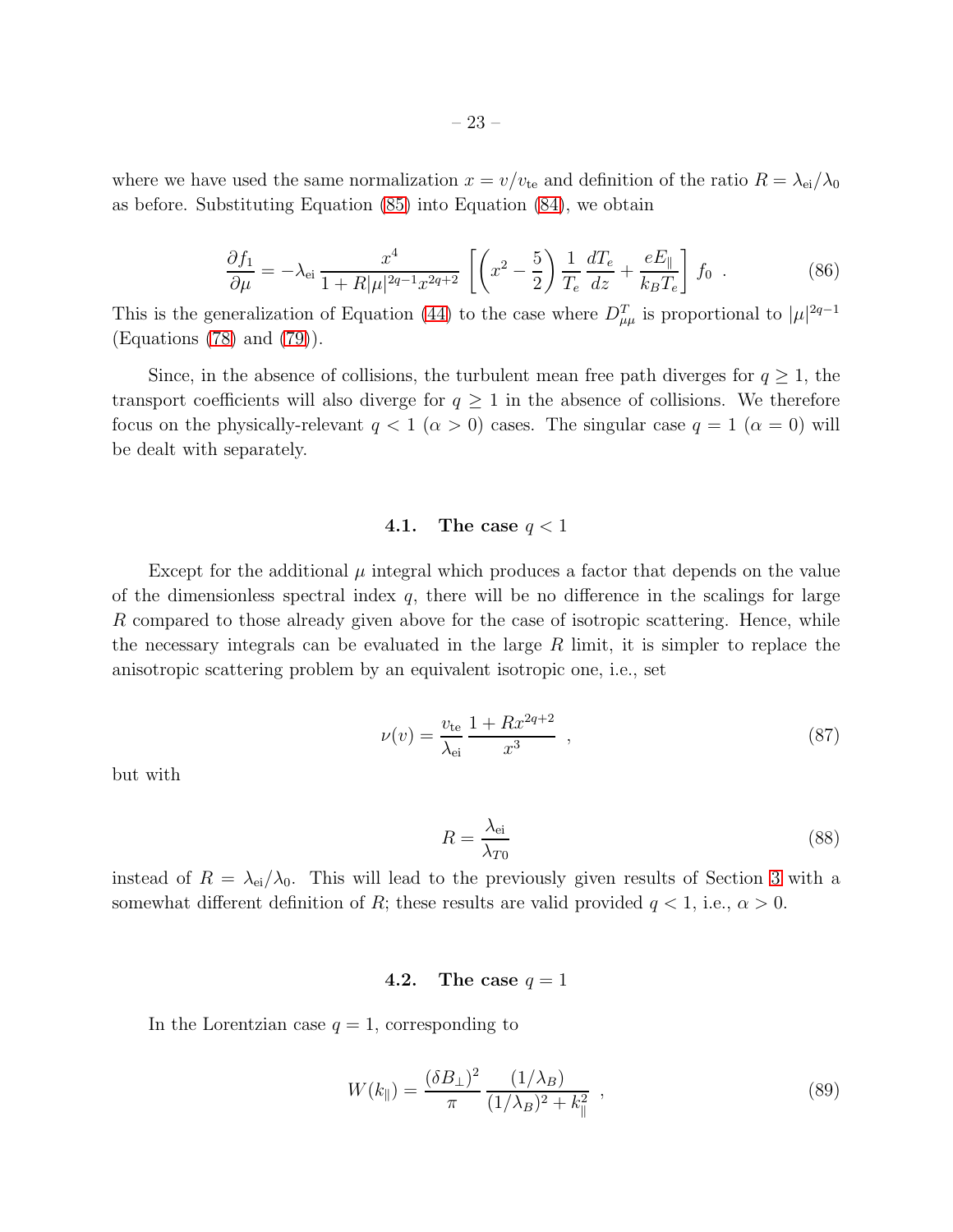where we have used the same normalization  $x = v/v_{te}$  and definition of the ratio  $R = \lambda_{ei}/\lambda_0$ as before. Substituting Equation [\(85\)](#page-21-1) into Equation [\(84\)](#page-21-2), we obtain

<span id="page-22-0"></span>
$$
\frac{\partial f_1}{\partial \mu} = -\lambda_{\text{ei}} \frac{x^4}{1 + R|\mu|^{2q-1} x^{2q+2}} \left[ \left( x^2 - \frac{5}{2} \right) \frac{1}{T_e} \frac{dT_e}{dz} + \frac{eE_{\parallel}}{k_B T_e} \right] f_0 \tag{86}
$$

This is the generalization of Equation [\(44\)](#page-13-3) to the case where  $D_{\mu\mu}^T$  is proportional to  $|\mu|^{2q-1}$ (Equations [\(78\)](#page-20-1) and [\(79\)](#page-20-2)).

Since, in the absence of collisions, the turbulent mean free path diverges for  $q \geq 1$ , the transport coefficients will also diverge for  $q \geq 1$  in the absence of collisions. We therefore focus on the physically-relevant  $q < 1 \ (\alpha > 0)$  cases. The singular case  $q = 1 \ (\alpha = 0)$  will be dealt with separately.

### 4.1. The case  $q < 1$

Except for the additional  $\mu$  integral which produces a factor that depends on the value of the dimensionless spectral index  $q$ , there will be no difference in the scalings for large R compared to those already given above for the case of isotropic scattering. Hence, while the necessary integrals can be evaluated in the large  $R$  limit, it is simpler to replace the anisotropic scattering problem by an equivalent isotropic one, i.e., set

$$
\nu(v) = \frac{v_{\text{te}}}{\lambda_{\text{ei}}} \frac{1 + Rx^{2q+2}}{x^3} \tag{87}
$$

but with

$$
R = \frac{\lambda_{\text{ei}}}{\lambda_{T0}}\tag{88}
$$

instead of  $R = \lambda_{ei}/\lambda_0$ . This will lead to the previously given results of Section [3](#page-9-0) with a somewhat different definition of R; these results are valid provided  $q < 1$ , i.e.,  $\alpha > 0$ .

### 4.2. The case  $q=1$

In the Lorentzian case  $q = 1$ , corresponding to

$$
W(k_{\parallel}) = \frac{(\delta B_{\perp})^2}{\pi} \frac{(1/\lambda_B)}{(1/\lambda_B)^2 + k_{\parallel}^2} \tag{89}
$$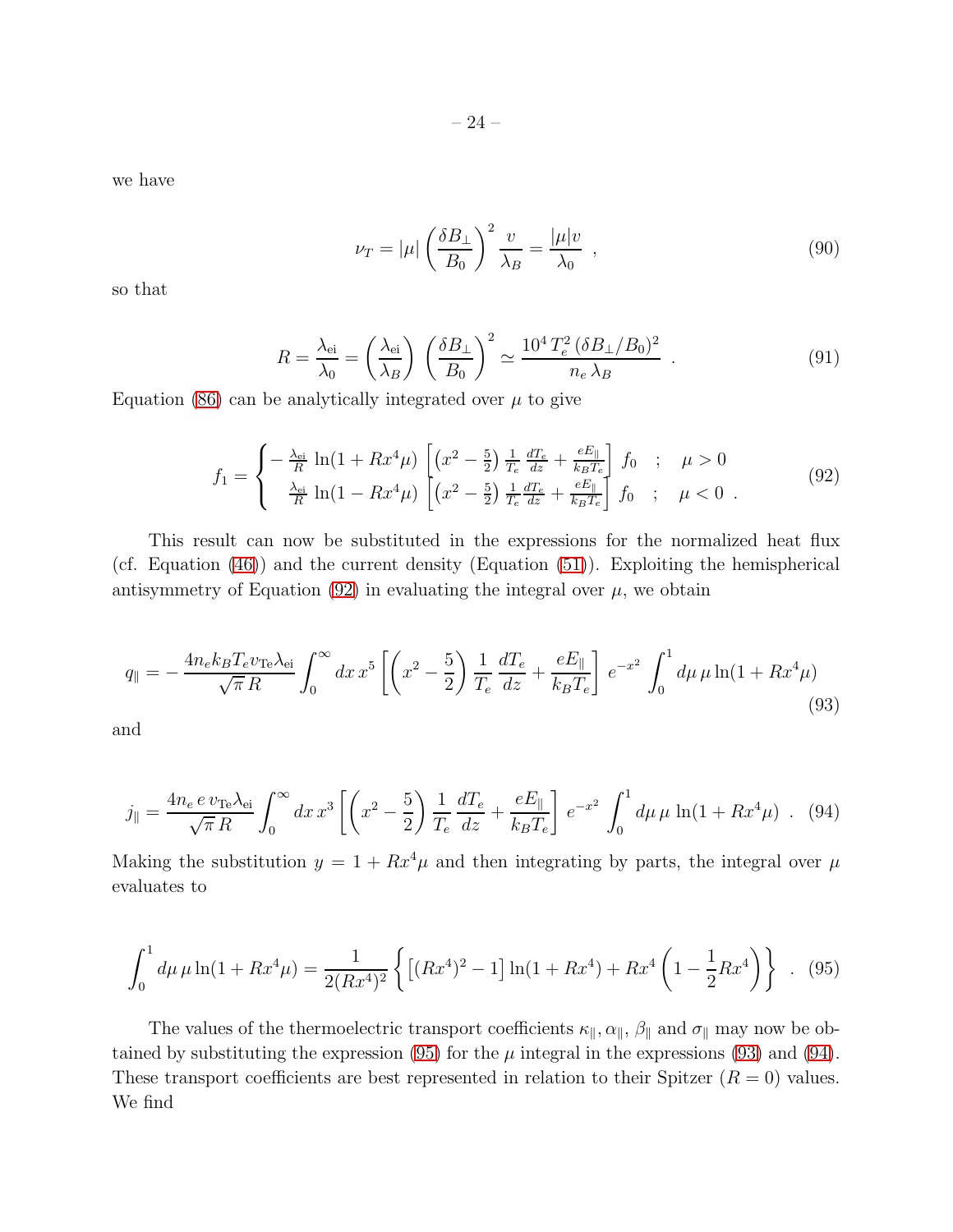we have

$$
\nu_T = |\mu| \left(\frac{\delta B_\perp}{B_0}\right)^2 \frac{\nu}{\lambda_B} = \frac{|\mu| \nu}{\lambda_0} \quad , \tag{90}
$$

so that

$$
R = \frac{\lambda_{\text{ei}}}{\lambda_0} = \left(\frac{\lambda_{\text{ei}}}{\lambda_B}\right) \left(\frac{\delta B_\perp}{B_0}\right)^2 \simeq \frac{10^4 T_e^2 (\delta B_\perp / B_0)^2}{n_e \lambda_B} \tag{91}
$$

Equation [\(86\)](#page-22-0) can be analytically integrated over  $\mu$  to give

<span id="page-23-0"></span>
$$
f_1 = \begin{cases} -\frac{\lambda_{\text{ei}}}{R} \ln(1 + Rx^4 \mu) \left[ (x^2 - \frac{5}{2}) \frac{1}{T_e} \frac{dT_e}{dz} + \frac{eE_{\parallel}}{k_B T_e} \right] f_0 & ; \quad \mu > 0\\ \frac{\lambda_{\text{ei}}}{R} \ln(1 - Rx^4 \mu) \left[ (x^2 - \frac{5}{2}) \frac{1}{T_e} \frac{dT_e}{dz} + \frac{eE_{\parallel}}{k_B T_e} \right] f_0 & ; \quad \mu < 0 \end{cases}
$$
(92)

This result can now be substituted in the expressions for the normalized heat flux (cf. Equation [\(46\)](#page-13-4)) and the current density (Equation [\(51\)](#page-14-3)). Exploiting the hemispherical antisymmetry of Equation [\(92\)](#page-23-0) in evaluating the integral over  $\mu$ , we obtain

<span id="page-23-2"></span>
$$
q_{\parallel} = -\frac{4n_e k_B T_e v_{\text{Te}} \lambda_{\text{ei}}}{\sqrt{\pi} R} \int_0^\infty dx \, x^5 \left[ \left( x^2 - \frac{5}{2} \right) \frac{1}{T_e} \frac{d T_e}{d z} + \frac{e E_{\parallel}}{k_B T_e} \right] e^{-x^2} \int_0^1 d\mu \, \mu \ln(1 + Rx^4 \mu) \tag{93}
$$

and

<span id="page-23-3"></span>
$$
j_{\parallel} = \frac{4n_e e v_{\text{Te}} \lambda_{\text{ei}}}{\sqrt{\pi} R} \int_0^\infty dx \, x^3 \left[ \left( x^2 - \frac{5}{2} \right) \frac{1}{T_e} \frac{dT_e}{dz} + \frac{e E_{\parallel}}{k_B T_e} \right] e^{-x^2} \int_0^1 d\mu \, \mu \, \ln(1 + Rx^4 \mu) \quad . \tag{94}
$$

Making the substitution  $y = 1 + Rx^4\mu$  and then integrating by parts, the integral over  $\mu$ evaluates to

<span id="page-23-1"></span>
$$
\int_0^1 d\mu \,\mu \ln(1 + Rx^4 \mu) = \frac{1}{2(Rx^4)^2} \left\{ \left[ (Rx^4)^2 - 1 \right] \ln(1 + Rx^4) + Rx^4 \left( 1 - \frac{1}{2}Rx^4 \right) \right\} . \tag{95}
$$

The values of the thermoelectric transport coefficients  $\kappa_{\parallel}, \alpha_{\parallel}, \beta_{\parallel}$  and  $\sigma_{\parallel}$  may now be obtained by substituting the expression  $(95)$  for the  $\mu$  integral in the expressions  $(93)$  and  $(94)$ . These transport coefficients are best represented in relation to their Spitzer  $(R = 0)$  values. We find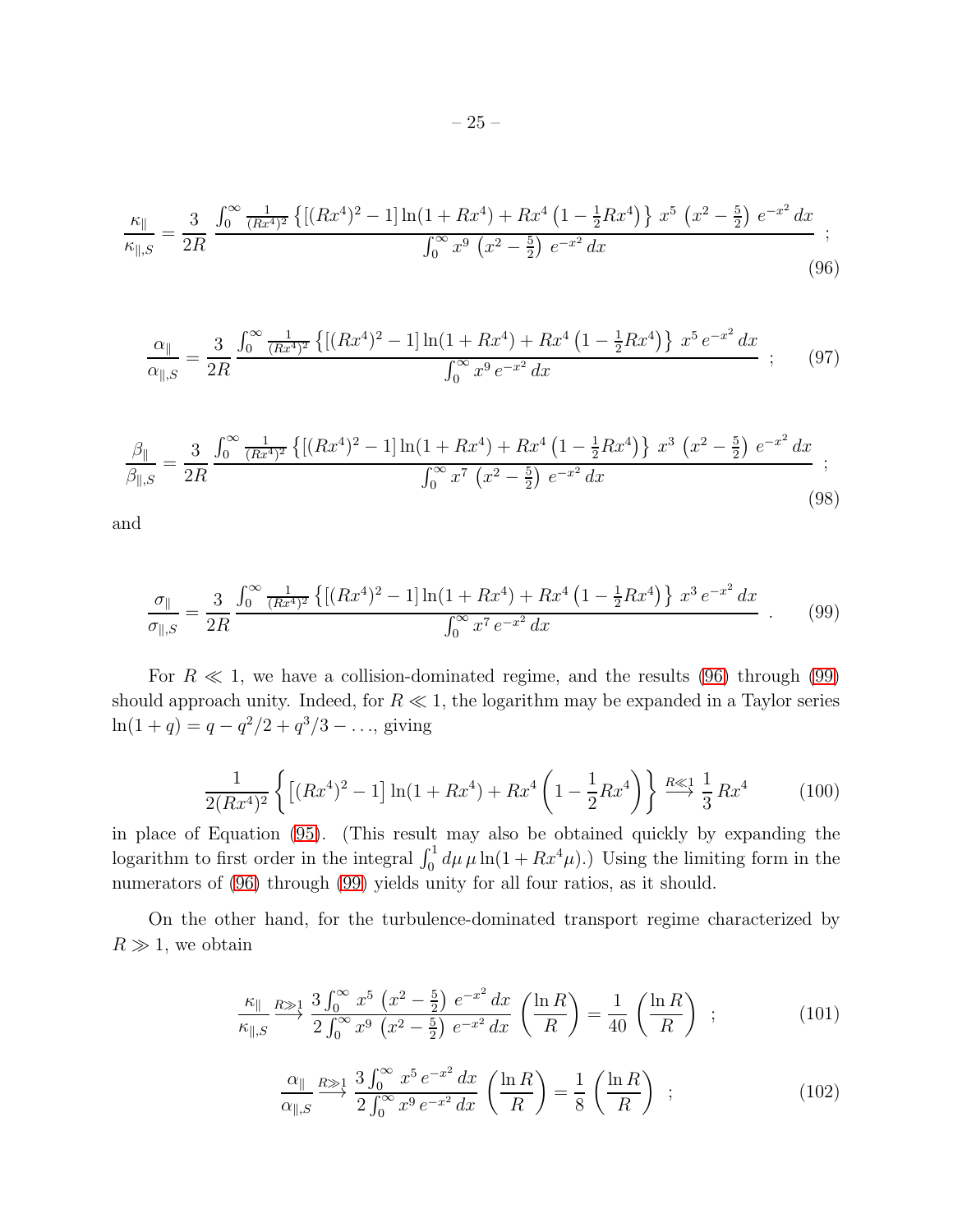<span id="page-24-0"></span>
$$
\frac{\kappa_{\parallel}}{\kappa_{\parallel,S}} = \frac{3}{2R} \frac{\int_0^\infty \frac{1}{(Rx^4)^2} \left\{ \left[ (Rx^4)^2 - 1 \right] \ln(1 + Rx^4) + Rx^4 \left( 1 - \frac{1}{2}Rx^4 \right) \right\} x^5 \left( x^2 - \frac{5}{2} \right) e^{-x^2} dx}{\int_0^\infty x^9 \left( x^2 - \frac{5}{2} \right) e^{-x^2} dx} ;
$$
\n(96)

$$
\frac{\alpha_{\parallel}}{\alpha_{\parallel,S}} = \frac{3}{2R} \frac{\int_0^\infty \frac{1}{(Rx^4)^2} \left\{ \left[ (Rx^4)^2 - 1 \right] \ln(1 + Rx^4) + Rx^4 \left( 1 - \frac{1}{2}Rx^4 \right) \right\} x^5 e^{-x^2} dx}{\int_0^\infty x^9 e^{-x^2} dx} ; \quad (97)
$$

$$
\frac{\beta_{\parallel}}{\beta_{\parallel,S}} = \frac{3}{2R} \frac{\int_0^{\infty} \frac{1}{(Rx^4)^2} \left\{ \left[ (Rx^4)^2 - 1 \right] \ln(1 + Rx^4) + Rx^4 \left( 1 - \frac{1}{2}Rx^4 \right) \right\} x^3 \left( x^2 - \frac{5}{2} \right) e^{-x^2} dx}{\int_0^{\infty} x^7 \left( x^2 - \frac{5}{2} \right) e^{-x^2} dx} ;
$$
\n(98)

and

<span id="page-24-1"></span>
$$
\frac{\sigma_{\parallel}}{\sigma_{\parallel,S}} = \frac{3}{2R} \frac{\int_0^\infty \frac{1}{(Rx^4)^2} \left\{ \left[ (Rx^4)^2 - 1 \right] \ln(1 + Rx^4) + Rx^4 \left( 1 - \frac{1}{2}Rx^4 \right) \right\} x^3 e^{-x^2} dx}{\int_0^\infty x^7 e^{-x^2} dx} \quad . \tag{99}
$$

For  $R \ll 1$ , we have a collision-dominated regime, and the results [\(96\)](#page-24-0) through [\(99\)](#page-24-1) should approach unity. Indeed, for  $R \ll 1$ , the logarithm may be expanded in a Taylor series  $ln(1+q) = q - q^2/2 + q^3/3 - \dots$ , giving

$$
\frac{1}{2(Rx^4)^2} \left\{ \left[ (Rx^4)^2 - 1 \right] \ln(1 + Rx^4) + Rx^4 \left( 1 - \frac{1}{2}Rx^4 \right) \right\} \stackrel{R \ll 1}{\longrightarrow} \frac{1}{3} Rx^4 \tag{100}
$$

in place of Equation [\(95\)](#page-23-1). (This result may also be obtained quickly by expanding the logarithm to first order in the integral  $\int_0^1 d\mu \mu \ln(1 + Rx^4\mu)$ .) Using the limiting form in the numerators of  $(96)$  through  $(99)$  yields unity for all four ratios, as it should.

On the other hand, for the turbulence-dominated transport regime characterized by  $R \gg 1$ , we obtain

$$
\frac{\kappa_{\parallel}}{\kappa_{\parallel,S}} \stackrel{R \gg 1}{\longrightarrow} \frac{3 \int_0^{\infty} x^5 \left( x^2 - \frac{5}{2} \right) e^{-x^2} dx}{2 \int_0^{\infty} x^9 \left( x^2 - \frac{5}{2} \right) e^{-x^2} dx} \left( \frac{\ln R}{R} \right) = \frac{1}{40} \left( \frac{\ln R}{R} \right) ; \tag{101}
$$

$$
\frac{\alpha_{\parallel}}{\alpha_{\parallel,S}} \stackrel{R \gg 1}{\longrightarrow} \frac{3 \int_0^\infty x^5 e^{-x^2} dx}{2 \int_0^\infty x^9 e^{-x^2} dx} \left(\frac{\ln R}{R}\right) = \frac{1}{8} \left(\frac{\ln R}{R}\right) ; \tag{102}
$$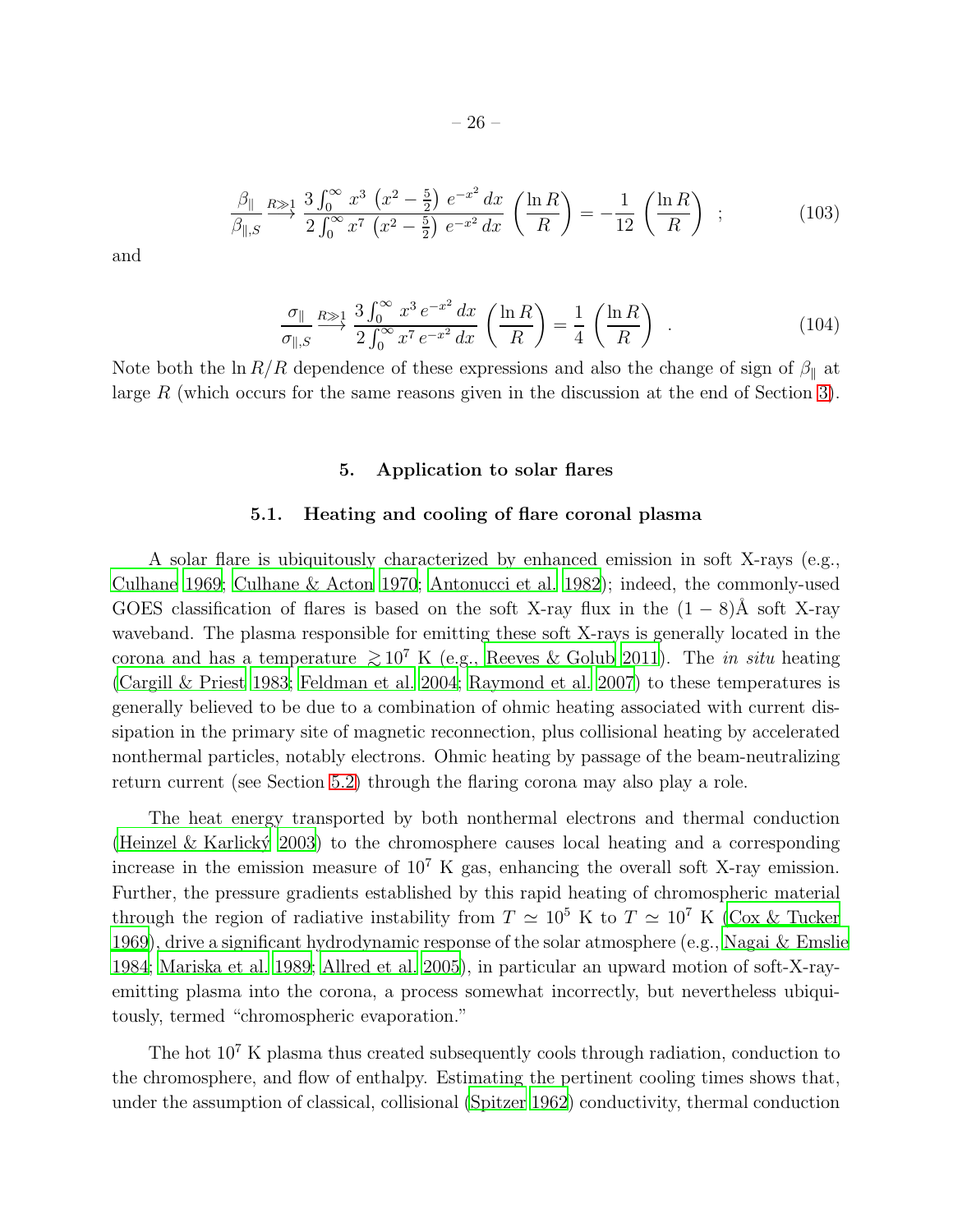$$
\frac{\beta_{\parallel}}{\beta_{\parallel,S}} \xrightarrow{R \gg 1} \frac{3 \int_0^{\infty} x^3 \left(x^2 - \frac{5}{2}\right) e^{-x^2} dx}{2 \int_0^{\infty} x^7 \left(x^2 - \frac{5}{2}\right) e^{-x^2} dx} \left(\frac{\ln R}{R}\right) = -\frac{1}{12} \left(\frac{\ln R}{R}\right) ; \tag{103}
$$

and

$$
\frac{\sigma_{\parallel}}{\sigma_{\parallel,S}} \stackrel{R \gg 1}{\longrightarrow} \frac{3 \int_0^\infty x^3 e^{-x^2} dx}{2 \int_0^\infty x^7 e^{-x^2} dx} \left( \frac{\ln R}{R} \right) = \frac{1}{4} \left( \frac{\ln R}{R} \right) . \tag{104}
$$

<span id="page-25-0"></span>Note both the ln  $R/R$  dependence of these expressions and also the change of sign of  $\beta_{\parallel}$  at large R (which occurs for the same reasons given in the discussion at the end of Section [3\)](#page-9-0).

# 5. Application to solar flares

# 5.1. Heating and cooling of flare coronal plasma

<span id="page-25-1"></span>A solar flare is ubiquitously characterized by enhanced emission in soft X-rays (e.g., [Culhane 1969](#page-33-5); [Culhane & Acton 1970](#page-33-6); [Antonucci et al. 1982\)](#page-32-8); indeed, the commonly-used GOES classification of flares is based on the soft X-ray flux in the  $(1 - 8)$ Å soft X-ray waveband. The plasma responsible for emitting these soft X-rays is generally located in the corona and has a temperature  $\gtrsim 10^7$  K (e.g., [Reeves & Golub 2011\)](#page-35-14). The in situ heating [\(Cargill & Priest 1983;](#page-33-7) [Feldman et al. 2004;](#page-34-20) [Raymond et al. 2007\)](#page-35-15) to these temperatures is generally believed to be due to a combination of ohmic heating associated with current dissipation in the primary site of magnetic reconnection, plus collisional heating by accelerated nonthermal particles, notably electrons. Ohmic heating by passage of the beam-neutralizing return current (see Section [5.2\)](#page-29-0) through the flaring corona may also play a role.

The heat energy transported by both nonthermal electrons and thermal conduction (Heinzel & Karlický 2003) to the chromosphere causes local heating and a corresponding increase in the emission measure of  $10^7$  K gas, enhancing the overall soft X-ray emission. Further, the pressure gradients established by this rapid heating of chromospheric material through the region of radiative instability from  $T \simeq 10^5$  K to  $T \simeq 10^7$  K [\(Cox & Tucker](#page-33-8) [1969\)](#page-33-8), drive a significant hydrodynamic response of the solar atmosphere (e.g., [Nagai & Emslie](#page-35-11) [1984;](#page-35-11) [Mariska et al. 1989;](#page-35-12) [Allred et al. 2005\)](#page-32-7), in particular an upward motion of soft-X-rayemitting plasma into the corona, a process somewhat incorrectly, but nevertheless ubiquitously, termed "chromospheric evaporation."

The hot 10<sup>7</sup> K plasma thus created subsequently cools through radiation, conduction to the chromosphere, and flow of enthalpy. Estimating the pertinent cooling times shows that, under the assumption of classical, collisional [\(Spitzer 1962\)](#page-36-14) conductivity, thermal conduction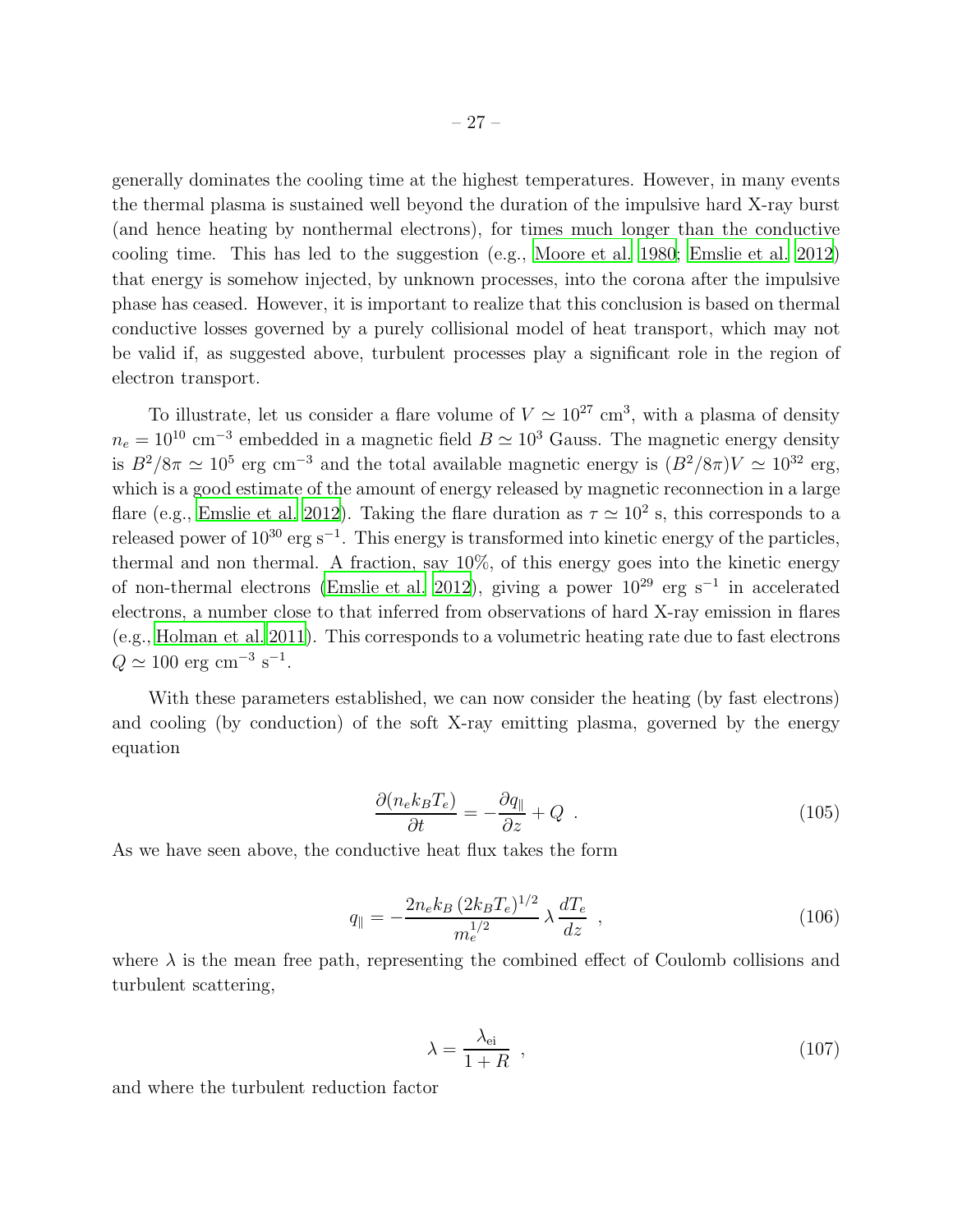generally dominates the cooling time at the highest temperatures. However, in many events the thermal plasma is sustained well beyond the duration of the impulsive hard X-ray burst (and hence heating by nonthermal electrons), for times much longer than the conductive cooling time. This has led to the suggestion (e.g., [Moore et al. 1980;](#page-35-10) [Emslie et al. 2012\)](#page-33-4) that energy is somehow injected, by unknown processes, into the corona after the impulsive phase has ceased. However, it is important to realize that this conclusion is based on thermal conductive losses governed by a purely collisional model of heat transport, which may not be valid if, as suggested above, turbulent processes play a significant role in the region of electron transport.

To illustrate, let us consider a flare volume of  $V \simeq 10^{27}$  cm<sup>3</sup>, with a plasma of density  $n_e = 10^{10}$  cm<sup>-3</sup> embedded in a magnetic field  $B \simeq 10^3$  Gauss. The magnetic energy density is  $B^2/8\pi \simeq 10^5$  erg cm<sup>-3</sup> and the total available magnetic energy is  $(B^2/8\pi)V \simeq 10^{32}$  erg, which is a good estimate of the amount of energy released by magnetic reconnection in a large flare (e.g., [Emslie et al. 2012\)](#page-33-4). Taking the flare duration as  $\tau \simeq 10^2$  s, this corresponds to a released power of  $10^{30}$  erg s<sup>-1</sup>. This energy is transformed into kinetic energy of the particles, thermal and non thermal. A fraction, say 10%, of this energy goes into the kinetic energy of non-thermal electrons [\(Emslie et al. 2012\)](#page-33-4), giving a power  $10^{29}$  erg s<sup>-1</sup> in accelerated electrons, a number close to that inferred from observations of hard X-ray emission in flares (e.g., [Holman et al. 2011](#page-34-0)). This corresponds to a volumetric heating rate due to fast electrons  $Q \simeq 100 \text{ erg cm}^{-3} \text{ s}^{-1}.$ 

With these parameters established, we can now consider the heating (by fast electrons) and cooling (by conduction) of the soft X-ray emitting plasma, governed by the energy equation

<span id="page-26-0"></span>
$$
\frac{\partial (n_e k_B T_e)}{\partial t} = -\frac{\partial q_{\parallel}}{\partial z} + Q \tag{105}
$$

As we have seen above, the conductive heat flux takes the form

<span id="page-26-1"></span>
$$
q_{\parallel} = -\frac{2n_e k_B (2k_B T_e)^{1/2}}{m_e^{1/2}} \lambda \frac{dT_e}{dz} , \qquad (106)
$$

where  $\lambda$  is the mean free path, representing the combined effect of Coulomb collisions and turbulent scattering,

$$
\lambda = \frac{\lambda_{\text{ei}}}{1+R} \quad , \tag{107}
$$

and where the turbulent reduction factor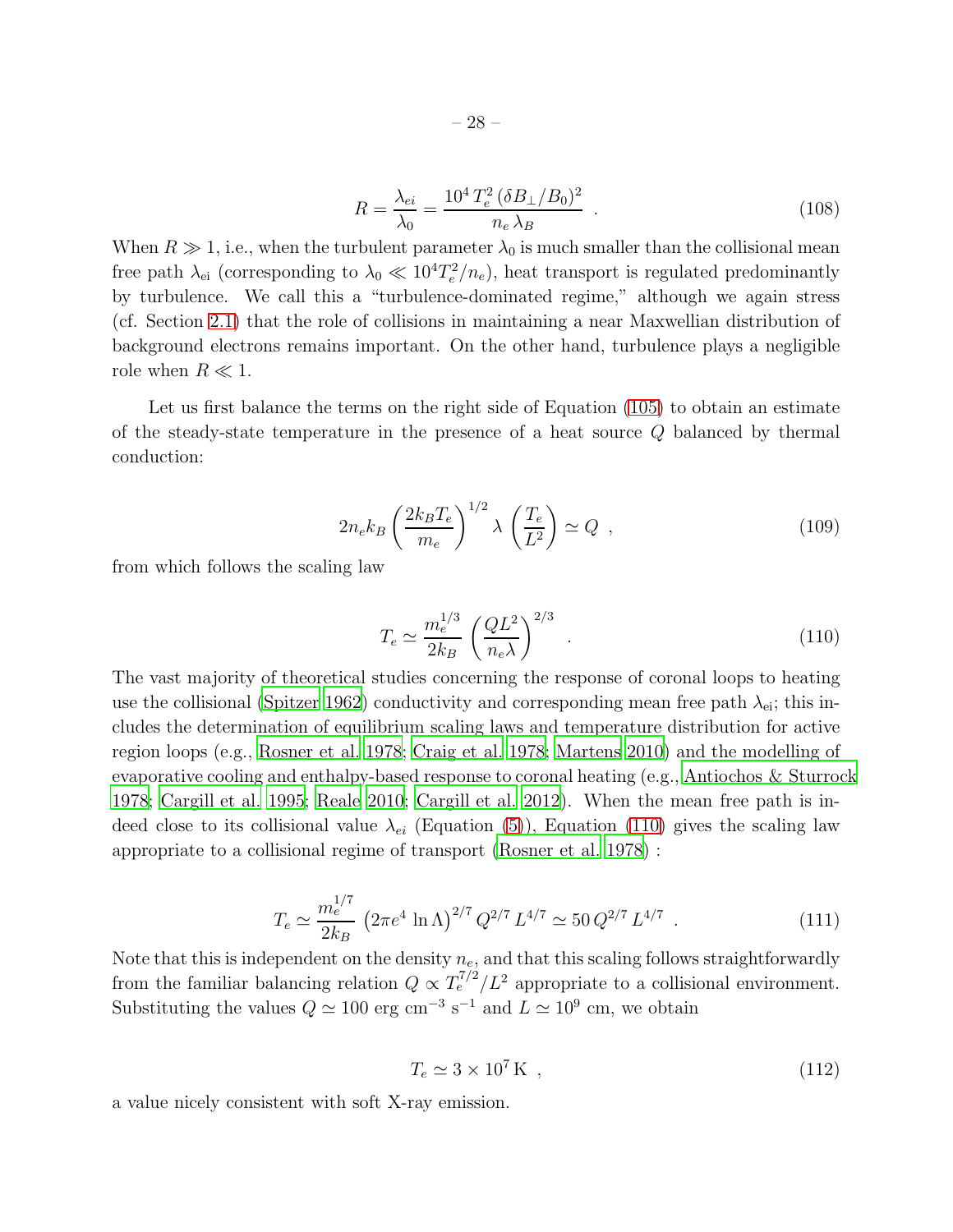$$
R = \frac{\lambda_{ei}}{\lambda_0} = \frac{10^4 T_e^2 (\delta B_\perp / B_0)^2}{n_e \lambda_B} \ . \tag{108}
$$

When  $R \gg 1$ , i.e., when the turbulent parameter  $\lambda_0$  is much smaller than the collisional mean free path  $\lambda_{ei}$  (corresponding to  $\lambda_0 \ll 10^4 T_e^2/n_e$ ), heat transport is regulated predominantly by turbulence. We call this a "turbulence-dominated regime," although we again stress (cf. Section [2.1\)](#page-4-2) that the role of collisions in maintaining a near Maxwellian distribution of background electrons remains important. On the other hand, turbulence plays a negligible role when  $R \ll 1$ .

Let us first balance the terms on the right side of Equation [\(105\)](#page-26-0) to obtain an estimate of the steady-state temperature in the presence of a heat source Q balanced by thermal conduction:

$$
2n_e k_B \left(\frac{2k_B T_e}{m_e}\right)^{1/2} \lambda \left(\frac{T_e}{L^2}\right) \simeq Q \quad , \tag{109}
$$

from which follows the scaling law

<span id="page-27-0"></span>
$$
T_e \simeq \frac{m_e^{1/3}}{2k_B} \left(\frac{QL^2}{n_e \lambda}\right)^{2/3} \tag{110}
$$

The vast majority of theoretical studies concerning the response of coronal loops to heating use the collisional [\(Spitzer 1962](#page-36-14)) conductivity and corresponding mean free path  $\lambda_{ei}$ ; this includes the determination of equilibrium scaling laws and temperature distribution for active region loops (e.g., [Rosner et al. 1978](#page-35-16); [Craig et al. 1978](#page-33-9); [Martens 2010](#page-35-17)) and the modelling of evaporative cooling and enthalpy-based response to coronal heating (e.g., [Antiochos & Sturrock](#page-32-9) [1978;](#page-32-9) [Cargill et al. 1995;](#page-33-10) [Reale 2010;](#page-35-18) [Cargill et al. 2012\)](#page-33-11). When the mean free path is indeed close to its collisional value  $\lambda_{ei}$  (Equation [\(5\)](#page-5-4)), Equation [\(110\)](#page-27-0) gives the scaling law appropriate to a collisional regime of transport [\(Rosner et al. 1978](#page-35-16)) :

<span id="page-27-1"></span>
$$
T_e \simeq \frac{m_e^{1/7}}{2k_B} \left(2\pi e^4 \ln \Lambda\right)^{2/7} Q^{2/7} L^{4/7} \simeq 50 \, Q^{2/7} L^{4/7} \ . \tag{111}
$$

Note that this is independent on the density  $n_e$ , and that this scaling follows straightforwardly from the familiar balancing relation  $Q \propto T_e^{7/2}/L^2$  appropriate to a collisional environment. Substituting the values  $Q \simeq 100 \text{ erg cm}^{-3} \text{ s}^{-1}$  and  $L \simeq 10^9 \text{ cm}$ , we obtain

<span id="page-27-2"></span>
$$
T_e \simeq 3 \times 10^7 \,\mathrm{K} \tag{112}
$$

a value nicely consistent with soft X-ray emission.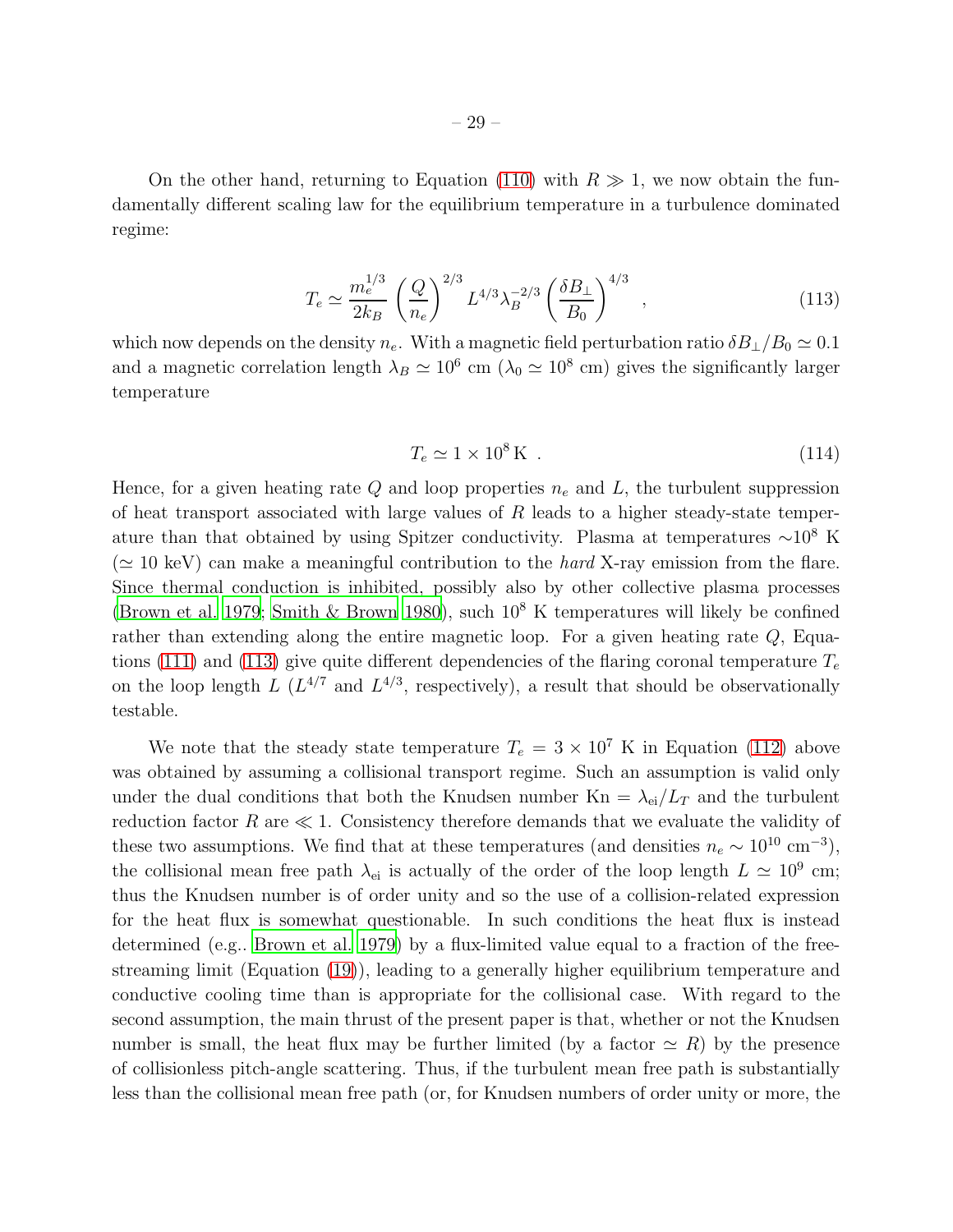On the other hand, returning to Equation [\(110\)](#page-27-0) with  $R \gg 1$ , we now obtain the fundamentally different scaling law for the equilibrium temperature in a turbulence dominated regime:

<span id="page-28-0"></span>
$$
T_e \simeq \frac{m_e^{1/3}}{2k_B} \left(\frac{Q}{n_e}\right)^{2/3} L^{4/3} \lambda_B^{-2/3} \left(\frac{\delta B_\perp}{B_0}\right)^{4/3} ,\qquad (113)
$$

which now depends on the density  $n_e$ . With a magnetic field perturbation ratio  $\delta B_{\perp}/B_0 \simeq 0.1$ and a magnetic correlation length  $\lambda_B \simeq 10^6$  cm ( $\lambda_0 \simeq 10^8$  cm) gives the significantly larger temperature

<span id="page-28-1"></span>
$$
T_e \simeq 1 \times 10^8 \,\mathrm{K} \tag{114}
$$

Hence, for a given heating rate Q and loop properties  $n_e$  and L, the turbulent suppression of heat transport associated with large values of  $R$  leads to a higher steady-state temperature than that obtained by using Spitzer conductivity. Plasma at temperatures  $\sim 10^8$  K  $(\simeq 10 \text{ keV})$  can make a meaningful contribution to the *hard* X-ray emission from the flare. Since thermal conduction is inhibited, possibly also by other collective plasma processes [\(Brown et al. 1979;](#page-33-12) [Smith & Brown 1980](#page-36-18)), such  $10<sup>8</sup>$  K temperatures will likely be confined rather than extending along the entire magnetic loop. For a given heating rate  $Q$ , Equa-tions [\(111\)](#page-27-1) and [\(113\)](#page-28-0) give quite different dependencies of the flaring coronal temperature  $T_e$ on the loop length L  $(L^{4/7}$  and  $L^{4/3}$ , respectively), a result that should be observationally testable.

We note that the steady state temperature  $T_e = 3 \times 10^7$  K in Equation [\(112\)](#page-27-2) above was obtained by assuming a collisional transport regime. Such an assumption is valid only under the dual conditions that both the Knudsen number  $Kn = \lambda_{ei}/L_T$  and the turbulent reduction factor R are  $\ll 1$ . Consistency therefore demands that we evaluate the validity of these two assumptions. We find that at these temperatures (and densities  $n_e \sim 10^{10} \text{ cm}^{-3}$ ), the collisional mean free path  $\lambda_{ei}$  is actually of the order of the loop length  $L \simeq 10^9$  cm; thus the Knudsen number is of order unity and so the use of a collision-related expression for the heat flux is somewhat questionable. In such conditions the heat flux is instead determined (e.g.. [Brown et al. 1979](#page-33-12)) by a flux-limited value equal to a fraction of the freestreaming limit (Equation [\(19\)](#page-8-0)), leading to a generally higher equilibrium temperature and conductive cooling time than is appropriate for the collisional case. With regard to the second assumption, the main thrust of the present paper is that, whether or not the Knudsen number is small, the heat flux may be further limited (by a factor  $\simeq R$ ) by the presence of collisionless pitch-angle scattering. Thus, if the turbulent mean free path is substantially less than the collisional mean free path (or, for Knudsen numbers of order unity or more, the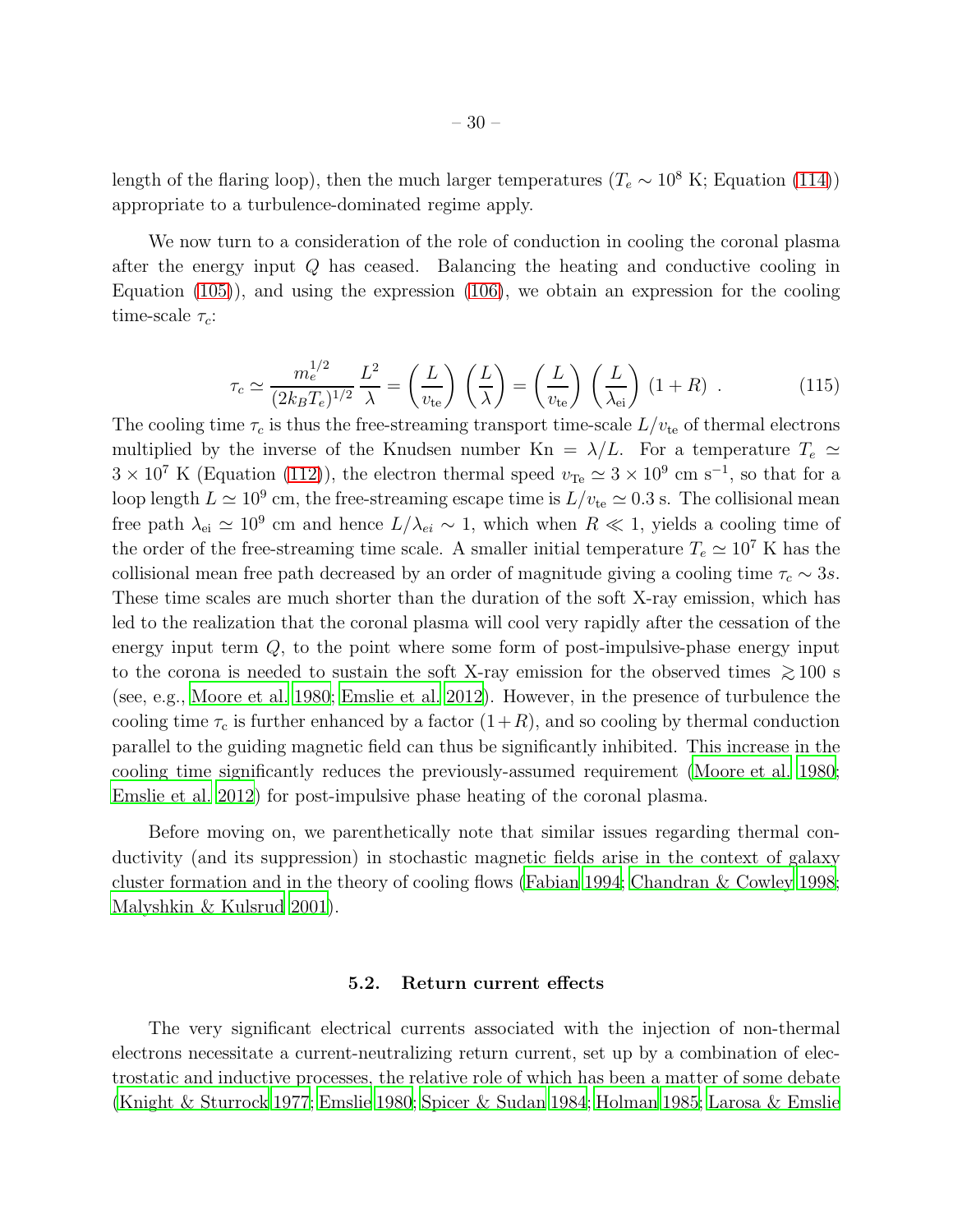length of the flaring loop), then the much larger temperatures ( $T_e \sim 10^8$  K; Equation [\(114\)](#page-28-1)) appropriate to a turbulence-dominated regime apply.

We now turn to a consideration of the role of conduction in cooling the coronal plasma after the energy input Q has ceased. Balancing the heating and conductive cooling in Equation [\(105\)](#page-26-0)), and using the expression [\(106\)](#page-26-1), we obtain an expression for the cooling time-scale  $\tau_c$ :

$$
\tau_c \simeq \frac{m_e^{1/2}}{(2k_B T_e)^{1/2}} \frac{L^2}{\lambda} = \left(\frac{L}{v_{\text{te}}}\right) \left(\frac{L}{\lambda}\right) = \left(\frac{L}{v_{\text{te}}}\right) \left(\frac{L}{\lambda_{\text{ei}}}\right) (1+R) \quad . \tag{115}
$$

The cooling time  $\tau_c$  is thus the free-streaming transport time-scale  $L/v_{\text{te}}$  of thermal electrons multiplied by the inverse of the Knudsen number Kn =  $\lambda/L$ . For a temperature  $T_e \simeq$  $3 \times 10^7$  K (Equation [\(112\)](#page-27-2)), the electron thermal speed  $v_{\text{Te}} \simeq 3 \times 10^9$  cm s<sup>-1</sup>, so that for a loop length  $L \simeq 10^9$  cm, the free-streaming escape time is  $L/v_{\text{te}} \simeq 0.3$  s. The collisional mean free path  $\lambda_{ei} \simeq 10^9$  cm and hence  $L/\lambda_{ei} \sim 1$ , which when  $R \ll 1$ , yields a cooling time of the order of the free-streaming time scale. A smaller initial temperature  $T_e \simeq 10^7$  K has the collisional mean free path decreased by an order of magnitude giving a cooling time  $\tau_c \sim 3s$ . These time scales are much shorter than the duration of the soft X-ray emission, which has led to the realization that the coronal plasma will cool very rapidly after the cessation of the energy input term  $Q$ , to the point where some form of post-impulsive-phase energy input to the corona is needed to sustain the soft X-ray emission for the observed times  $\gtrsim 100$  s (see, e.g., [Moore et al. 1980;](#page-35-10) [Emslie et al. 2012](#page-33-4)). However, in the presence of turbulence the cooling time  $\tau_c$  is further enhanced by a factor  $(1+R)$ , and so cooling by thermal conduction parallel to the guiding magnetic field can thus be significantly inhibited. This increase in the cooling time significantly reduces the previously-assumed requirement [\(Moore et al. 1980;](#page-35-10) [Emslie et al. 2012](#page-33-4)) for post-impulsive phase heating of the coronal plasma.

Before moving on, we parenthetically note that similar issues regarding thermal conductivity (and its suppression) in stochastic magnetic fields arise in the context of galaxy cluster formation and in the theory of cooling flows [\(Fabian 1994;](#page-33-13) [Chandran & Cowley 1998;](#page-33-14) [Malyshkin & Kulsrud 2001](#page-35-19)).

### 5.2. Return current effects

<span id="page-29-0"></span>The very significant electrical currents associated with the injection of non-thermal electrons necessitate a current-neutralizing return current, set up by a combination of electrostatic and inductive processes, the relative role of which has been a matter of some debate [\(Knight & Sturrock 1977;](#page-34-1) [Emslie 1980;](#page-33-1) [Spicer & Sudan 1984](#page-36-2); [Holman 1985](#page-34-2); [Larosa & Emslie](#page-35-1)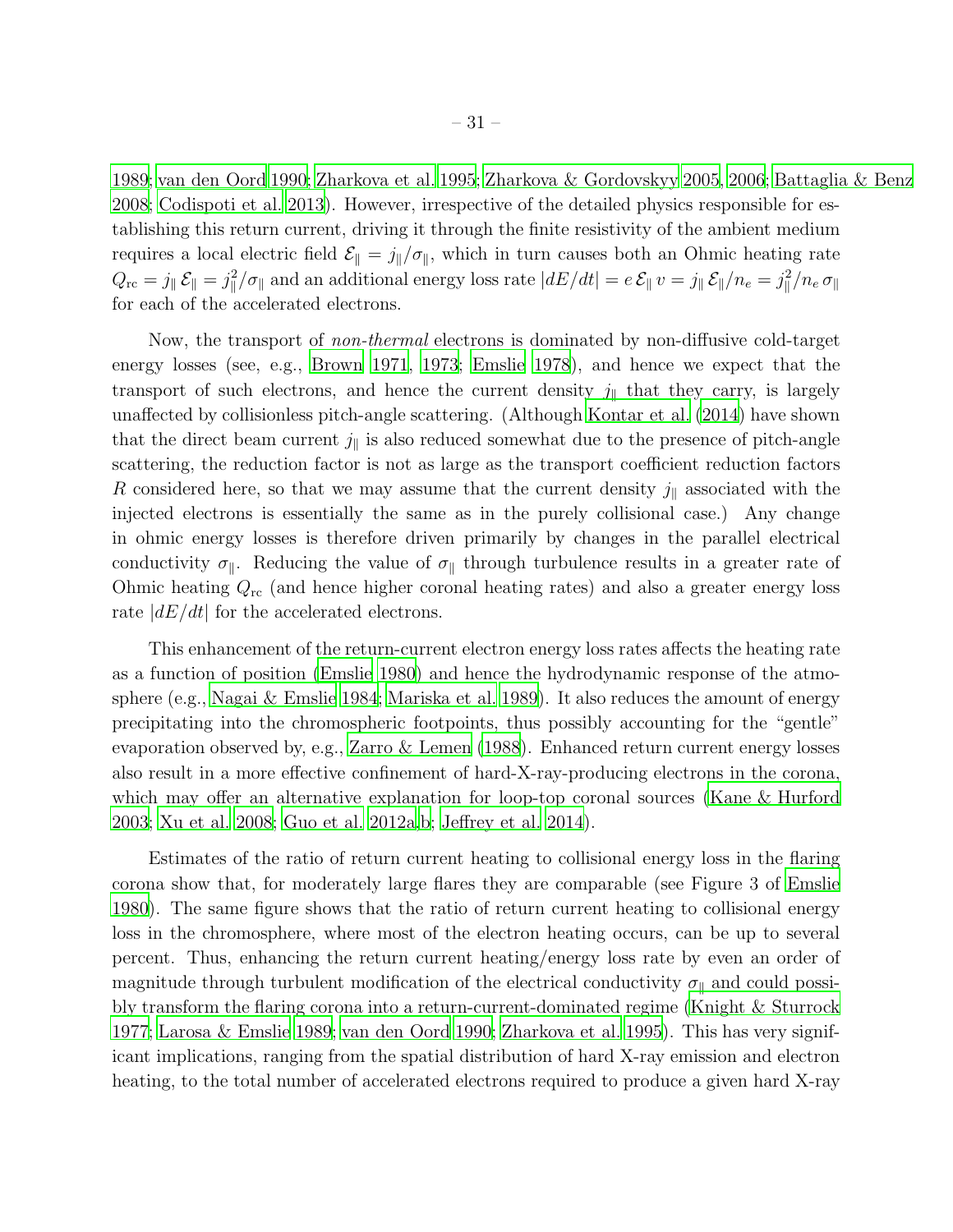[1989;](#page-35-1) [van den Oord 1990](#page-36-3); [Zharkova et al. 1995;](#page-36-4) [Zharkova & Gordovskyy 2005](#page-36-5), [2006;](#page-36-6) [Battaglia & Benz](#page-32-1) [2008;](#page-32-1) [Codispoti et al. 2013](#page-33-15)). However, irrespective of the detailed physics responsible for establishing this return current, driving it through the finite resistivity of the ambient medium requires a local electric field  $\mathcal{E}_{\parallel} = j_{\parallel}/\sigma_{\parallel}$ , which in turn causes both an Ohmic heating rate  $Q_{\textrm{rc}}=j_\parallel\,\mathcal{E}_\parallel=j_\parallel^2/\sigma_\parallel$  and an additional energy loss rate  $|dE/dt|=e\,\mathcal{E}_\parallel\,v=j_\parallel\,\mathcal{E}_\parallel/n_e=j_\parallel^2/n_e\,\sigma_\parallel$ for each of the accelerated electrons.

Now, the transport of *non-thermal* electrons is dominated by non-diffusive cold-target energy losses (see, e.g., [Brown 1971,](#page-32-2) [1973;](#page-32-10) [Emslie 1978\)](#page-33-0), and hence we expect that the transport of such electrons, and hence the current density  $j_{\parallel}$  that they carry, is largely unaffected by collisionless pitch-angle scattering. (Although [Kontar et al. \(2014\)](#page-34-13) have shown that the direct beam current  $j_{\parallel}$  is also reduced somewhat due to the presence of pitch-angle scattering, the reduction factor is not as large as the transport coefficient reduction factors R considered here, so that we may assume that the current density  $j_{\parallel}$  associated with the injected electrons is essentially the same as in the purely collisional case.) Any change in ohmic energy losses is therefore driven primarily by changes in the parallel electrical conductivity  $\sigma_{\parallel}$ . Reducing the value of  $\sigma_{\parallel}$  through turbulence results in a greater rate of Ohmic heating  $Q_{\rm rc}$  (and hence higher coronal heating rates) and also a greater energy loss rate  $|dE/dt|$  for the accelerated electrons.

This enhancement of the return-current electron energy loss rates affects the heating rate as a function of position [\(Emslie 1980\)](#page-33-1) and hence the hydrodynamic response of the atmosphere (e.g., [Nagai & Emslie 1984;](#page-35-11) [Mariska et al. 1989\)](#page-35-12). It also reduces the amount of energy precipitating into the chromospheric footpoints, thus possibly accounting for the "gentle" evaporation observed by, e.g., [Zarro & Lemen \(1988](#page-36-19)). Enhanced return current energy losses also result in a more effective confinement of hard-X-ray-producing electrons in the corona, which may offer an alternative explanation for loop-top coronal sources [\(Kane & Hurford](#page-34-4) [2003;](#page-34-4) [Xu et al. 2008](#page-36-9); [Guo et al. 2012a](#page-34-8)[,b;](#page-34-9) [Jeffrey et al. 2014\)](#page-34-10).

Estimates of the ratio of return current heating to collisional energy loss in the flaring corona show that, for moderately large flares they are comparable (see Figure 3 of [Emslie](#page-33-1) [1980\)](#page-33-1). The same figure shows that the ratio of return current heating to collisional energy loss in the chromosphere, where most of the electron heating occurs, can be up to several percent. Thus, enhancing the return current heating/energy loss rate by even an order of magnitude through turbulent modification of the electrical conductivity  $\sigma_{\parallel}$  and could possibly transform the flaring corona into a return-current-dominated regime [\(Knight & Sturrock](#page-34-1) [1977;](#page-34-1) [Larosa & Emslie 1989](#page-35-1); [van den Oord 1990;](#page-36-3) [Zharkova et al. 1995\)](#page-36-4). This has very significant implications, ranging from the spatial distribution of hard X-ray emission and electron heating, to the total number of accelerated electrons required to produce a given hard X-ray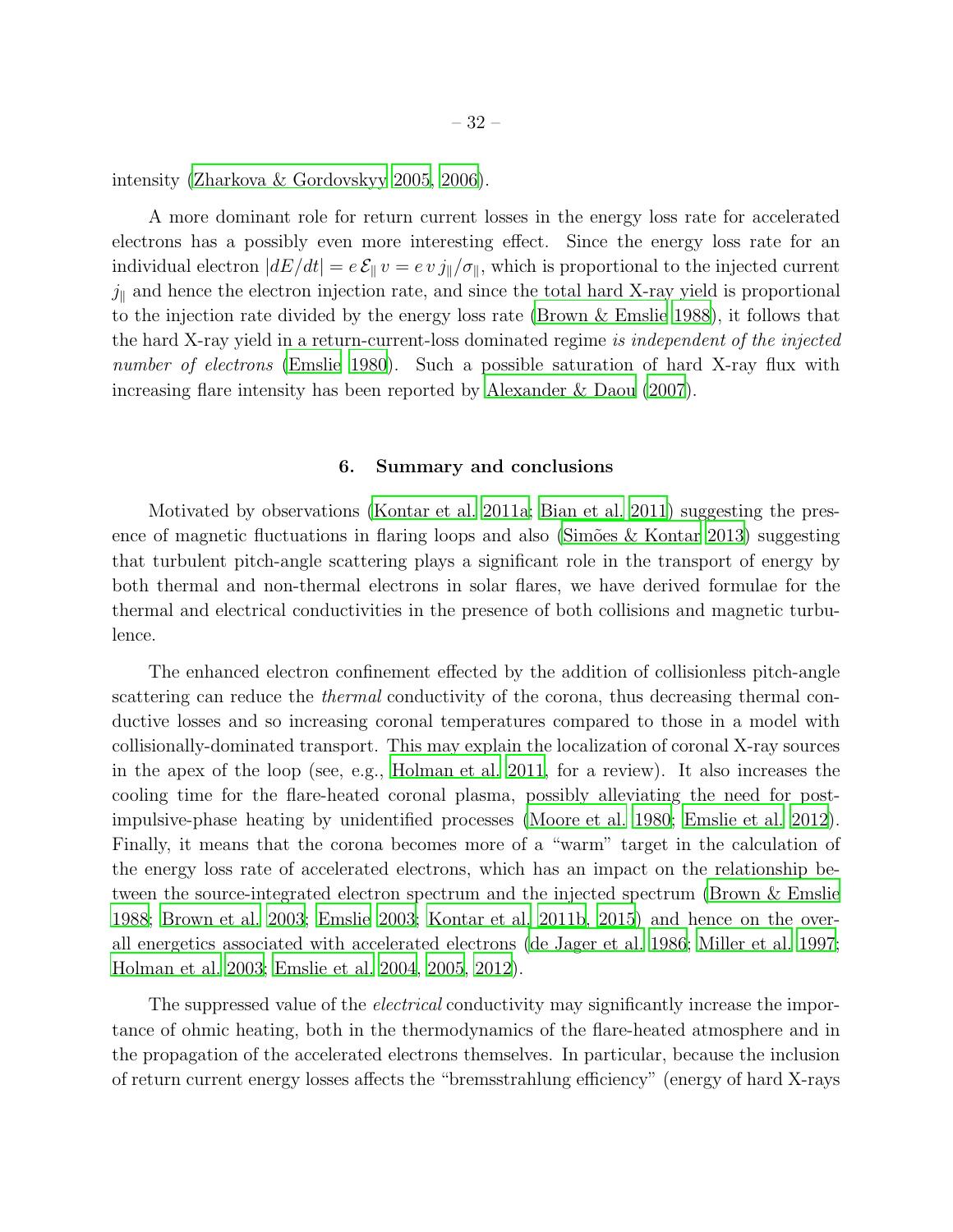intensity [\(Zharkova & Gordovskyy 2005](#page-36-5), [2006\)](#page-36-6).

A more dominant role for return current losses in the energy loss rate for accelerated electrons has a possibly even more interesting effect. Since the energy loss rate for an individual electron  $|dE/dt| = e \mathcal{E}_{\parallel} v = ev \, j_{\parallel}/\sigma_{\parallel}$ , which is proportional to the injected current  $j_{\parallel}$  and hence the electron injection rate, and since the total hard X-ray yield is proportional to the injection rate divided by the energy loss rate [\(Brown & Emslie 1988\)](#page-32-11), it follows that the hard X-ray yield in a return-current-loss dominated regime is independent of the injected number of electrons [\(Emslie 1980\)](#page-33-1). Such a possible saturation of hard X-ray flux with increasing flare intensity has been reported by [Alexander & Daou \(2007\)](#page-32-12).

#### 6. Summary and conclusions

<span id="page-31-0"></span>Motivated by observations [\(Kontar et al. 2011a;](#page-34-7) [Bian et al. 2011\)](#page-32-6) suggesting the presence of magnetic fluctuations in flaring loops and also (Simões  $\&$  Kontar 2013) suggesting that turbulent pitch-angle scattering plays a significant role in the transport of energy by both thermal and non-thermal electrons in solar flares, we have derived formulae for the thermal and electrical conductivities in the presence of both collisions and magnetic turbulence.

The enhanced electron confinement effected by the addition of collisionless pitch-angle scattering can reduce the *thermal* conductivity of the corona, thus decreasing thermal conductive losses and so increasing coronal temperatures compared to those in a model with collisionally-dominated transport. This may explain the localization of coronal X-ray sources in the apex of the loop (see, e.g., [Holman et al. 2011,](#page-34-0) for a review). It also increases the cooling time for the flare-heated coronal plasma, possibly alleviating the need for postimpulsive-phase heating by unidentified processes [\(Moore et al. 1980](#page-35-10); [Emslie et al. 2012](#page-33-4)). Finally, it means that the corona becomes more of a "warm" target in the calculation of the energy loss rate of accelerated electrons, which has an impact on the relationship between the source-integrated electron spectrum and the injected spectrum [\(Brown & Emslie](#page-32-11) [1988;](#page-32-11) [Brown et al. 2003;](#page-32-13) [Emslie 2003;](#page-33-16) [Kontar et al. 2011b,](#page-35-0) [2015](#page-35-20)) and hence on the overall energetics associated with accelerated electrons [\(de Jager et](#page-33-17) al. [1986](#page-33-17); [Miller et al. 1997;](#page-35-21) [Holman et al. 2003](#page-34-3); [Emslie et al. 2004,](#page-33-18) [2005](#page-33-19), [2012\)](#page-33-4).

The suppressed value of the *electrical* conductivity may significantly increase the importance of ohmic heating, both in the thermodynamics of the flare-heated atmosphere and in the propagation of the accelerated electrons themselves. In particular, because the inclusion of return current energy losses affects the "bremsstrahlung efficiency" (energy of hard X-rays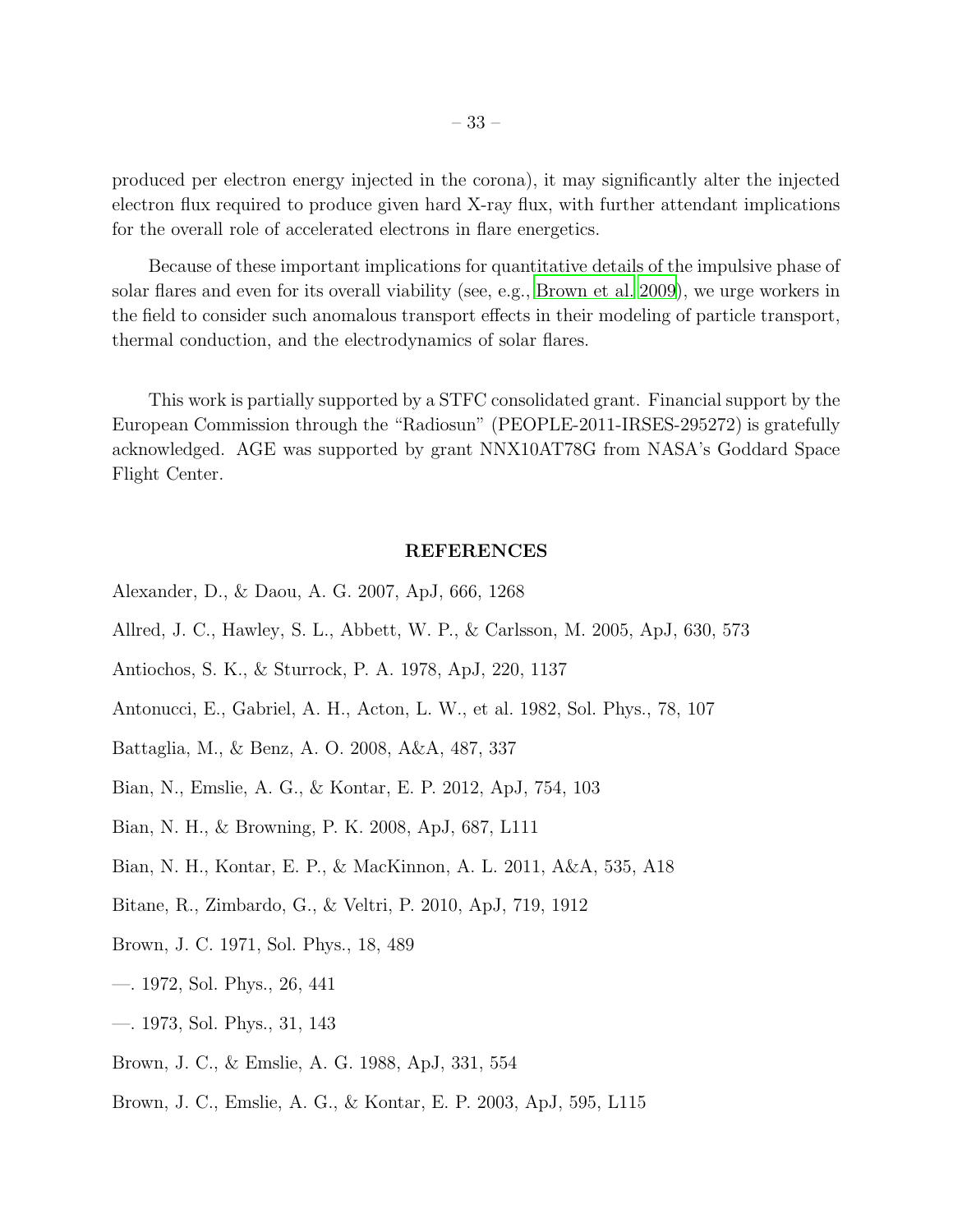produced per electron energy injected in the corona), it may significantly alter the injected electron flux required to produce given hard X-ray flux, with further attendant implications for the overall role of accelerated electrons in flare energetics.

Because of these important implications for quantitative details of the impulsive phase of solar flares and even for its overall viability (see, e.g., [Brown et al. 2009\)](#page-33-20), we urge workers in the field to consider such anomalous transport effects in their modeling of particle transport, thermal conduction, and the electrodynamics of solar flares.

This work is partially supported by a STFC consolidated grant. Financial support by the European Commission through the "Radiosun" (PEOPLE-2011-IRSES-295272) is gratefully acknowledged. AGE was supported by grant NNX10AT78G from NASA's Goddard Space Flight Center.

## REFERENCES

- <span id="page-32-12"></span>Alexander, D., & Daou, A. G. 2007, ApJ, 666, 1268
- <span id="page-32-7"></span>Allred, J. C., Hawley, S. L., Abbett, W. P., & Carlsson, M. 2005, ApJ, 630, 573
- <span id="page-32-9"></span>Antiochos, S. K., & Sturrock, P. A. 1978, ApJ, 220, 1137
- <span id="page-32-8"></span>Antonucci, E., Gabriel, A. H., Acton, L. W., et al. 1982, Sol. Phys., 78, 107
- <span id="page-32-1"></span>Battaglia, M., & Benz, A. O. 2008, A&A, 487, 337
- <span id="page-32-4"></span>Bian, N., Emslie, A. G., & Kontar, E. P. 2012, ApJ, 754, 103
- <span id="page-32-3"></span>Bian, N. H., & Browning, P. K. 2008, ApJ, 687, L111
- <span id="page-32-6"></span>Bian, N. H., Kontar, E. P., & MacKinnon, A. L. 2011, A&A, 535, A18
- <span id="page-32-5"></span>Bitane, R., Zimbardo, G., & Veltri, P. 2010, ApJ, 719, 1912
- <span id="page-32-2"></span>Brown, J. C. 1971, Sol. Phys., 18, 489
- <span id="page-32-0"></span>—. 1972, Sol. Phys., 26, 441
- <span id="page-32-10"></span>—. 1973, Sol. Phys., 31, 143
- <span id="page-32-11"></span>Brown, J. C., & Emslie, A. G. 1988, ApJ, 331, 554
- <span id="page-32-13"></span>Brown, J. C., Emslie, A. G., & Kontar, E. P. 2003, ApJ, 595, L115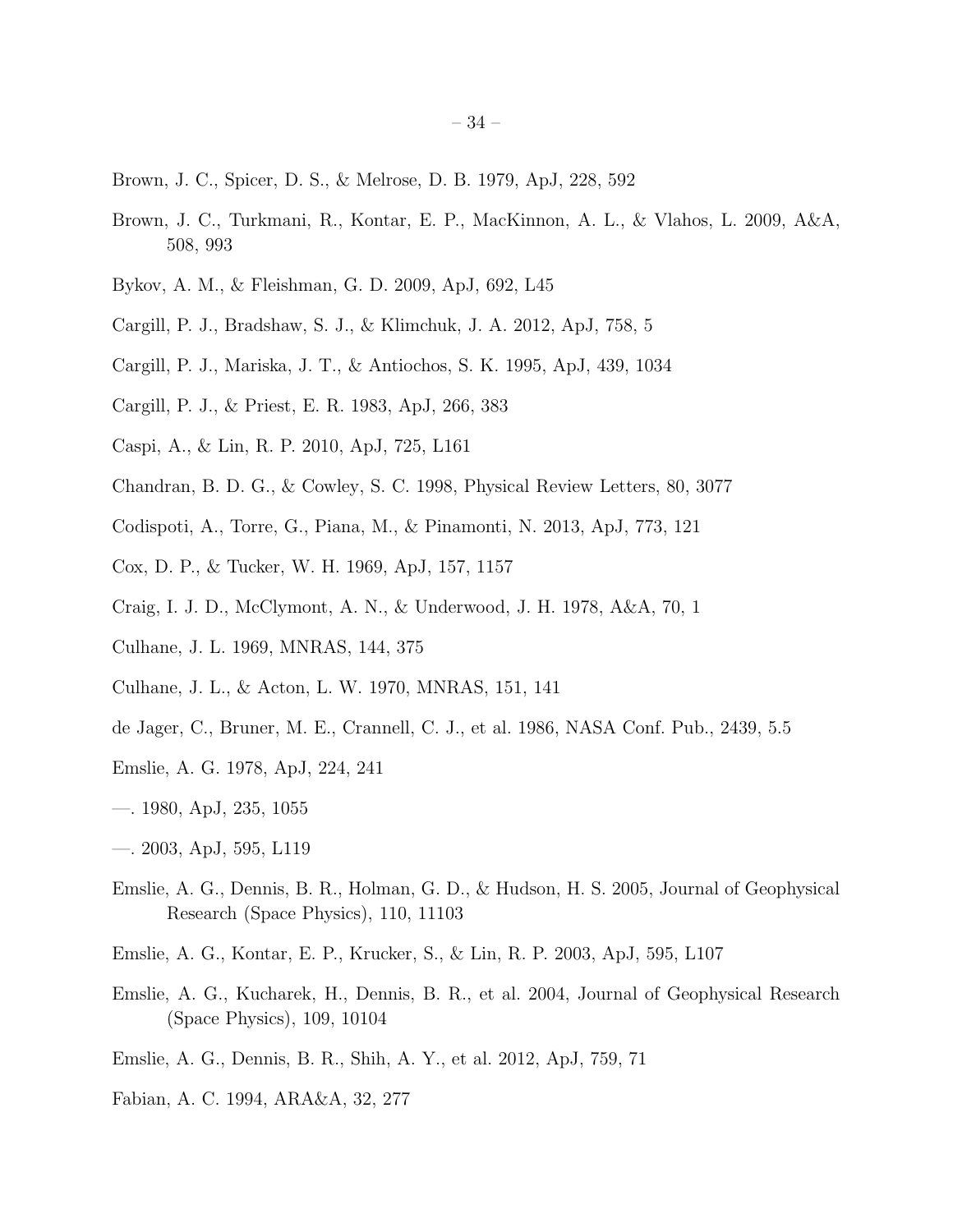- <span id="page-33-12"></span>Brown, J. C., Spicer, D. S., & Melrose, D. B. 1979, ApJ, 228, 592
- <span id="page-33-20"></span>Brown, J. C., Turkmani, R., Kontar, E. P., MacKinnon, A. L., & Vlahos, L. 2009, A&A, 508, 993
- <span id="page-33-3"></span>Bykov, A. M., & Fleishman, G. D. 2009, ApJ, 692, L45
- <span id="page-33-11"></span>Cargill, P. J., Bradshaw, S. J., & Klimchuk, J. A. 2012, ApJ, 758, 5
- <span id="page-33-10"></span>Cargill, P. J., Mariska, J. T., & Antiochos, S. K. 1995, ApJ, 439, 1034
- <span id="page-33-7"></span>Cargill, P. J., & Priest, E. R. 1983, ApJ, 266, 383
- Caspi, A., & Lin, R. P. 2010, ApJ, 725, L161
- <span id="page-33-14"></span>Chandran, B. D. G., & Cowley, S. C. 1998, Physical Review Letters, 80, 3077
- <span id="page-33-15"></span>Codispoti, A., Torre, G., Piana, M., & Pinamonti, N. 2013, ApJ, 773, 121
- <span id="page-33-8"></span>Cox, D. P., & Tucker, W. H. 1969, ApJ, 157, 1157
- <span id="page-33-9"></span>Craig, I. J. D., McClymont, A. N., & Underwood, J. H. 1978, A&A, 70, 1
- <span id="page-33-5"></span>Culhane, J. L. 1969, MNRAS, 144, 375
- <span id="page-33-6"></span>Culhane, J. L., & Acton, L. W. 1970, MNRAS, 151, 141
- <span id="page-33-17"></span>de Jager, C., Bruner, M. E., Crannell, C. J., et al. 1986, NASA Conf. Pub., 2439, 5.5
- <span id="page-33-0"></span>Emslie, A. G. 1978, ApJ, 224, 241
- <span id="page-33-1"></span>—. 1980, ApJ, 235, 1055
- <span id="page-33-16"></span>—. 2003, ApJ, 595, L119
- <span id="page-33-19"></span>Emslie, A. G., Dennis, B. R., Holman, G. D., & Hudson, H. S. 2005, Journal of Geophysical Research (Space Physics), 110, 11103
- <span id="page-33-2"></span>Emslie, A. G., Kontar, E. P., Krucker, S., & Lin, R. P. 2003, ApJ, 595, L107
- <span id="page-33-18"></span>Emslie, A. G., Kucharek, H., Dennis, B. R., et al. 2004, Journal of Geophysical Research (Space Physics), 109, 10104
- <span id="page-33-4"></span>Emslie, A. G., Dennis, B. R., Shih, A. Y., et al. 2012, ApJ, 759, 71
- <span id="page-33-13"></span>Fabian, A. C. 1994, ARA&A, 32, 277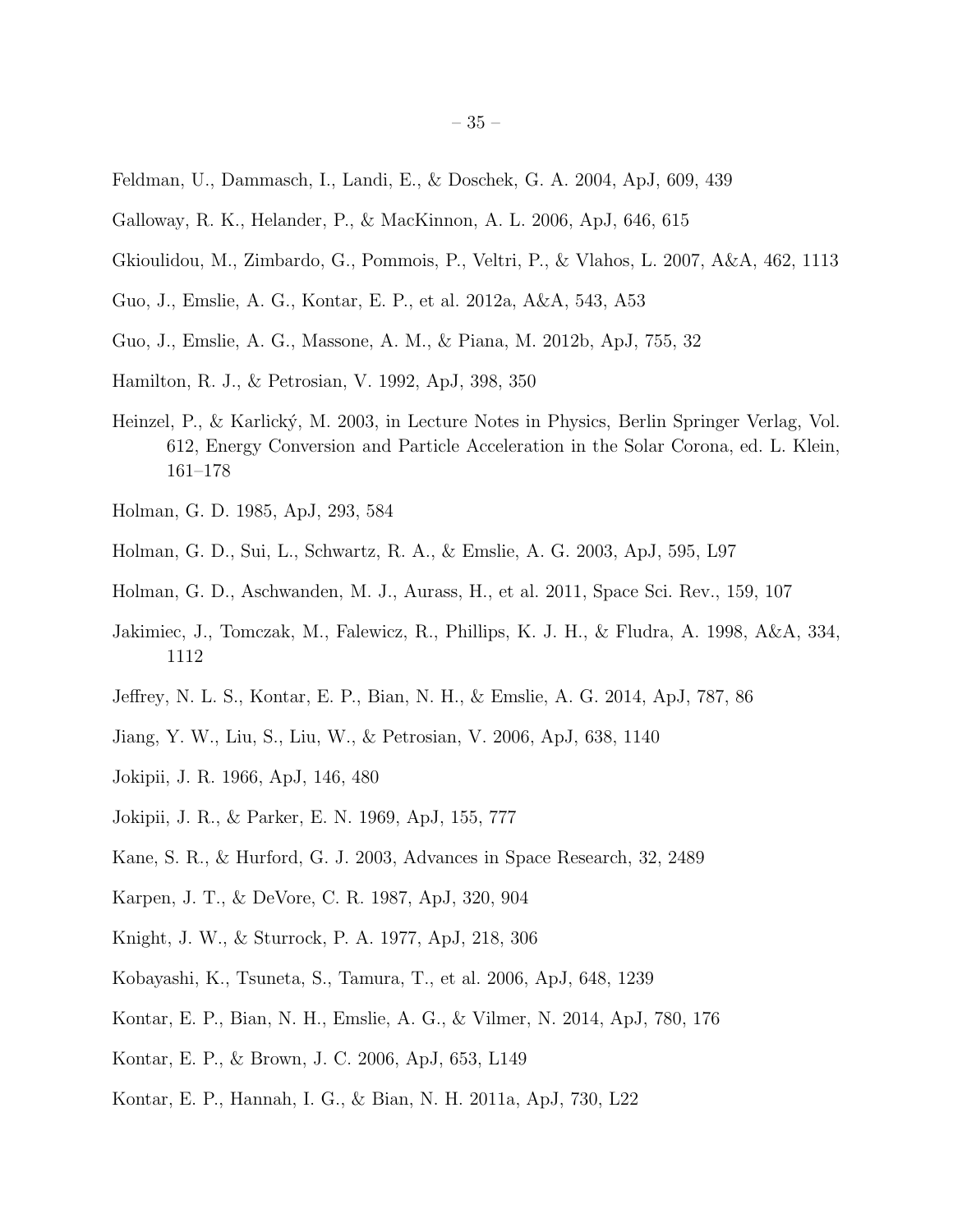- <span id="page-34-20"></span>Feldman, U., Dammasch, I., Landi, E., & Doschek, G. A. 2004, ApJ, 609, 439
- <span id="page-34-16"></span>Galloway, R. K., Helander, P., & MacKinnon, A. L. 2006, ApJ, 646, 615
- <span id="page-34-17"></span>Gkioulidou, M., Zimbardo, G., Pommois, P., Veltri, P., & Vlahos, L. 2007, A&A, 462, 1113
- <span id="page-34-8"></span>Guo, J., Emslie, A. G., Kontar, E. P., et al. 2012a, A&A, 543, A53
- <span id="page-34-9"></span>Guo, J., Emslie, A. G., Massone, A. M., & Piana, M. 2012b, ApJ, 755, 32
- <span id="page-34-12"></span>Hamilton, R. J., & Petrosian, V. 1992, ApJ, 398, 350
- <span id="page-34-21"></span>Heinzel, P., & Karlick´y, M. 2003, in Lecture Notes in Physics, Berlin Springer Verlag, Vol. 612, Energy Conversion and Particle Acceleration in the Solar Corona, ed. L. Klein, 161–178
- <span id="page-34-2"></span>Holman, G. D. 1985, ApJ, 293, 584
- <span id="page-34-3"></span>Holman, G. D., Sui, L., Schwartz, R. A., & Emslie, A. G. 2003, ApJ, 595, L97
- <span id="page-34-0"></span>Holman, G. D., Aschwanden, M. J., Aurass, H., et al. 2011, Space Sci. Rev., 159, 107
- <span id="page-34-19"></span>Jakimiec, J., Tomczak, M., Falewicz, R., Phillips, K. J. H., & Fludra, A. 1998, A&A, 334, 1112
- <span id="page-34-10"></span>Jeffrey, N. L. S., Kontar, E. P., Bian, N. H., & Emslie, A. G. 2014, ApJ, 787, 86
- <span id="page-34-5"></span>Jiang, Y. W., Liu, S., Liu, W., & Petrosian, V. 2006, ApJ, 638, 1140
- <span id="page-34-14"></span>Jokipii, J. R. 1966, ApJ, 146, 480
- <span id="page-34-15"></span>Jokipii, J. R., & Parker, E. N. 1969, ApJ, 155, 777
- <span id="page-34-4"></span>Kane, S. R., & Hurford, G. J. 2003, Advances in Space Research, 32, 2489
- <span id="page-34-18"></span>Karpen, J. T., & DeVore, C. R. 1987, ApJ, 320, 904
- <span id="page-34-1"></span>Knight, J. W., & Sturrock, P. A. 1977, ApJ, 218, 306
- <span id="page-34-6"></span>Kobayashi, K., Tsuneta, S., Tamura, T., et al. 2006, ApJ, 648, 1239
- <span id="page-34-13"></span>Kontar, E. P., Bian, N. H., Emslie, A. G., & Vilmer, N. 2014, ApJ, 780, 176
- <span id="page-34-11"></span>Kontar, E. P., & Brown, J. C. 2006, ApJ, 653, L149
- <span id="page-34-7"></span>Kontar, E. P., Hannah, I. G., & Bian, N. H. 2011a, ApJ, 730, L22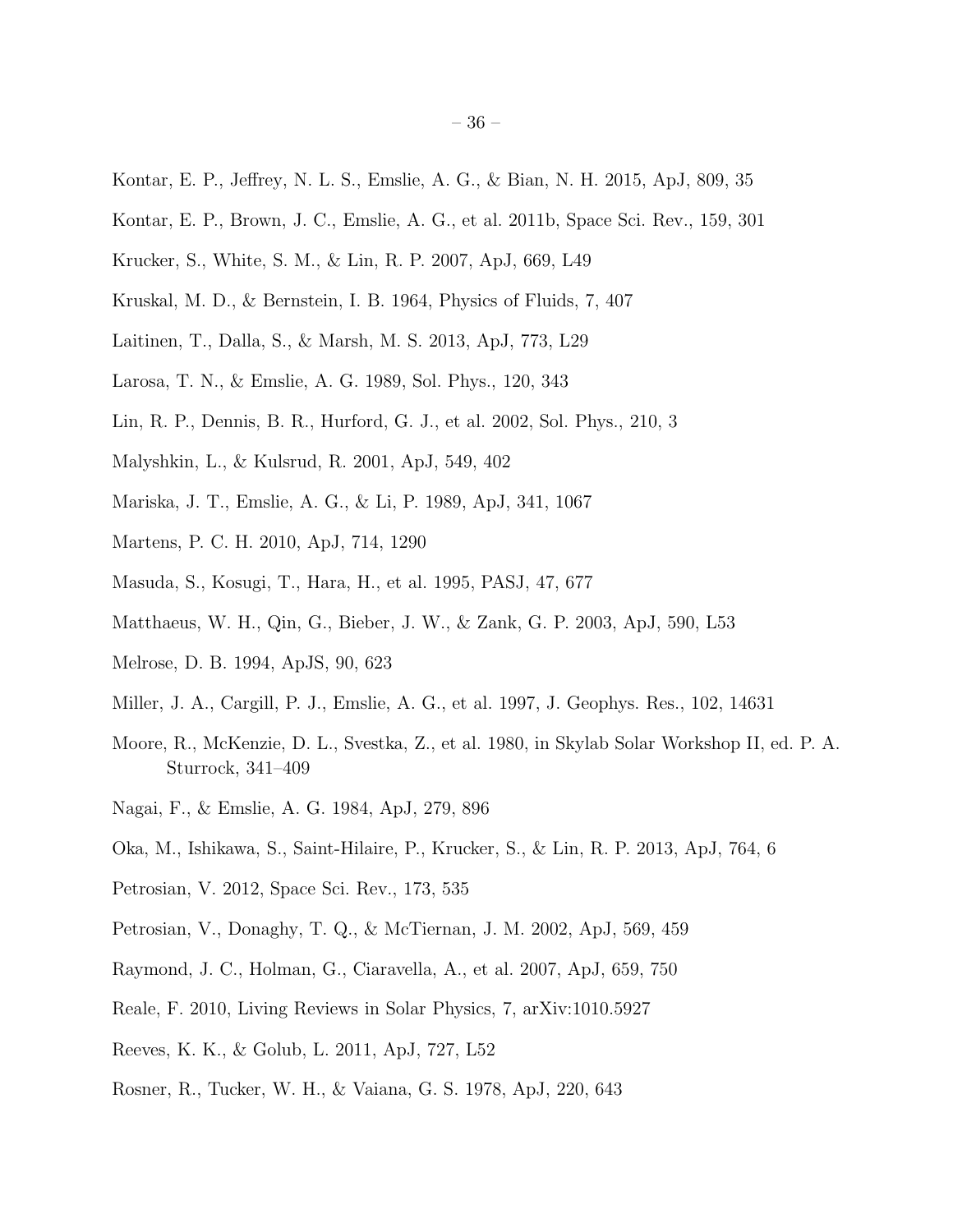- <span id="page-35-20"></span>Kontar, E. P., Jeffrey, N. L. S., Emslie, A. G., & Bian, N. H. 2015, ApJ, 809, 35
- <span id="page-35-0"></span>Kontar, E. P., Brown, J. C., Emslie, A. G., et al. 2011b, Space Sci. Rev., 159, 301
- <span id="page-35-4"></span>Krucker, S., White, S. M., & Lin, R. P. 2007, ApJ, 669, L49
- <span id="page-35-13"></span>Kruskal, M. D., & Bernstein, I. B. 1964, Physics of Fluids, 7, 407
- <span id="page-35-9"></span>Laitinen, T., Dalla, S., & Marsh, M. S. 2013, ApJ, 773, L29
- <span id="page-35-1"></span>Larosa, T. N., & Emslie, A. G. 1989, Sol. Phys., 120, 343
- <span id="page-35-5"></span>Lin, R. P., Dennis, B. R., Hurford, G. J., et al. 2002, Sol. Phys., 210, 3
- <span id="page-35-19"></span>Malyshkin, L., & Kulsrud, R. 2001, ApJ, 549, 402
- <span id="page-35-12"></span>Mariska, J. T., Emslie, A. G., & Li, P. 1989, ApJ, 341, 1067
- <span id="page-35-17"></span>Martens, P. C. H. 2010, ApJ, 714, 1290
- <span id="page-35-3"></span>Masuda, S., Kosugi, T., Hara, H., et al. 1995, PASJ, 47, 677
- <span id="page-35-8"></span>Matthaeus, W. H., Qin, G., Bieber, J. W., & Zank, G. P. 2003, ApJ, 590, L53
- <span id="page-35-6"></span>Melrose, D. B. 1994, ApJS, 90, 623
- <span id="page-35-21"></span>Miller, J. A., Cargill, P. J., Emslie, A. G., et al. 1997, J. Geophys. Res., 102, 14631
- <span id="page-35-10"></span>Moore, R., McKenzie, D. L., Svestka, Z., et al. 1980, in Skylab Solar Workshop II, ed. P. A. Sturrock, 341–409
- <span id="page-35-11"></span>Nagai, F., & Emslie, A. G. 1984, ApJ, 279, 896
- Oka, M., Ishikawa, S., Saint-Hilaire, P., Krucker, S., & Lin, R. P. 2013, ApJ, 764, 6
- <span id="page-35-7"></span>Petrosian, V. 2012, Space Sci. Rev., 173, 535
- <span id="page-35-2"></span>Petrosian, V., Donaghy, T. Q., & McTiernan, J. M. 2002, ApJ, 569, 459
- <span id="page-35-15"></span>Raymond, J. C., Holman, G., Ciaravella, A., et al. 2007, ApJ, 659, 750
- <span id="page-35-18"></span>Reale, F. 2010, Living Reviews in Solar Physics, 7, arXiv:1010.5927
- <span id="page-35-14"></span>Reeves, K. K., & Golub, L. 2011, ApJ, 727, L52
- <span id="page-35-16"></span>Rosner, R., Tucker, W. H., & Vaiana, G. S. 1978, ApJ, 220, 643